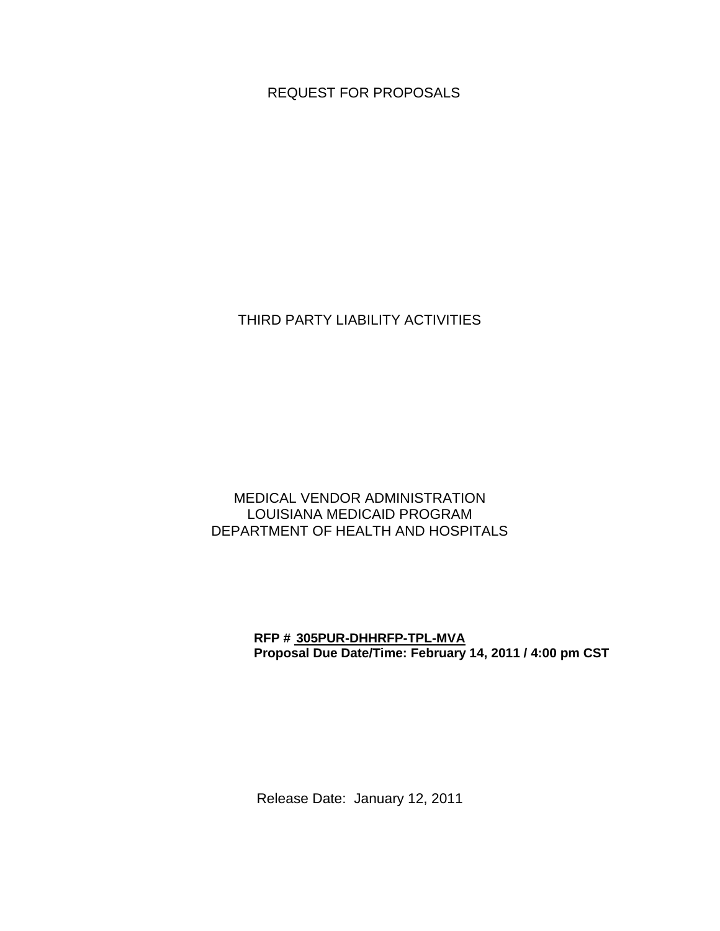REQUEST FOR PROPOSALS

THIRD PARTY LIABILITY ACTIVITIES

### MEDICAL VENDOR ADMINISTRATION LOUISIANA MEDICAID PROGRAM DEPARTMENT OF HEALTH AND HOSPITALS

#### **RFP # 305PUR-DHHRFP-TPL-MVA Proposal Due Date/Time: February 14, 2011 / 4:00 pm CST**

Release Date: January 12, 2011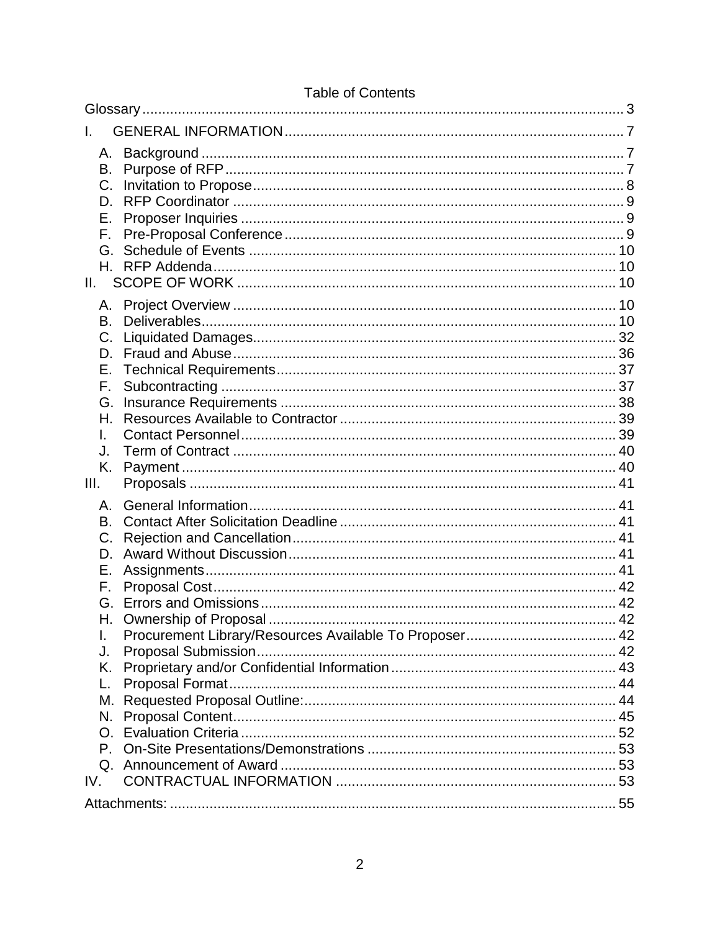| L.      |  |  |  |  |
|---------|--|--|--|--|
| А.      |  |  |  |  |
| В.      |  |  |  |  |
| C.      |  |  |  |  |
| D.      |  |  |  |  |
| Е.      |  |  |  |  |
| F.      |  |  |  |  |
| G.      |  |  |  |  |
| Η.      |  |  |  |  |
| II.     |  |  |  |  |
| А.      |  |  |  |  |
| B.      |  |  |  |  |
| C.      |  |  |  |  |
| D.      |  |  |  |  |
| Е.      |  |  |  |  |
| F.      |  |  |  |  |
| G.      |  |  |  |  |
| Н.      |  |  |  |  |
|         |  |  |  |  |
| J.      |  |  |  |  |
| K.      |  |  |  |  |
| III.    |  |  |  |  |
| Α.      |  |  |  |  |
| В.      |  |  |  |  |
| C.      |  |  |  |  |
| D.      |  |  |  |  |
| Е.      |  |  |  |  |
| F.      |  |  |  |  |
| G.      |  |  |  |  |
| Н.      |  |  |  |  |
| I.      |  |  |  |  |
| J.      |  |  |  |  |
| Κ.      |  |  |  |  |
| L.      |  |  |  |  |
| М.      |  |  |  |  |
| N.      |  |  |  |  |
| $O_{1}$ |  |  |  |  |
|         |  |  |  |  |
| IV.     |  |  |  |  |
|         |  |  |  |  |
|         |  |  |  |  |

# **Table of Contents**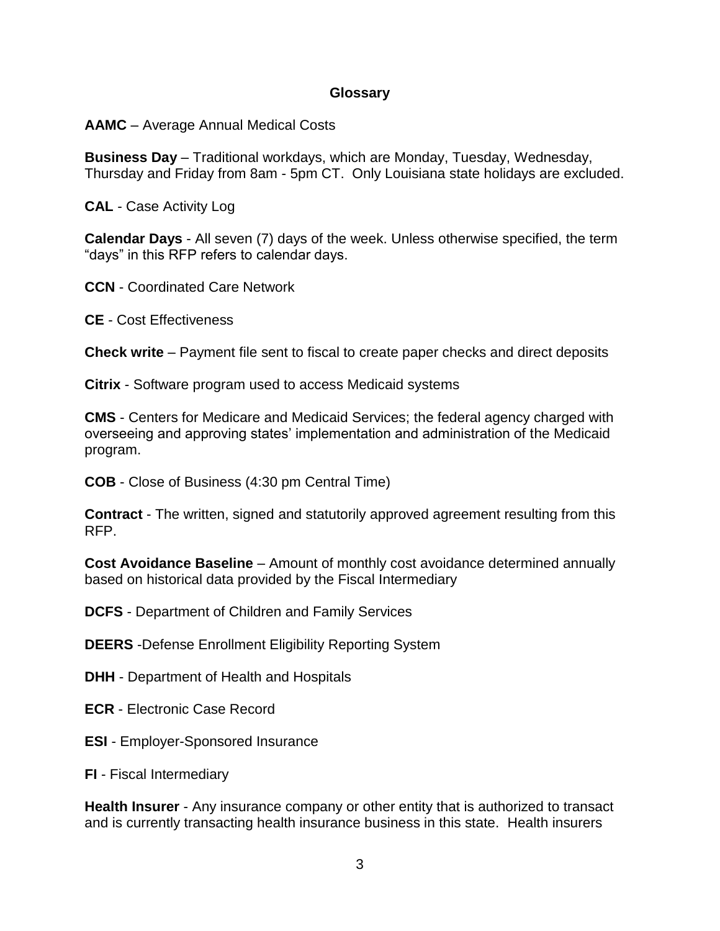#### **Glossary**

<span id="page-2-0"></span>**AAMC** – Average Annual Medical Costs

**Business Day** – Traditional workdays, which are Monday, Tuesday, Wednesday, Thursday and Friday from 8am - 5pm CT. Only Louisiana state holidays are excluded.

**CAL** - Case Activity Log

**Calendar Days** - All seven (7) days of the week. Unless otherwise specified, the term "days" in this RFP refers to calendar days.

**CCN** - Coordinated Care Network

**CE** - Cost Effectiveness

**Check write** – Payment file sent to fiscal to create paper checks and direct deposits

**Citrix** - Software program used to access Medicaid systems

**CMS** - Centers for Medicare and Medicaid Services; the federal agency charged with overseeing and approving states' implementation and administration of the Medicaid program.

**COB** - Close of Business (4:30 pm Central Time)

**Contract** - The written, signed and statutorily approved agreement resulting from this RFP.

**Cost Avoidance Baseline** – Amount of monthly cost avoidance determined annually based on historical data provided by the Fiscal Intermediary

**DCFS** - Department of Children and Family Services

**DEERS** -Defense Enrollment Eligibility Reporting System

**DHH** - Department of Health and Hospitals

**ECR** - Electronic Case Record

**ESI** - Employer-Sponsored Insurance

**FI** - Fiscal Intermediary

**Health Insurer** - Any insurance company or other entity that is authorized to transact and is currently transacting health insurance business in this state. Health insurers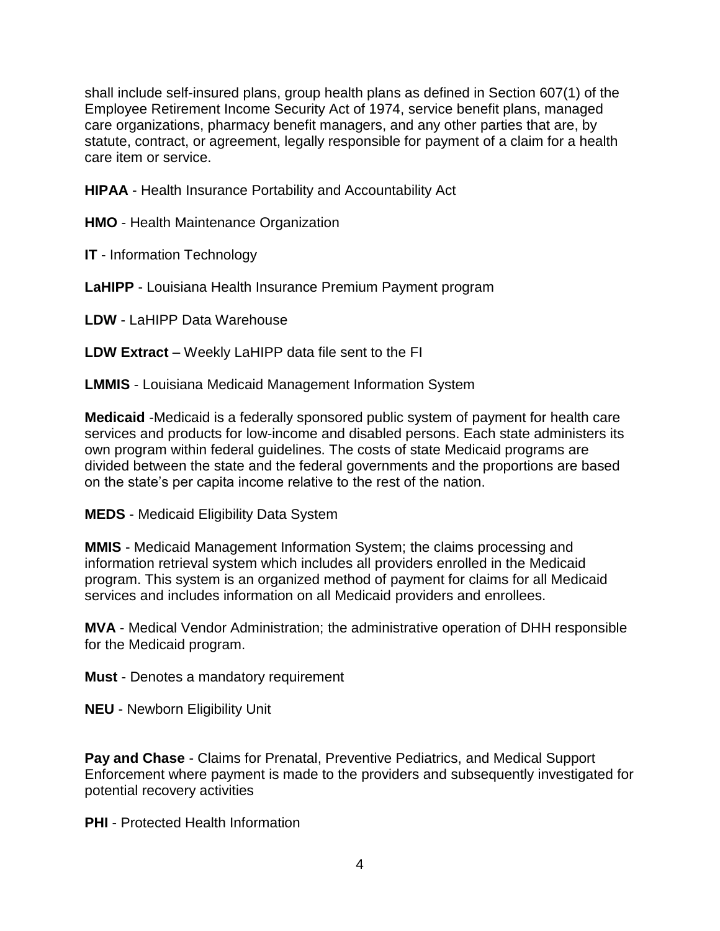shall include self-insured plans, group health plans as defined in Section 607(1) of the Employee Retirement Income Security Act of 1974, service benefit plans, managed care organizations, pharmacy benefit managers, and any other parties that are, by statute, contract, or agreement, legally responsible for payment of a claim for a health care item or service.

**HIPAA** - Health Insurance Portability and Accountability Act

**HMO** - Health Maintenance Organization

**IT** - Information Technology

**LaHIPP** - Louisiana Health Insurance Premium Payment program

**LDW** - LaHIPP Data Warehouse

**LDW Extract** – Weekly LaHIPP data file sent to the FI

**LMMIS** - Louisiana Medicaid Management Information System

**Medicaid** -Medicaid is a federally sponsored public system of payment for health care services and products for low-income and disabled persons. Each state administers its own program within federal guidelines. The costs of state Medicaid programs are divided between the state and the federal governments and the proportions are based on the state's per capita income relative to the rest of the nation.

**MEDS** - Medicaid Eligibility Data System

**MMIS** - Medicaid Management Information System; the claims processing and information retrieval system which includes all providers enrolled in the Medicaid program. This system is an organized method of payment for claims for all Medicaid services and includes information on all Medicaid providers and enrollees.

**MVA** - Medical Vendor Administration; the administrative operation of DHH responsible for the Medicaid program.

**Must** - Denotes a mandatory requirement

**NEU** - Newborn Eligibility Unit

**Pay and Chase** - Claims for Prenatal, Preventive Pediatrics, and Medical Support Enforcement where payment is made to the providers and subsequently investigated for potential recovery activities

**PHI** - Protected Health Information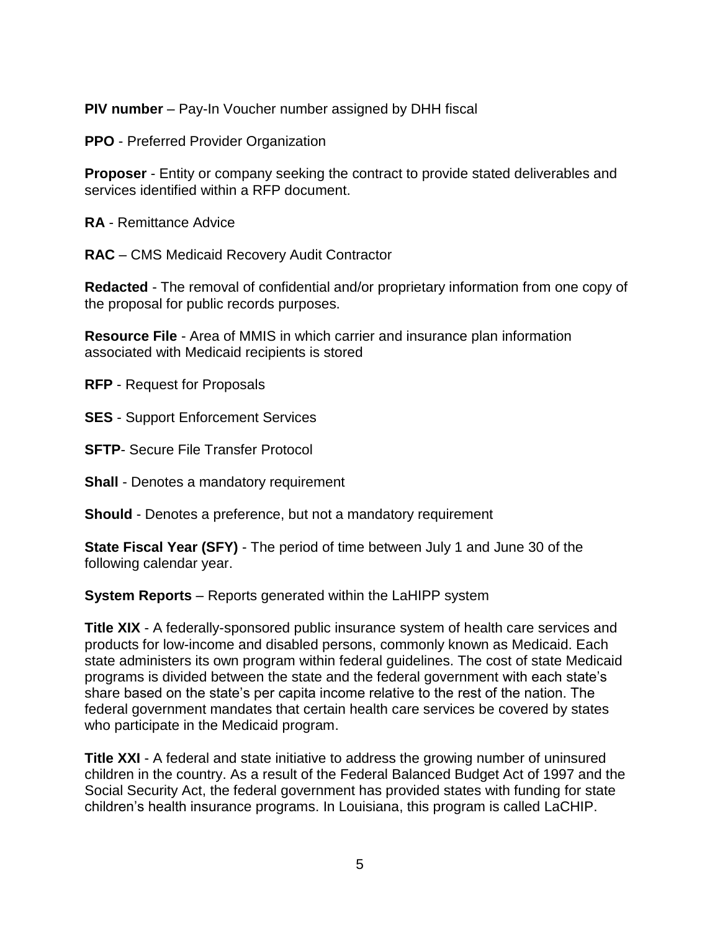**PIV number** – Pay-In Voucher number assigned by DHH fiscal

**PPO** - Preferred Provider Organization

**Proposer** - Entity or company seeking the contract to provide stated deliverables and services identified within a RFP document.

**RA** - Remittance Advice

**RAC** – CMS Medicaid Recovery Audit Contractor

**Redacted** - The removal of confidential and/or proprietary information from one copy of the proposal for public records purposes.

**Resource File** - Area of MMIS in which carrier and insurance plan information associated with Medicaid recipients is stored

**RFP** - Request for Proposals

**SES** - Support Enforcement Services

**SFTP**- Secure File Transfer Protocol

**Shall** - Denotes a mandatory requirement

**Should** - Denotes a preference, but not a mandatory requirement

**State Fiscal Year (SFY)** - The period of time between July 1 and June 30 of the following calendar year.

**System Reports** – Reports generated within the LaHIPP system

**Title XIX** - A federally-sponsored public insurance system of health care services and products for low-income and disabled persons, commonly known as Medicaid. Each state administers its own program within federal guidelines. The cost of state Medicaid programs is divided between the state and the federal government with each state's share based on the state's per capita income relative to the rest of the nation. The federal government mandates that certain health care services be covered by states who participate in the Medicaid program.

**Title XXI** - A federal and state initiative to address the growing number of uninsured children in the country. As a result of the Federal Balanced Budget Act of 1997 and the Social Security Act, the federal government has provided states with funding for state children's health insurance programs. In Louisiana, this program is called LaCHIP.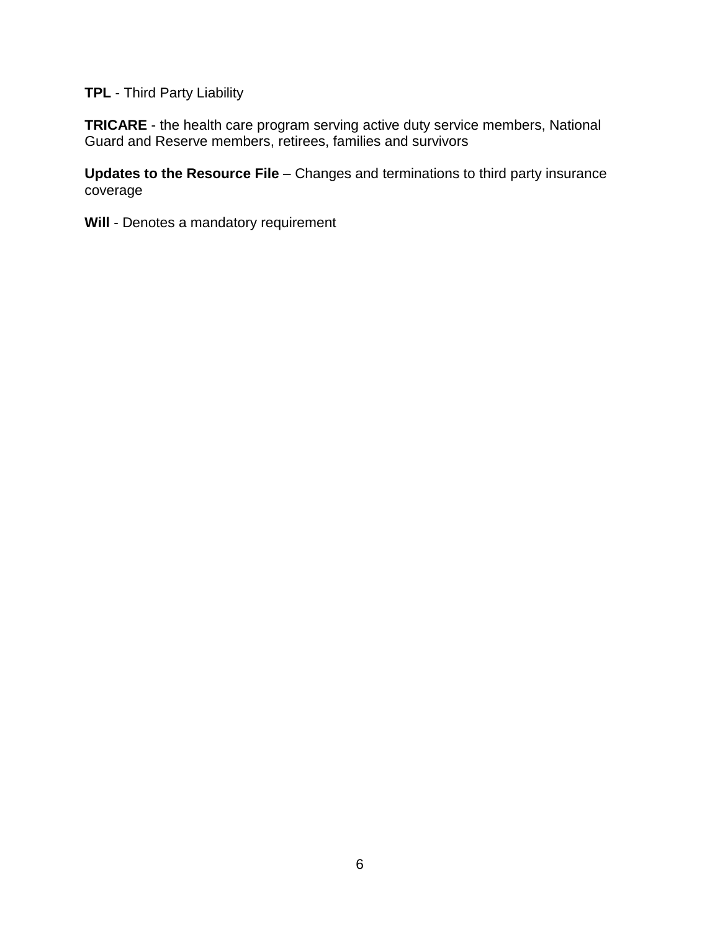**TPL** - Third Party Liability

**TRICARE** - the health care program serving active duty service members, National Guard and Reserve members, retirees, families and survivors

**Updates to the Resource File** – Changes and terminations to third party insurance coverage

**Will** - Denotes a mandatory requirement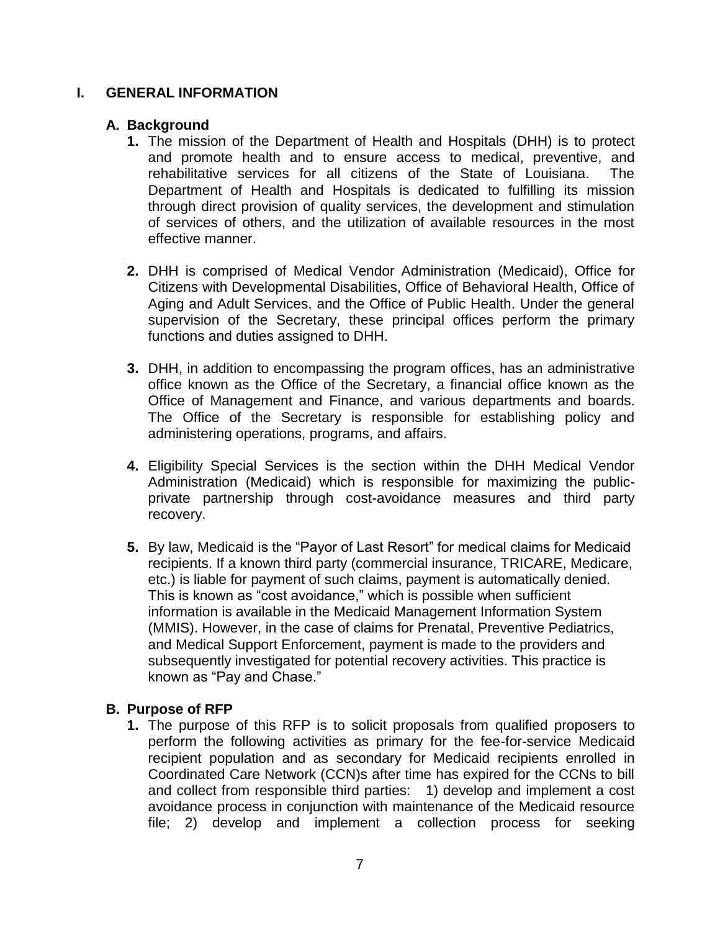#### <span id="page-6-0"></span>**I. GENERAL INFORMATION**

### <span id="page-6-1"></span>**A. Background**

- **1.** The mission of the Department of Health and Hospitals (DHH) is to protect and promote health and to ensure access to medical, preventive, and rehabilitative services for all citizens of the State of Louisiana. The Department of Health and Hospitals is dedicated to fulfilling its mission through direct provision of quality services, the development and stimulation of services of others, and the utilization of available resources in the most effective manner.
- **2.** DHH is comprised of Medical Vendor Administration (Medicaid), Office for Citizens with Developmental Disabilities, Office of Behavioral Health, Office of Aging and Adult Services, and the Office of Public Health. Under the general supervision of the Secretary, these principal offices perform the primary functions and duties assigned to DHH.
- **3.** DHH, in addition to encompassing the program offices, has an administrative office known as the Office of the Secretary, a financial office known as the Office of Management and Finance, and various departments and boards. The Office of the Secretary is responsible for establishing policy and administering operations, programs, and affairs.
- **4.** Eligibility Special Services is the section within the DHH Medical Vendor Administration (Medicaid) which is responsible for maximizing the publicprivate partnership through cost-avoidance measures and third party recovery.
- **5.** By law, Medicaid is the "Payor of Last Resort" for medical claims for Medicaid recipients. If a known third party (commercial insurance, TRICARE, Medicare, etc.) is liable for payment of such claims, payment is automatically denied. This is known as "cost avoidance," which is possible when sufficient information is available in the Medicaid Management Information System (MMIS). However, in the case of claims for Prenatal, Preventive Pediatrics, and Medical Support Enforcement, payment is made to the providers and subsequently investigated for potential recovery activities. This practice is known as "Pay and Chase."

## <span id="page-6-2"></span>**B. Purpose of RFP**

**1.** The purpose of this RFP is to solicit proposals from qualified proposers to perform the following activities as primary for the fee-for-service Medicaid recipient population and as secondary for Medicaid recipients enrolled in Coordinated Care Network (CCN)s after time has expired for the CCNs to bill and collect from responsible third parties: 1) develop and implement a cost avoidance process in conjunction with maintenance of the Medicaid resource file; 2) develop and implement a collection process for seeking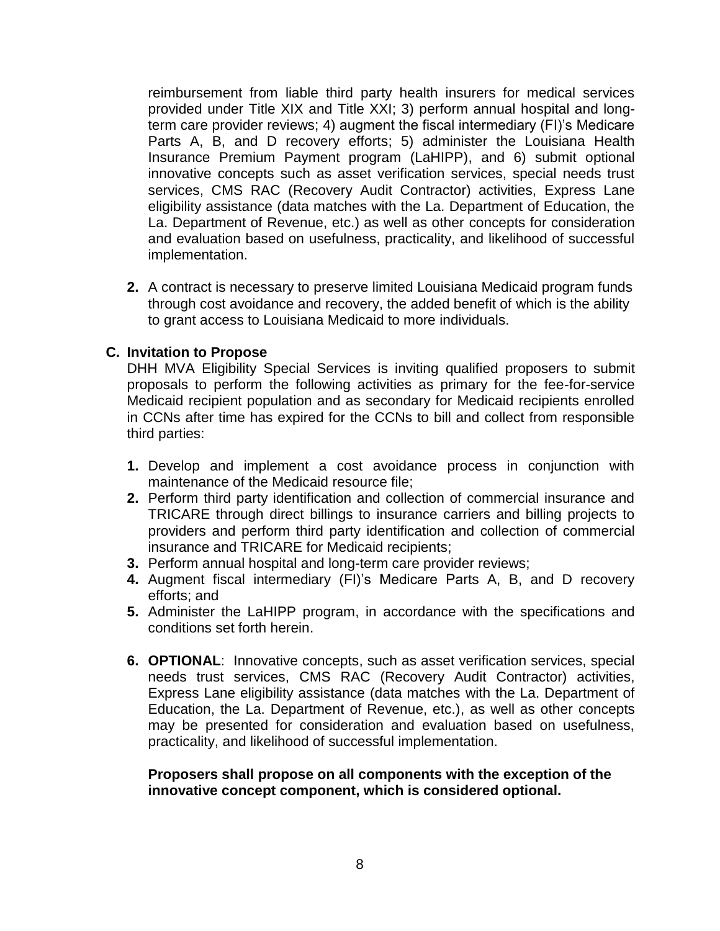reimbursement from liable third party health insurers for medical services provided under Title XIX and Title XXI; 3) perform annual hospital and longterm care provider reviews; 4) augment the fiscal intermediary (FI)'s Medicare Parts A, B, and D recovery efforts; 5) administer the Louisiana Health Insurance Premium Payment program (LaHIPP), and 6) submit optional innovative concepts such as asset verification services, special needs trust services, CMS RAC (Recovery Audit Contractor) activities, Express Lane eligibility assistance (data matches with the La. Department of Education, the La. Department of Revenue, etc.) as well as other concepts for consideration and evaluation based on usefulness, practicality, and likelihood of successful implementation.

**2.** A contract is necessary to preserve limited Louisiana Medicaid program funds through cost avoidance and recovery, the added benefit of which is the ability to grant access to Louisiana Medicaid to more individuals.

### <span id="page-7-0"></span>**C. Invitation to Propose**

DHH MVA Eligibility Special Services is inviting qualified proposers to submit proposals to perform the following activities as primary for the fee-for-service Medicaid recipient population and as secondary for Medicaid recipients enrolled in CCNs after time has expired for the CCNs to bill and collect from responsible third parties:

- **1.** Develop and implement a cost avoidance process in conjunction with maintenance of the Medicaid resource file;
- **2.** Perform third party identification and collection of commercial insurance and TRICARE through direct billings to insurance carriers and billing projects to providers and perform third party identification and collection of commercial insurance and TRICARE for Medicaid recipients;
- **3.** Perform annual hospital and long-term care provider reviews;
- **4.** Augment fiscal intermediary (FI)'s Medicare Parts A, B, and D recovery efforts; and
- **5.** Administer the LaHIPP program, in accordance with the specifications and conditions set forth herein.
- **6. OPTIONAL**: Innovative concepts, such as asset verification services, special needs trust services, CMS RAC (Recovery Audit Contractor) activities, Express Lane eligibility assistance (data matches with the La. Department of Education, the La. Department of Revenue, etc.), as well as other concepts may be presented for consideration and evaluation based on usefulness, practicality, and likelihood of successful implementation.

#### **Proposers shall propose on all components with the exception of the innovative concept component, which is considered optional.**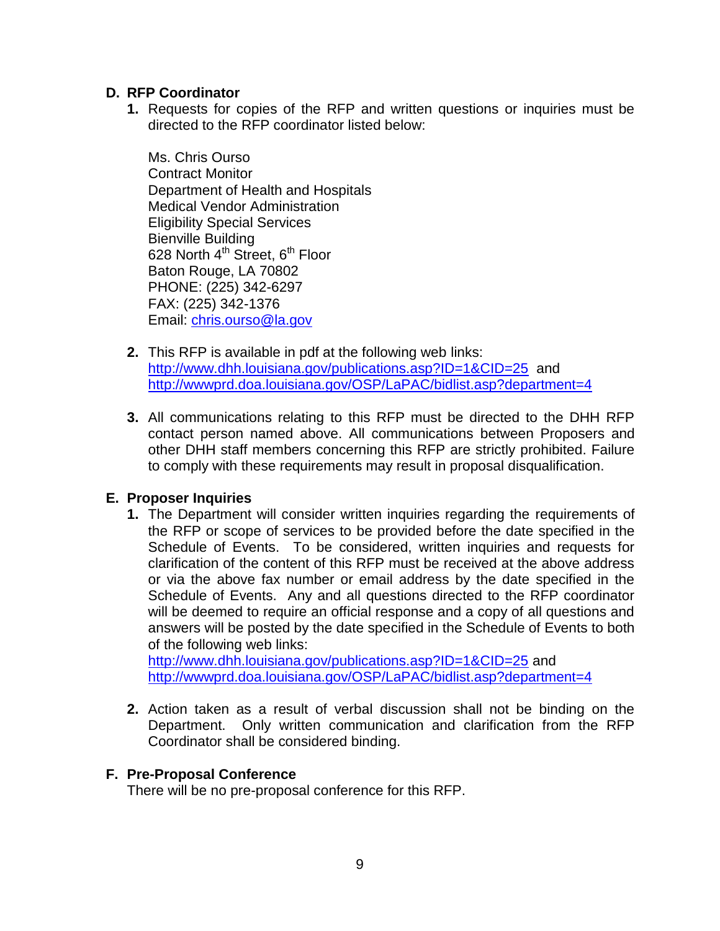### <span id="page-8-0"></span>**D. RFP Coordinator**

**1.** Requests for copies of the RFP and written questions or inquiries must be directed to the RFP coordinator listed below:

Ms. Chris Ourso Contract Monitor Department of Health and Hospitals Medical Vendor Administration Eligibility Special Services Bienville Building 628 North 4<sup>th</sup> Street, 6<sup>th</sup> Floor Baton Rouge, LA 70802 PHONE: (225) 342-6297 FAX: (225) 342-1376 Email: [chris.ourso@la.gov](mailto:chris.ourso@la.gov)

- **2.** This RFP is available in pdf at the following web links: <http://www.dhh.louisiana.gov/publications.asp?ID=1&CID=25> and <http://wwwprd.doa.louisiana.gov/OSP/LaPAC/bidlist.asp?department=4>
- **3.** All communications relating to this RFP must be directed to the DHH RFP contact person named above. All communications between Proposers and other DHH staff members concerning this RFP are strictly prohibited. Failure to comply with these requirements may result in proposal disqualification.

## <span id="page-8-1"></span>**E. Proposer Inquiries**

**1.** The Department will consider written inquiries regarding the requirements of the RFP or scope of services to be provided before the date specified in the Schedule of Events. To be considered, written inquiries and requests for clarification of the content of this RFP must be received at the above address or via the above fax number or email address by the date specified in the Schedule of Events. Any and all questions directed to the RFP coordinator will be deemed to require an official response and a copy of all questions and answers will be posted by the date specified in the Schedule of Events to both of the following web links:

<http://www.dhh.louisiana.gov/publications.asp?ID=1&CID=25> and <http://wwwprd.doa.louisiana.gov/OSP/LaPAC/bidlist.asp?department=4>

**2.** Action taken as a result of verbal discussion shall not be binding on the Department. Only written communication and clarification from the RFP Coordinator shall be considered binding.

#### <span id="page-8-2"></span>**F. Pre-Proposal Conference**

There will be no pre-proposal conference for this RFP.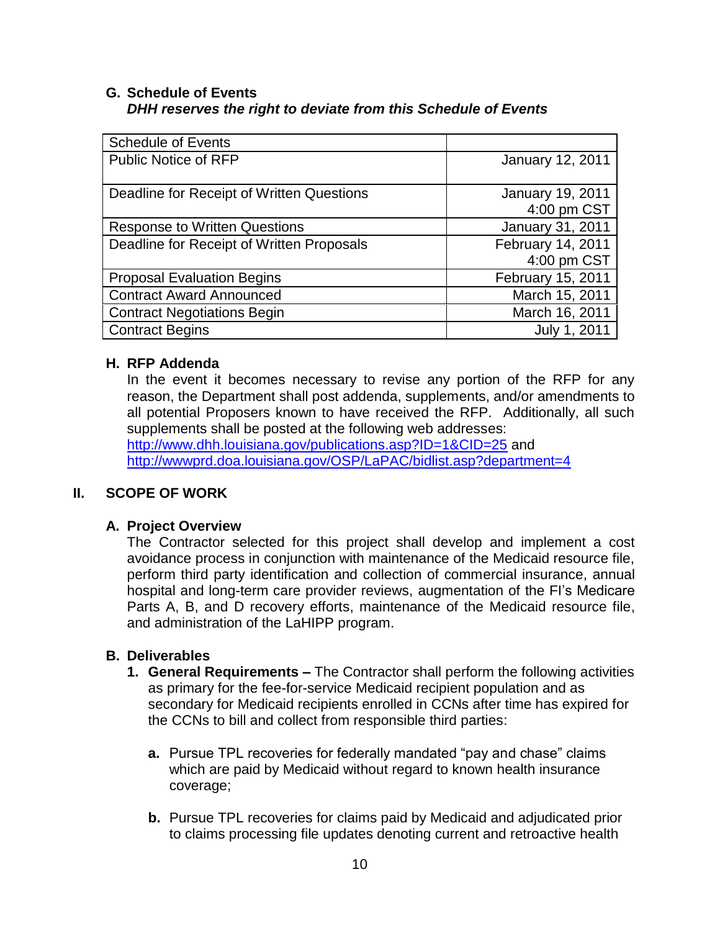### <span id="page-9-0"></span>**G. Schedule of Events**  *DHH reserves the right to deviate from this Schedule of Events*

| <b>Schedule of Events</b>                 |                   |
|-------------------------------------------|-------------------|
| <b>Public Notice of RFP</b>               | January 12, 2011  |
|                                           |                   |
| Deadline for Receipt of Written Questions | January 19, 2011  |
|                                           | 4:00 pm CST       |
| <b>Response to Written Questions</b>      | January 31, 2011  |
| Deadline for Receipt of Written Proposals | February 14, 2011 |
|                                           | 4:00 pm CST       |
| <b>Proposal Evaluation Begins</b>         | February 15, 2011 |
| <b>Contract Award Announced</b>           | March 15, 2011    |
| <b>Contract Negotiations Begin</b>        | March 16, 2011    |
| <b>Contract Begins</b>                    | July 1, 2011      |

## <span id="page-9-1"></span>**H. RFP Addenda**

In the event it becomes necessary to revise any portion of the RFP for any reason, the Department shall post addenda, supplements, and/or amendments to all potential Proposers known to have received the RFP. Additionally, all such supplements shall be posted at the following web addresses: <http://www.dhh.louisiana.gov/publications.asp?ID=1&CID=25> and <http://wwwprd.doa.louisiana.gov/OSP/LaPAC/bidlist.asp?department=4>

## <span id="page-9-2"></span>**II. SCOPE OF WORK**

#### <span id="page-9-3"></span>**A. Project Overview**

The Contractor selected for this project shall develop and implement a cost avoidance process in conjunction with maintenance of the Medicaid resource file, perform third party identification and collection of commercial insurance, annual hospital and long-term care provider reviews, augmentation of the FI's Medicare Parts A, B, and D recovery efforts, maintenance of the Medicaid resource file, and administration of the LaHIPP program.

#### <span id="page-9-4"></span>**B. Deliverables**

- **1. General Requirements –** The Contractor shall perform the following activities as primary for the fee-for-service Medicaid recipient population and as secondary for Medicaid recipients enrolled in CCNs after time has expired for the CCNs to bill and collect from responsible third parties:
	- **a.** Pursue TPL recoveries for federally mandated "pay and chase" claims which are paid by Medicaid without regard to known health insurance coverage;
	- **b.** Pursue TPL recoveries for claims paid by Medicaid and adjudicated prior to claims processing file updates denoting current and retroactive health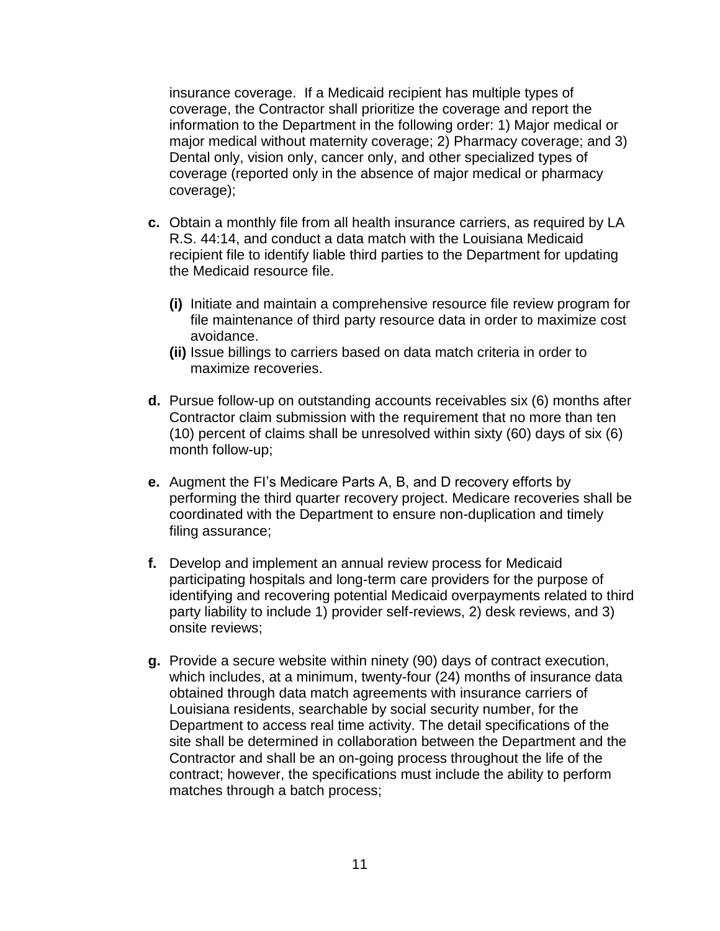insurance coverage. If a Medicaid recipient has multiple types of coverage, the Contractor shall prioritize the coverage and report the information to the Department in the following order: 1) Major medical or major medical without maternity coverage; 2) Pharmacy coverage; and 3) Dental only, vision only, cancer only, and other specialized types of coverage (reported only in the absence of major medical or pharmacy coverage);

- **c.** Obtain a monthly file from all health insurance carriers, as required by LA R.S. 44:14, and conduct a data match with the Louisiana Medicaid recipient file to identify liable third parties to the Department for updating the Medicaid resource file.
	- **(i)** Initiate and maintain a comprehensive resource file review program for file maintenance of third party resource data in order to maximize cost avoidance.
	- **(ii)** Issue billings to carriers based on data match criteria in order to maximize recoveries.
- **d.** Pursue follow-up on outstanding accounts receivables six (6) months after Contractor claim submission with the requirement that no more than ten (10) percent of claims shall be unresolved within sixty (60) days of six (6) month follow-up;
- **e.** Augment the FI's Medicare Parts A, B, and D recovery efforts by performing the third quarter recovery project. Medicare recoveries shall be coordinated with the Department to ensure non-duplication and timely filing assurance;
- **f.** Develop and implement an annual review process for Medicaid participating hospitals and long-term care providers for the purpose of identifying and recovering potential Medicaid overpayments related to third party liability to include 1) provider self-reviews, 2) desk reviews, and 3) onsite reviews;
- **g.** Provide a secure website within ninety (90) days of contract execution, which includes, at a minimum, twenty-four (24) months of insurance data obtained through data match agreements with insurance carriers of Louisiana residents, searchable by social security number, for the Department to access real time activity. The detail specifications of the site shall be determined in collaboration between the Department and the Contractor and shall be an on-going process throughout the life of the contract; however, the specifications must include the ability to perform matches through a batch process;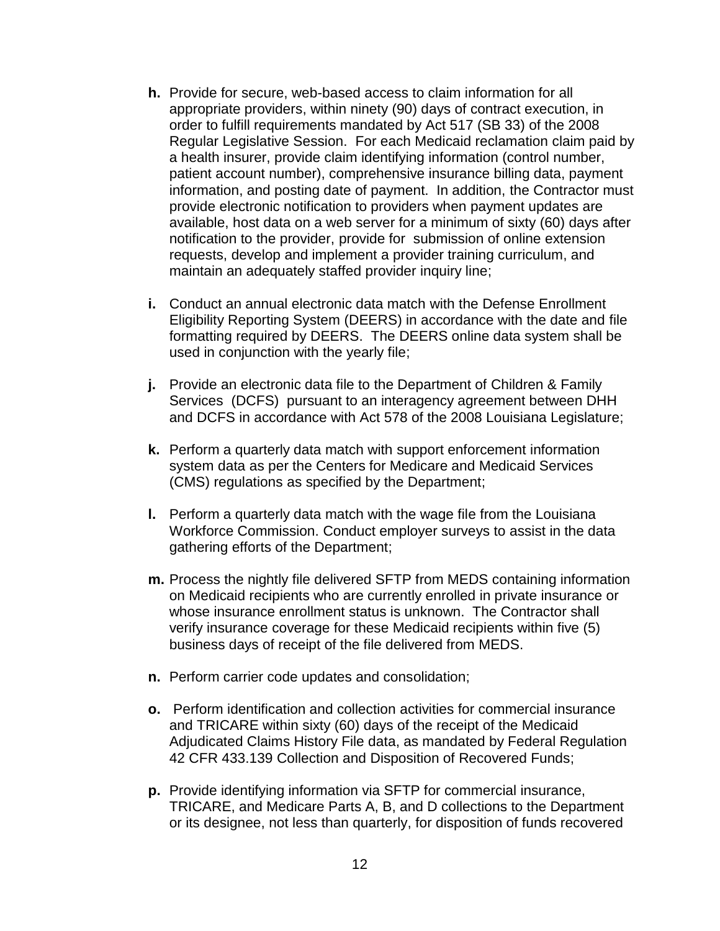- **h.** Provide for secure, web-based access to claim information for all appropriate providers, within ninety (90) days of contract execution, in order to fulfill requirements mandated by Act 517 (SB 33) of the 2008 Regular Legislative Session. For each Medicaid reclamation claim paid by a health insurer, provide claim identifying information (control number, patient account number), comprehensive insurance billing data, payment information, and posting date of payment. In addition, the Contractor must provide electronic notification to providers when payment updates are available, host data on a web server for a minimum of sixty (60) days after notification to the provider, provide for submission of online extension requests, develop and implement a provider training curriculum, and maintain an adequately staffed provider inquiry line;
- **i.** Conduct an annual electronic data match with the Defense Enrollment Eligibility Reporting System (DEERS) in accordance with the date and file formatting required by DEERS. The DEERS online data system shall be used in conjunction with the yearly file;
- **j.** Provide an electronic data file to the Department of Children & Family Services (DCFS) pursuant to an interagency agreement between DHH and DCFS in accordance with Act 578 of the 2008 Louisiana Legislature;
- **k.** Perform a quarterly data match with support enforcement information system data as per the Centers for Medicare and Medicaid Services (CMS) regulations as specified by the Department;
- **l.** Perform a quarterly data match with the wage file from the Louisiana Workforce Commission. Conduct employer surveys to assist in the data gathering efforts of the Department;
- **m.** Process the nightly file delivered SFTP from MEDS containing information on Medicaid recipients who are currently enrolled in private insurance or whose insurance enrollment status is unknown. The Contractor shall verify insurance coverage for these Medicaid recipients within five (5) business days of receipt of the file delivered from MEDS.
- **n.** Perform carrier code updates and consolidation;
- **o.** Perform identification and collection activities for commercial insurance and TRICARE within sixty (60) days of the receipt of the Medicaid Adjudicated Claims History File data, as mandated by Federal Regulation 42 CFR 433.139 Collection and Disposition of Recovered Funds;
- **p.** Provide identifying information via SFTP for commercial insurance, TRICARE, and Medicare Parts A, B, and D collections to the Department or its designee, not less than quarterly, for disposition of funds recovered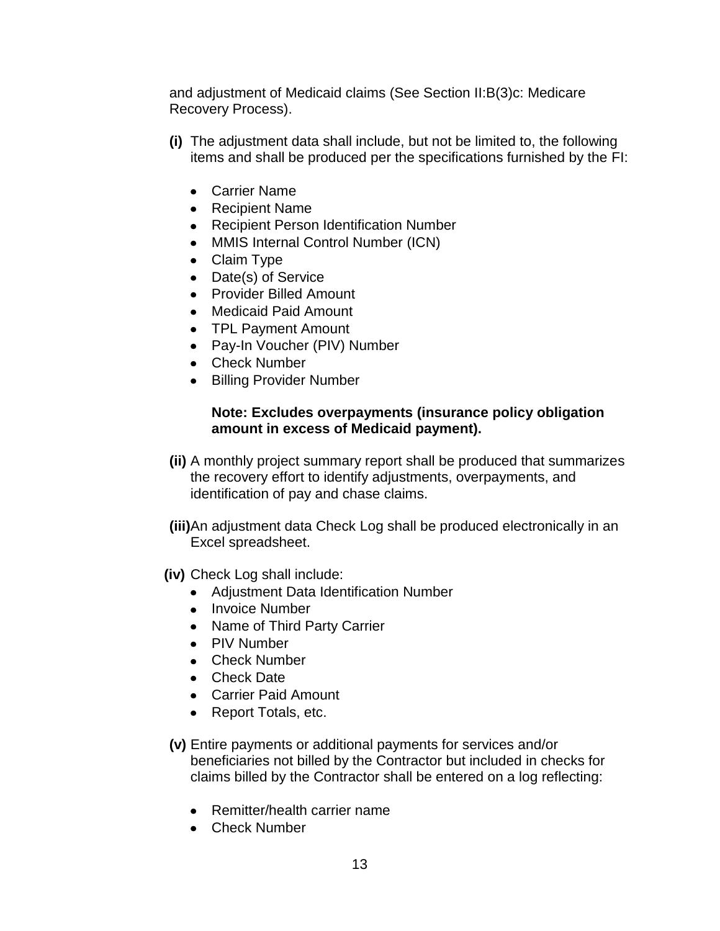and adjustment of Medicaid claims (See Section II:B(3)c: Medicare Recovery Process).

- **(i)** The adjustment data shall include, but not be limited to, the following items and shall be produced per the specifications furnished by the FI:
	- Carrier Name
	- Recipient Name
	- Recipient Person Identification Number
	- MMIS Internal Control Number (ICN)
	- Claim Type
	- Date(s) of Service
	- Provider Billed Amount
	- Medicaid Paid Amount
	- TPL Payment Amount
	- Pay-In Voucher (PIV) Number
	- Check Number
	- Billing Provider Number

### **Note: Excludes overpayments (insurance policy obligation amount in excess of Medicaid payment).**

- **(ii)** A monthly project summary report shall be produced that summarizes the recovery effort to identify adjustments, overpayments, and identification of pay and chase claims.
- **(iii)**An adjustment data Check Log shall be produced electronically in an Excel spreadsheet.
- **(iv)** Check Log shall include:
	- Adjustment Data Identification Number
	- Invoice Number
	- Name of Third Party Carrier
	- PIV Number
	- Check Number
	- Check Date
	- Carrier Paid Amount
	- Report Totals, etc.
- **(v)** Entire payments or additional payments for services and/or beneficiaries not billed by the Contractor but included in checks for claims billed by the Contractor shall be entered on a log reflecting:
	- Remitter/health carrier name
	- Check Number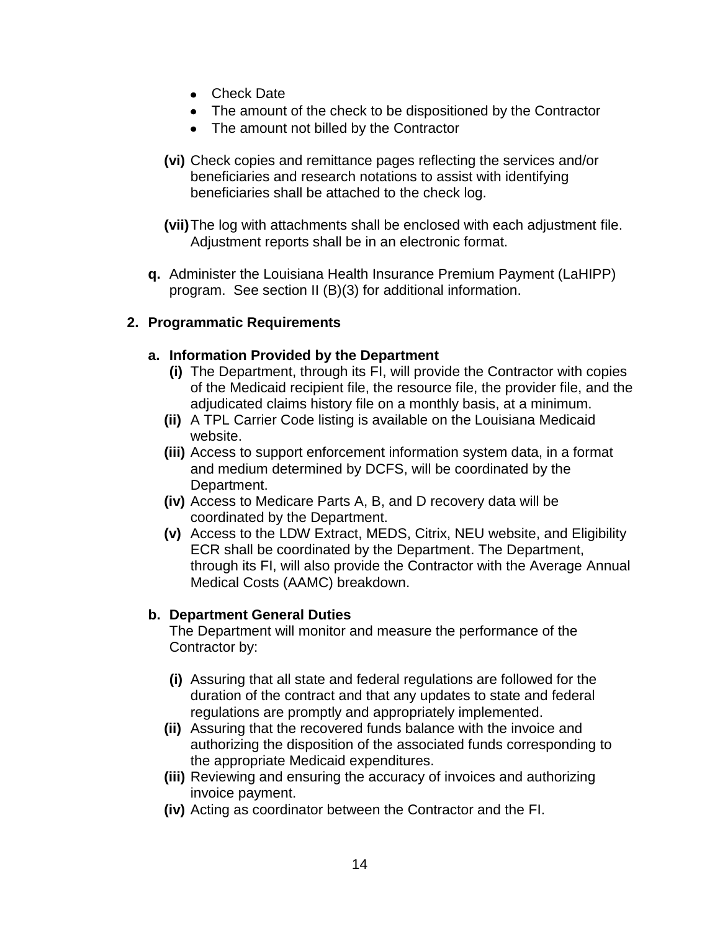- Check Date
- The amount of the check to be dispositioned by the Contractor
- The amount not billed by the Contractor
- **(vi)** Check copies and remittance pages reflecting the services and/or beneficiaries and research notations to assist with identifying beneficiaries shall be attached to the check log.
- **(vii)**The log with attachments shall be enclosed with each adjustment file. Adjustment reports shall be in an electronic format.
- **q.** Administer the Louisiana Health Insurance Premium Payment (LaHIPP) program. See section II (B)(3) for additional information.

## **2. Programmatic Requirements**

#### **a. Information Provided by the Department**

- **(i)** The Department, through its FI, will provide the Contractor with copies of the Medicaid recipient file, the resource file, the provider file, and the adjudicated claims history file on a monthly basis, at a minimum.
- **(ii)** A TPL Carrier Code listing is available on the Louisiana Medicaid website.
- **(iii)** Access to support enforcement information system data, in a format and medium determined by DCFS, will be coordinated by the Department.
- **(iv)** Access to Medicare Parts A, B, and D recovery data will be coordinated by the Department.
- **(v)** Access to the LDW Extract, MEDS, Citrix, NEU website, and Eligibility ECR shall be coordinated by the Department. The Department, through its FI, will also provide the Contractor with the Average Annual Medical Costs (AAMC) breakdown.

#### **b. Department General Duties**

The Department will monitor and measure the performance of the Contractor by:

- **(i)** Assuring that all state and federal regulations are followed for the duration of the contract and that any updates to state and federal regulations are promptly and appropriately implemented.
- **(ii)** Assuring that the recovered funds balance with the invoice and authorizing the disposition of the associated funds corresponding to the appropriate Medicaid expenditures.
- **(iii)** Reviewing and ensuring the accuracy of invoices and authorizing invoice payment.
- **(iv)** Acting as coordinator between the Contractor and the FI.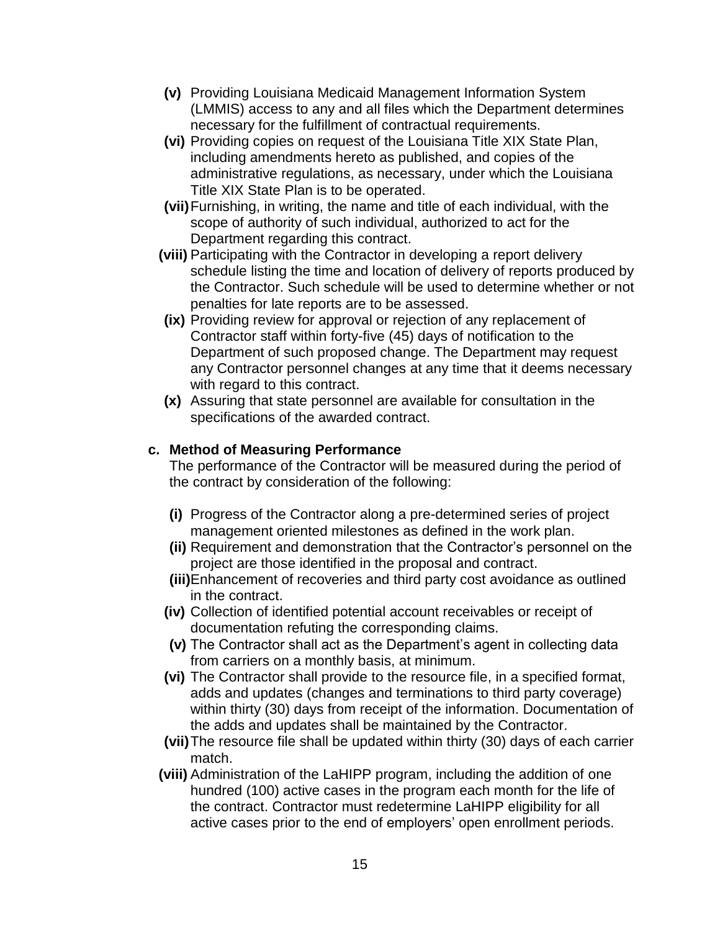- **(v)** Providing Louisiana Medicaid Management Information System (LMMIS) access to any and all files which the Department determines necessary for the fulfillment of contractual requirements.
- **(vi)** Providing copies on request of the Louisiana Title XIX State Plan, including amendments hereto as published, and copies of the administrative regulations, as necessary, under which the Louisiana Title XIX State Plan is to be operated.
- **(vii)**Furnishing, in writing, the name and title of each individual, with the scope of authority of such individual, authorized to act for the Department regarding this contract.
- **(viii)** Participating with the Contractor in developing a report delivery schedule listing the time and location of delivery of reports produced by the Contractor. Such schedule will be used to determine whether or not penalties for late reports are to be assessed.
- **(ix)** Providing review for approval or rejection of any replacement of Contractor staff within forty-five (45) days of notification to the Department of such proposed change. The Department may request any Contractor personnel changes at any time that it deems necessary with regard to this contract.
- **(x)** Assuring that state personnel are available for consultation in the specifications of the awarded contract.

## **c. Method of Measuring Performance**

The performance of the Contractor will be measured during the period of the contract by consideration of the following:

- **(i)** Progress of the Contractor along a pre-determined series of project management oriented milestones as defined in the work plan.
- **(ii)** Requirement and demonstration that the Contractor's personnel on the project are those identified in the proposal and contract.
- **(iii)**Enhancement of recoveries and third party cost avoidance as outlined in the contract.
- **(iv)** Collection of identified potential account receivables or receipt of documentation refuting the corresponding claims.
- **(v)** The Contractor shall act as the Department's agent in collecting data from carriers on a monthly basis, at minimum.
- **(vi)** The Contractor shall provide to the resource file, in a specified format, adds and updates (changes and terminations to third party coverage) within thirty (30) days from receipt of the information. Documentation of the adds and updates shall be maintained by the Contractor.
- **(vii)**The resource file shall be updated within thirty (30) days of each carrier match.
- **(viii)** Administration of the LaHIPP program, including the addition of one hundred (100) active cases in the program each month for the life of the contract. Contractor must redetermine LaHIPP eligibility for all active cases prior to the end of employers' open enrollment periods.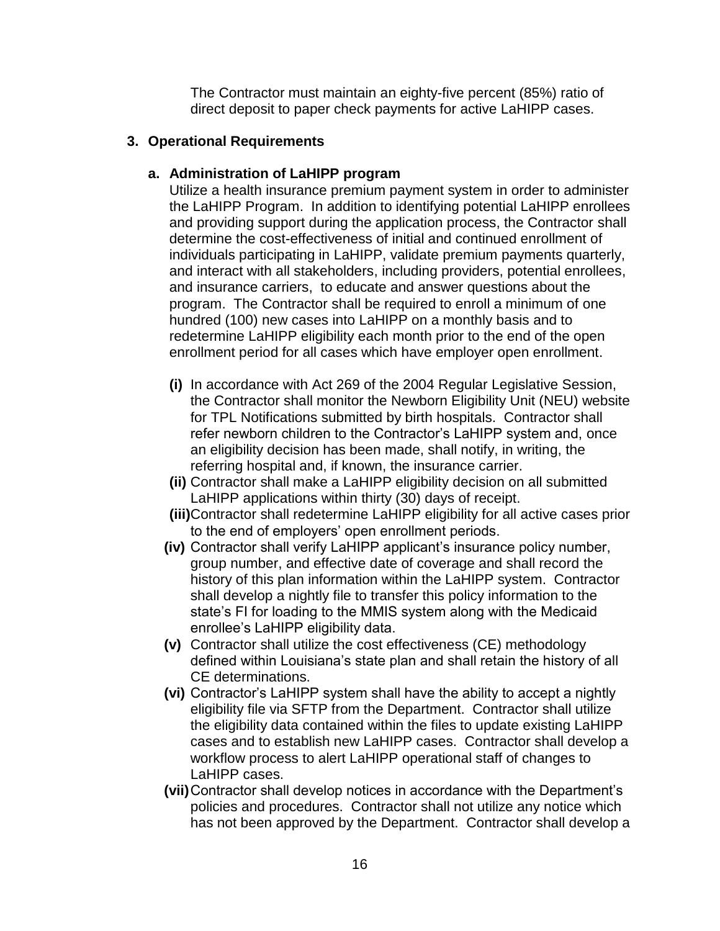The Contractor must maintain an eighty-five percent (85%) ratio of direct deposit to paper check payments for active LaHIPP cases.

### **3. Operational Requirements**

### **a. Administration of LaHIPP program**

Utilize a health insurance premium payment system in order to administer the LaHIPP Program. In addition to identifying potential LaHIPP enrollees and providing support during the application process, the Contractor shall determine the cost-effectiveness of initial and continued enrollment of individuals participating in LaHIPP, validate premium payments quarterly, and interact with all stakeholders, including providers, potential enrollees, and insurance carriers, to educate and answer questions about the program. The Contractor shall be required to enroll a minimum of one hundred (100) new cases into LaHIPP on a monthly basis and to redetermine LaHIPP eligibility each month prior to the end of the open enrollment period for all cases which have employer open enrollment.

- **(i)** In accordance with Act 269 of the 2004 Regular Legislative Session, the Contractor shall monitor the Newborn Eligibility Unit (NEU) website for TPL Notifications submitted by birth hospitals. Contractor shall refer newborn children to the Contractor's LaHIPP system and, once an eligibility decision has been made, shall notify, in writing, the referring hospital and, if known, the insurance carrier.
- **(ii)** Contractor shall make a LaHIPP eligibility decision on all submitted LaHIPP applications within thirty (30) days of receipt.
- **(iii)**Contractor shall redetermine LaHIPP eligibility for all active cases prior to the end of employers' open enrollment periods.
- **(iv)** Contractor shall verify LaHIPP applicant's insurance policy number, group number, and effective date of coverage and shall record the history of this plan information within the LaHIPP system. Contractor shall develop a nightly file to transfer this policy information to the state's FI for loading to the MMIS system along with the Medicaid enrollee's LaHIPP eligibility data.
- **(v)** Contractor shall utilize the cost effectiveness (CE) methodology defined within Louisiana's state plan and shall retain the history of all CE determinations.
- **(vi)** Contractor's LaHIPP system shall have the ability to accept a nightly eligibility file via SFTP from the Department. Contractor shall utilize the eligibility data contained within the files to update existing LaHIPP cases and to establish new LaHIPP cases. Contractor shall develop a workflow process to alert LaHIPP operational staff of changes to LaHIPP cases.
- **(vii)**Contractor shall develop notices in accordance with the Department's policies and procedures. Contractor shall not utilize any notice which has not been approved by the Department. Contractor shall develop a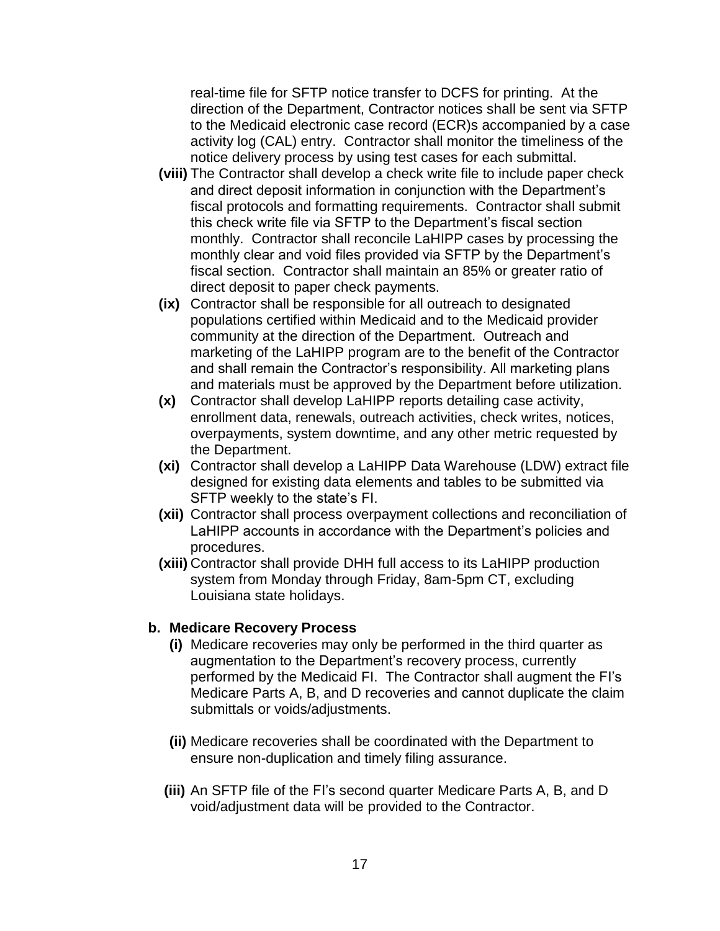real-time file for SFTP notice transfer to DCFS for printing. At the direction of the Department, Contractor notices shall be sent via SFTP to the Medicaid electronic case record (ECR)s accompanied by a case activity log (CAL) entry. Contractor shall monitor the timeliness of the notice delivery process by using test cases for each submittal.

- **(viii)** The Contractor shall develop a check write file to include paper check and direct deposit information in conjunction with the Department's fiscal protocols and formatting requirements. Contractor shall submit this check write file via SFTP to the Department's fiscal section monthly. Contractor shall reconcile LaHIPP cases by processing the monthly clear and void files provided via SFTP by the Department's fiscal section. Contractor shall maintain an 85% or greater ratio of direct deposit to paper check payments.
- **(ix)** Contractor shall be responsible for all outreach to designated populations certified within Medicaid and to the Medicaid provider community at the direction of the Department. Outreach and marketing of the LaHIPP program are to the benefit of the Contractor and shall remain the Contractor's responsibility. All marketing plans and materials must be approved by the Department before utilization.
- **(x)** Contractor shall develop LaHIPP reports detailing case activity, enrollment data, renewals, outreach activities, check writes, notices, overpayments, system downtime, and any other metric requested by the Department.
- **(xi)** Contractor shall develop a LaHIPP Data Warehouse (LDW) extract file designed for existing data elements and tables to be submitted via SFTP weekly to the state's FI.
- **(xii)** Contractor shall process overpayment collections and reconciliation of LaHIPP accounts in accordance with the Department's policies and procedures.
- **(xiii)** Contractor shall provide DHH full access to its LaHIPP production system from Monday through Friday, 8am-5pm CT, excluding Louisiana state holidays.

#### **b. Medicare Recovery Process**

- **(i)** Medicare recoveries may only be performed in the third quarter as augmentation to the Department's recovery process, currently performed by the Medicaid FI. The Contractor shall augment the FI's Medicare Parts A, B, and D recoveries and cannot duplicate the claim submittals or voids/adjustments.
- **(ii)** Medicare recoveries shall be coordinated with the Department to ensure non-duplication and timely filing assurance.
- **(iii)** An SFTP file of the FI's second quarter Medicare Parts A, B, and D void/adjustment data will be provided to the Contractor.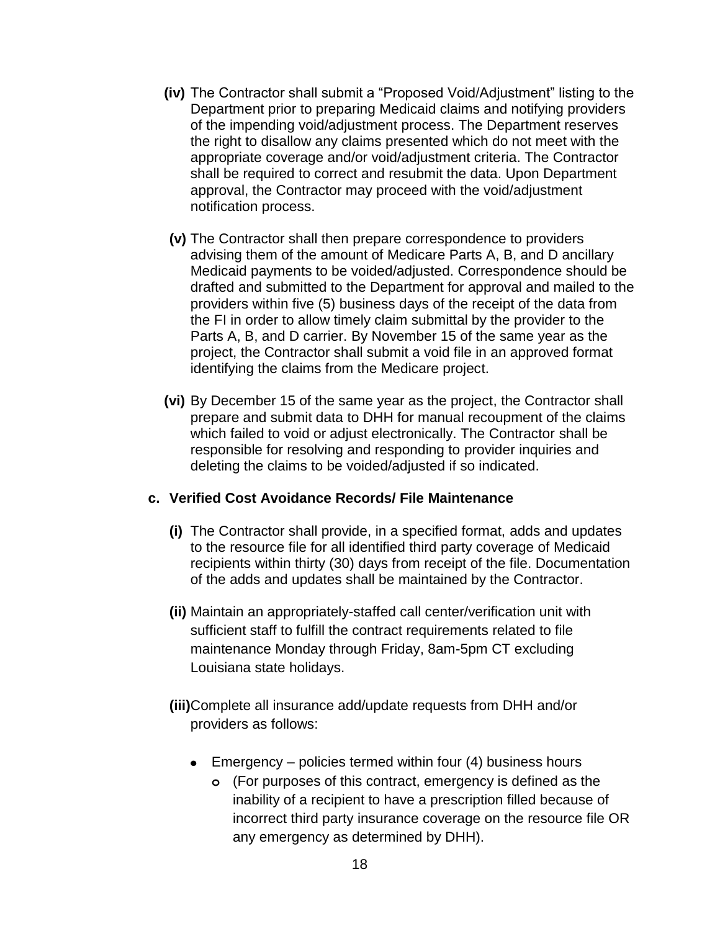- **(iv)** The Contractor shall submit a "Proposed Void/Adjustment" listing to the Department prior to preparing Medicaid claims and notifying providers of the impending void/adjustment process. The Department reserves the right to disallow any claims presented which do not meet with the appropriate coverage and/or void/adjustment criteria. The Contractor shall be required to correct and resubmit the data. Upon Department approval, the Contractor may proceed with the void/adjustment notification process.
- **(v)** The Contractor shall then prepare correspondence to providers advising them of the amount of Medicare Parts A, B, and D ancillary Medicaid payments to be voided/adjusted. Correspondence should be drafted and submitted to the Department for approval and mailed to the providers within five (5) business days of the receipt of the data from the FI in order to allow timely claim submittal by the provider to the Parts A, B, and D carrier. By November 15 of the same year as the project, the Contractor shall submit a void file in an approved format identifying the claims from the Medicare project.
- **(vi)** By December 15 of the same year as the project, the Contractor shall prepare and submit data to DHH for manual recoupment of the claims which failed to void or adjust electronically. The Contractor shall be responsible for resolving and responding to provider inquiries and deleting the claims to be voided/adjusted if so indicated.

### **c. Verified Cost Avoidance Records/ File Maintenance**

- **(i)** The Contractor shall provide, in a specified format, adds and updates to the resource file for all identified third party coverage of Medicaid recipients within thirty (30) days from receipt of the file. Documentation of the adds and updates shall be maintained by the Contractor.
- **(ii)** Maintain an appropriately-staffed call center/verification unit with sufficient staff to fulfill the contract requirements related to file maintenance Monday through Friday, 8am-5pm CT excluding Louisiana state holidays.
- **(iii)**Complete all insurance add/update requests from DHH and/or providers as follows:
	- Emergency policies termed within four (4) business hours
		- **o** (For purposes of this contract, emergency is defined as the inability of a recipient to have a prescription filled because of incorrect third party insurance coverage on the resource file OR any emergency as determined by DHH).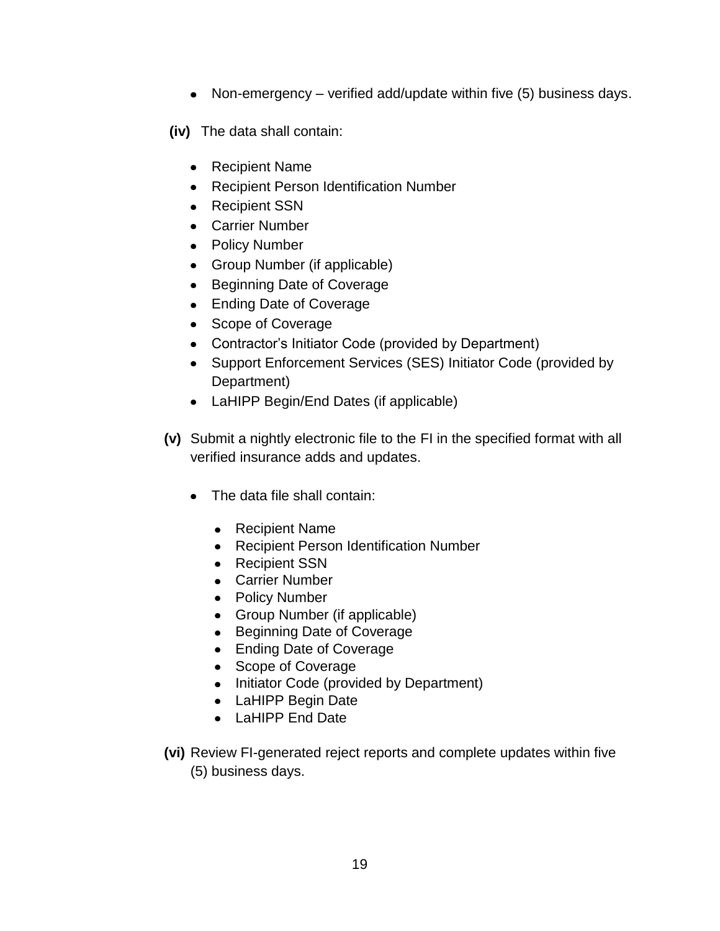• Non-emergency – verified add/update within five (5) business days.

**(iv)** The data shall contain:

- Recipient Name
- Recipient Person Identification Number
- Recipient SSN
- Carrier Number
- Policy Number
- Group Number (if applicable)
- Beginning Date of Coverage
- Ending Date of Coverage
- Scope of Coverage
- Contractor's Initiator Code (provided by Department)
- Support Enforcement Services (SES) Initiator Code (provided by Department)
- LaHIPP Begin/End Dates (if applicable)
- **(v)** Submit a nightly electronic file to the FI in the specified format with all verified insurance adds and updates.
	- The data file shall contain:
		- Recipient Name
		- Recipient Person Identification Number
		- Recipient SSN
		- Carrier Number
		- Policy Number
		- Group Number (if applicable)
		- Beginning Date of Coverage
		- Ending Date of Coverage
		- Scope of Coverage
		- Initiator Code (provided by Department)
		- LaHIPP Begin Date
		- LaHIPP End Date
- **(vi)** Review FI-generated reject reports and complete updates within five (5) business days.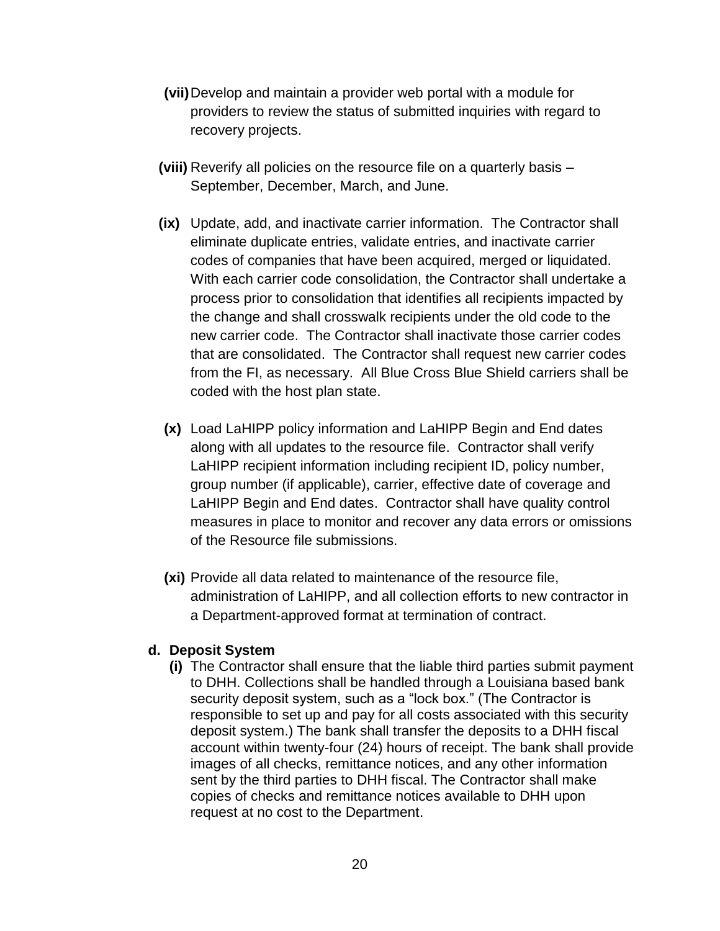- **(vii)**Develop and maintain a provider web portal with a module for providers to review the status of submitted inquiries with regard to recovery projects.
- **(viii)** Reverify all policies on the resource file on a quarterly basis September, December, March, and June.
- **(ix)** Update, add, and inactivate carrier information. The Contractor shall eliminate duplicate entries, validate entries, and inactivate carrier codes of companies that have been acquired, merged or liquidated. With each carrier code consolidation, the Contractor shall undertake a process prior to consolidation that identifies all recipients impacted by the change and shall crosswalk recipients under the old code to the new carrier code. The Contractor shall inactivate those carrier codes that are consolidated. The Contractor shall request new carrier codes from the FI, as necessary. All Blue Cross Blue Shield carriers shall be coded with the host plan state.
- **(x)** Load LaHIPP policy information and LaHIPP Begin and End dates along with all updates to the resource file. Contractor shall verify LaHIPP recipient information including recipient ID, policy number, group number (if applicable), carrier, effective date of coverage and LaHIPP Begin and End dates. Contractor shall have quality control measures in place to monitor and recover any data errors or omissions of the Resource file submissions.
- **(xi)** Provide all data related to maintenance of the resource file, administration of LaHIPP, and all collection efforts to new contractor in a Department-approved format at termination of contract.

#### **d. Deposit System**

**(i)** The Contractor shall ensure that the liable third parties submit payment to DHH. Collections shall be handled through a Louisiana based bank security deposit system, such as a "lock box." (The Contractor is responsible to set up and pay for all costs associated with this security deposit system.) The bank shall transfer the deposits to a DHH fiscal account within twenty-four (24) hours of receipt. The bank shall provide images of all checks, remittance notices, and any other information sent by the third parties to DHH fiscal. The Contractor shall make copies of checks and remittance notices available to DHH upon request at no cost to the Department.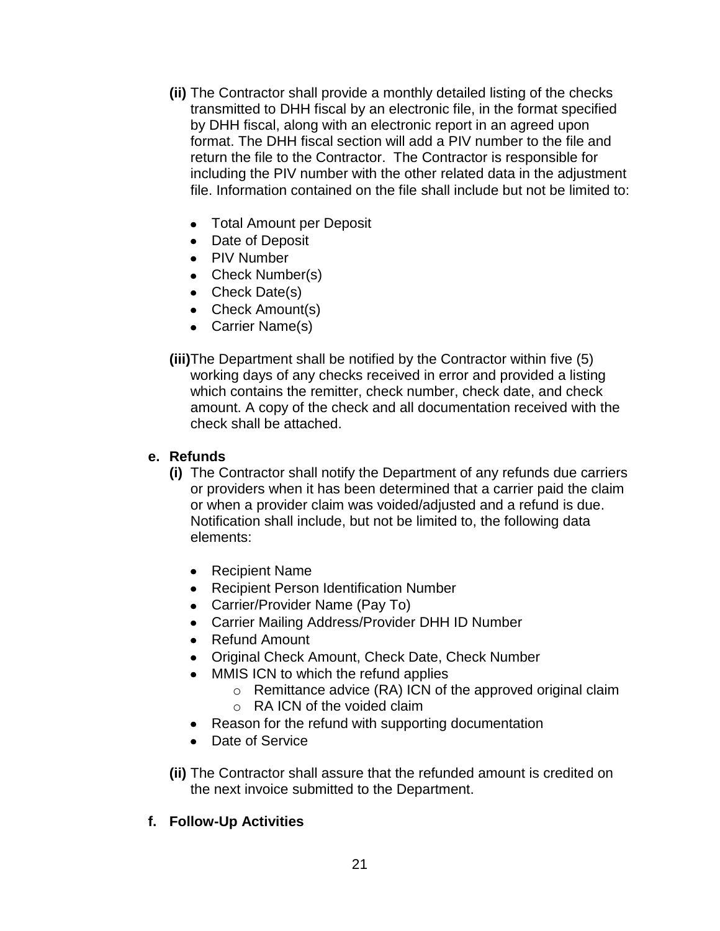- **(ii)** The Contractor shall provide a monthly detailed listing of the checks transmitted to DHH fiscal by an electronic file, in the format specified by DHH fiscal, along with an electronic report in an agreed upon format. The DHH fiscal section will add a PIV number to the file and return the file to the Contractor. The Contractor is responsible for including the PIV number with the other related data in the adjustment file. Information contained on the file shall include but not be limited to:
	- Total Amount per Deposit
	- Date of Deposit
	- PIV Number
	- Check Number(s)
	- Check Date(s)
	- Check Amount(s)
	- Carrier Name(s)

**(iii)**The Department shall be notified by the Contractor within five (5) working days of any checks received in error and provided a listing which contains the remitter, check number, check date, and check amount. A copy of the check and all documentation received with the check shall be attached.

#### **e. Refunds**

- **(i)** The Contractor shall notify the Department of any refunds due carriers or providers when it has been determined that a carrier paid the claim or when a provider claim was voided/adjusted and a refund is due. Notification shall include, but not be limited to, the following data elements:
	- Recipient Name
	- Recipient Person Identification Number
	- Carrier/Provider Name (Pay To)
	- Carrier Mailing Address/Provider DHH ID Number
	- Refund Amount
	- Original Check Amount, Check Date, Check Number
	- MMIS ICN to which the refund applies
		- o Remittance advice (RA) ICN of the approved original claim
		- o RA ICN of the voided claim
	- Reason for the refund with supporting documentation
	- Date of Service
- **(ii)** The Contractor shall assure that the refunded amount is credited on the next invoice submitted to the Department.

## **f. Follow-Up Activities**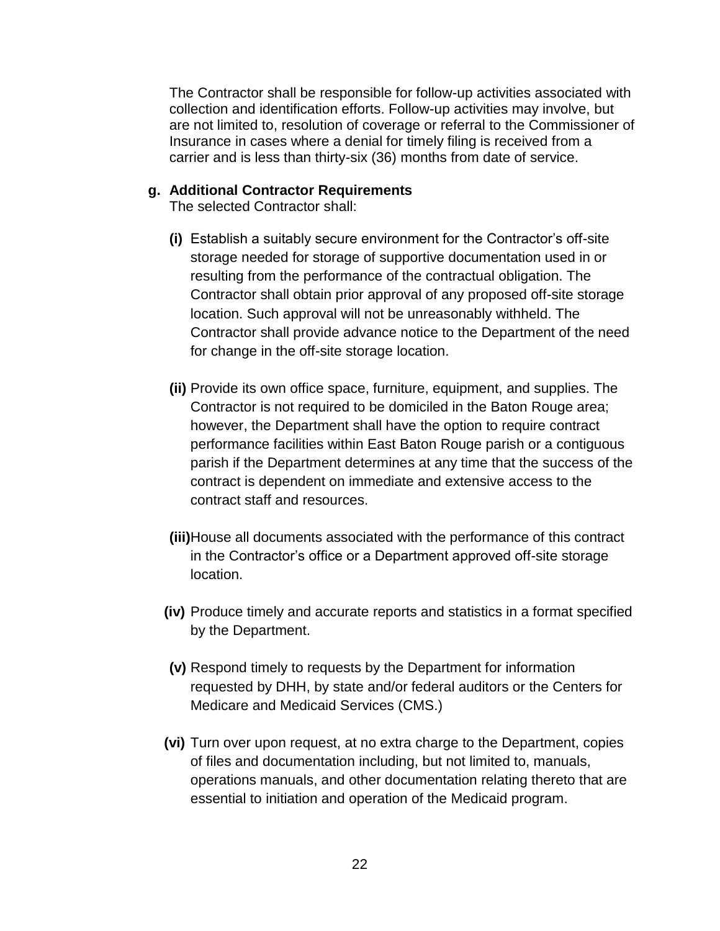The Contractor shall be responsible for follow-up activities associated with collection and identification efforts. Follow-up activities may involve, but are not limited to, resolution of coverage or referral to the Commissioner of Insurance in cases where a denial for timely filing is received from a carrier and is less than thirty-six (36) months from date of service.

#### **g. Additional Contractor Requirements**

The selected Contractor shall:

- **(i)** Establish a suitably secure environment for the Contractor's off-site storage needed for storage of supportive documentation used in or resulting from the performance of the contractual obligation. The Contractor shall obtain prior approval of any proposed off-site storage location. Such approval will not be unreasonably withheld. The Contractor shall provide advance notice to the Department of the need for change in the off-site storage location.
- **(ii)** Provide its own office space, furniture, equipment, and supplies. The Contractor is not required to be domiciled in the Baton Rouge area; however, the Department shall have the option to require contract performance facilities within East Baton Rouge parish or a contiguous parish if the Department determines at any time that the success of the contract is dependent on immediate and extensive access to the contract staff and resources.
- **(iii)**House all documents associated with the performance of this contract in the Contractor's office or a Department approved off-site storage location.
- **(iv)** Produce timely and accurate reports and statistics in a format specified by the Department.
- **(v)** Respond timely to requests by the Department for information requested by DHH, by state and/or federal auditors or the Centers for Medicare and Medicaid Services (CMS.)
- **(vi)** Turn over upon request, at no extra charge to the Department, copies of files and documentation including, but not limited to, manuals, operations manuals, and other documentation relating thereto that are essential to initiation and operation of the Medicaid program.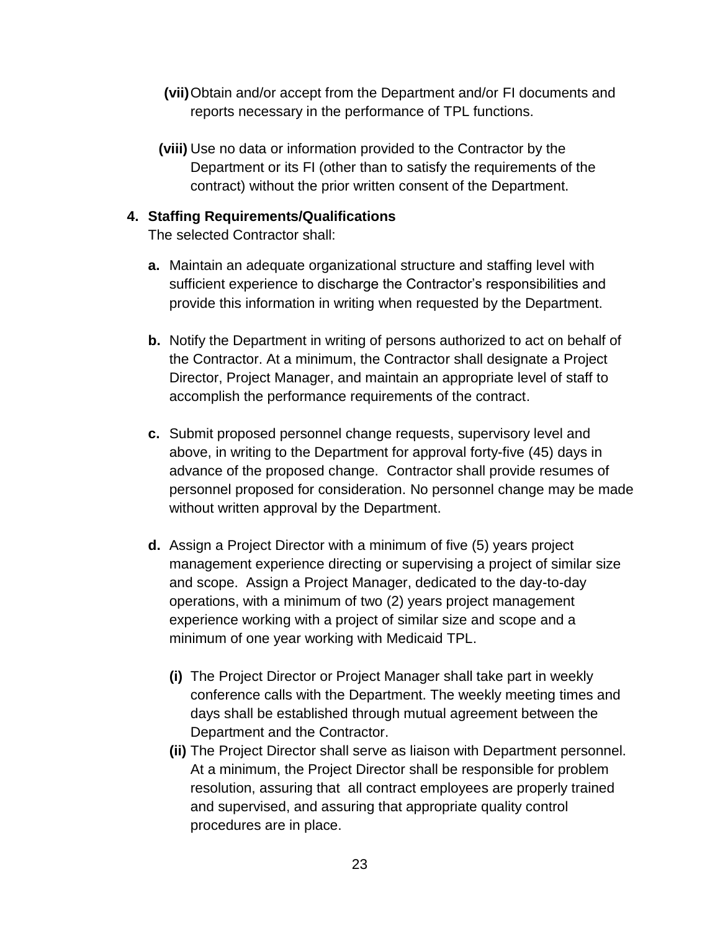- **(vii)**Obtain and/or accept from the Department and/or FI documents and reports necessary in the performance of TPL functions.
- **(viii)** Use no data or information provided to the Contractor by the Department or its FI (other than to satisfy the requirements of the contract) without the prior written consent of the Department.

### **4. Staffing Requirements/Qualifications**

The selected Contractor shall:

- **a.** Maintain an adequate organizational structure and staffing level with sufficient experience to discharge the Contractor's responsibilities and provide this information in writing when requested by the Department.
- **b.** Notify the Department in writing of persons authorized to act on behalf of the Contractor. At a minimum, the Contractor shall designate a Project Director, Project Manager, and maintain an appropriate level of staff to accomplish the performance requirements of the contract.
- **c.** Submit proposed personnel change requests, supervisory level and above, in writing to the Department for approval forty-five (45) days in advance of the proposed change. Contractor shall provide resumes of personnel proposed for consideration. No personnel change may be made without written approval by the Department.
- **d.** Assign a Project Director with a minimum of five (5) years project management experience directing or supervising a project of similar size and scope. Assign a Project Manager, dedicated to the day-to-day operations, with a minimum of two (2) years project management experience working with a project of similar size and scope and a minimum of one year working with Medicaid TPL.
	- **(i)** The Project Director or Project Manager shall take part in weekly conference calls with the Department. The weekly meeting times and days shall be established through mutual agreement between the Department and the Contractor.
	- **(ii)** The Project Director shall serve as liaison with Department personnel. At a minimum, the Project Director shall be responsible for problem resolution, assuring that all contract employees are properly trained and supervised, and assuring that appropriate quality control procedures are in place.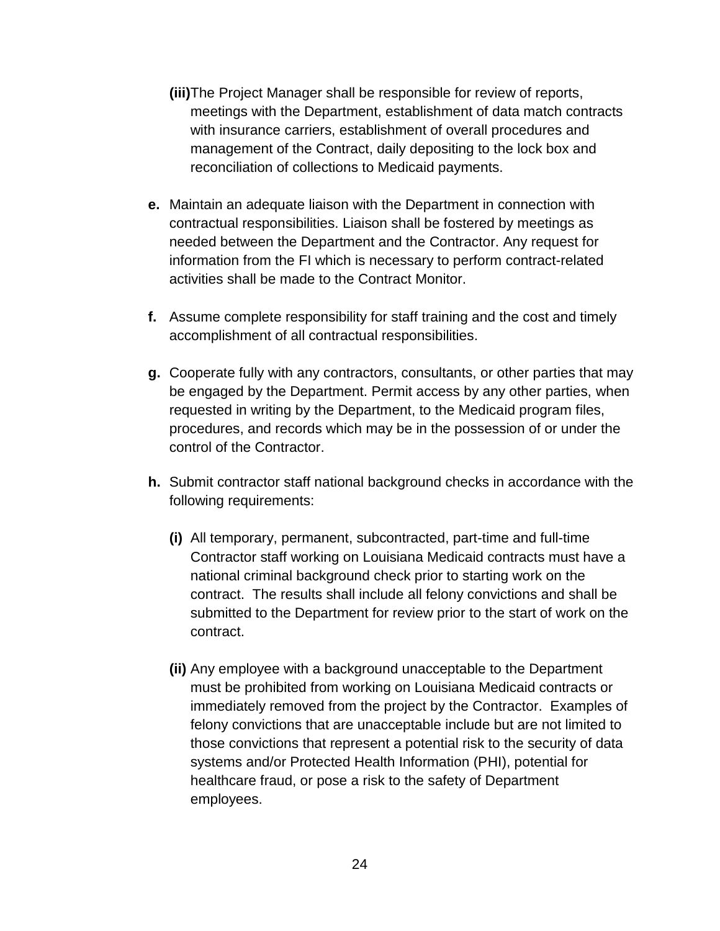- **(iii)**The Project Manager shall be responsible for review of reports, meetings with the Department, establishment of data match contracts with insurance carriers, establishment of overall procedures and management of the Contract, daily depositing to the lock box and reconciliation of collections to Medicaid payments.
- **e.** Maintain an adequate liaison with the Department in connection with contractual responsibilities. Liaison shall be fostered by meetings as needed between the Department and the Contractor. Any request for information from the FI which is necessary to perform contract-related activities shall be made to the Contract Monitor.
- **f.** Assume complete responsibility for staff training and the cost and timely accomplishment of all contractual responsibilities.
- **g.** Cooperate fully with any contractors, consultants, or other parties that may be engaged by the Department. Permit access by any other parties, when requested in writing by the Department, to the Medicaid program files, procedures, and records which may be in the possession of or under the control of the Contractor.
- **h.** Submit contractor staff national background checks in accordance with the following requirements:
	- **(i)** All temporary, permanent, subcontracted, part-time and full-time Contractor staff working on Louisiana Medicaid contracts must have a national criminal background check prior to starting work on the contract. The results shall include all felony convictions and shall be submitted to the Department for review prior to the start of work on the contract.
	- **(ii)** Any employee with a background unacceptable to the Department must be prohibited from working on Louisiana Medicaid contracts or immediately removed from the project by the Contractor. Examples of felony convictions that are unacceptable include but are not limited to those convictions that represent a potential risk to the security of data systems and/or Protected Health Information (PHI), potential for healthcare fraud, or pose a risk to the safety of Department employees.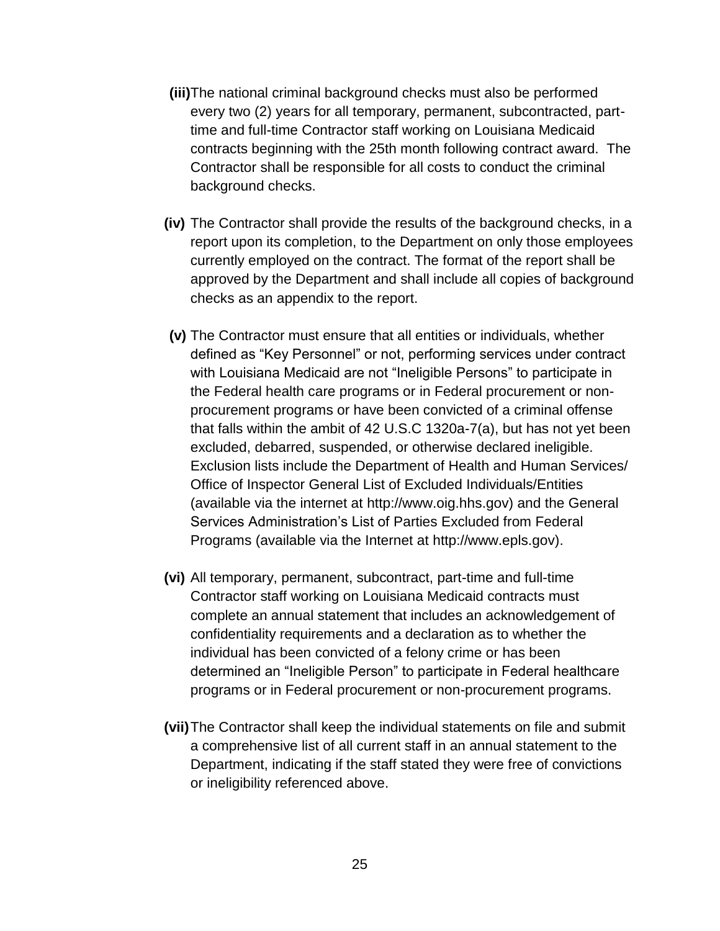- **(iii)**The national criminal background checks must also be performed every two (2) years for all temporary, permanent, subcontracted, parttime and full-time Contractor staff working on Louisiana Medicaid contracts beginning with the 25th month following contract award. The Contractor shall be responsible for all costs to conduct the criminal background checks.
- **(iv)** The Contractor shall provide the results of the background checks, in a report upon its completion, to the Department on only those employees currently employed on the contract. The format of the report shall be approved by the Department and shall include all copies of background checks as an appendix to the report.
- **(v)** The Contractor must ensure that all entities or individuals, whether defined as "Key Personnel" or not, performing services under contract with Louisiana Medicaid are not "Ineligible Persons" to participate in the Federal health care programs or in Federal procurement or nonprocurement programs or have been convicted of a criminal offense that falls within the ambit of 42 U.S.C 1320a-7(a), but has not yet been excluded, debarred, suspended, or otherwise declared ineligible. Exclusion lists include the Department of Health and Human Services/ Office of Inspector General List of Excluded Individuals/Entities (available via the internet at [http://www.oig.hhs.gov\)](http://www.oig.hhs.gov/) and the General Services Administration's List of Parties Excluded from Federal Programs (available via the Internet at [http://www.epls.gov\)](http://www.epls.gov/).
- **(vi)** All temporary, permanent, subcontract, part-time and full-time Contractor staff working on Louisiana Medicaid contracts must complete an annual statement that includes an acknowledgement of confidentiality requirements and a declaration as to whether the individual has been convicted of a felony crime or has been determined an "Ineligible Person" to participate in Federal healthcare programs or in Federal procurement or non-procurement programs.
- **(vii)**The Contractor shall keep the individual statements on file and submit a comprehensive list of all current staff in an annual statement to the Department, indicating if the staff stated they were free of convictions or ineligibility referenced above.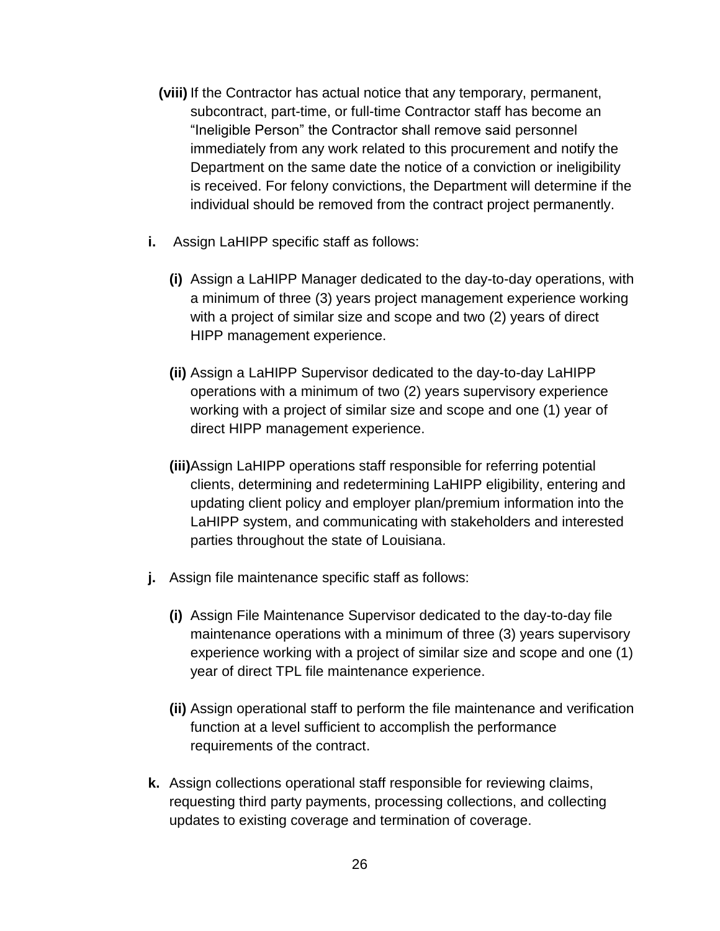- **(viii)** If the Contractor has actual notice that any temporary, permanent, subcontract, part-time, or full-time Contractor staff has become an "Ineligible Person" the Contractor shall remove said personnel immediately from any work related to this procurement and notify the Department on the same date the notice of a conviction or ineligibility is received. For felony convictions, the Department will determine if the individual should be removed from the contract project permanently.
- **i.** Assign LaHIPP specific staff as follows:
	- **(i)** Assign a LaHIPP Manager dedicated to the day-to-day operations, with a minimum of three (3) years project management experience working with a project of similar size and scope and two (2) years of direct HIPP management experience.
	- **(ii)** Assign a LaHIPP Supervisor dedicated to the day-to-day LaHIPP operations with a minimum of two (2) years supervisory experience working with a project of similar size and scope and one (1) year of direct HIPP management experience.
	- **(iii)**Assign LaHIPP operations staff responsible for referring potential clients, determining and redetermining LaHIPP eligibility, entering and updating client policy and employer plan/premium information into the LaHIPP system, and communicating with stakeholders and interested parties throughout the state of Louisiana.
- **j.** Assign file maintenance specific staff as follows:
	- **(i)** Assign File Maintenance Supervisor dedicated to the day-to-day file maintenance operations with a minimum of three (3) years supervisory experience working with a project of similar size and scope and one (1) year of direct TPL file maintenance experience.
	- **(ii)** Assign operational staff to perform the file maintenance and verification function at a level sufficient to accomplish the performance requirements of the contract.
- **k.** Assign collections operational staff responsible for reviewing claims, requesting third party payments, processing collections, and collecting updates to existing coverage and termination of coverage.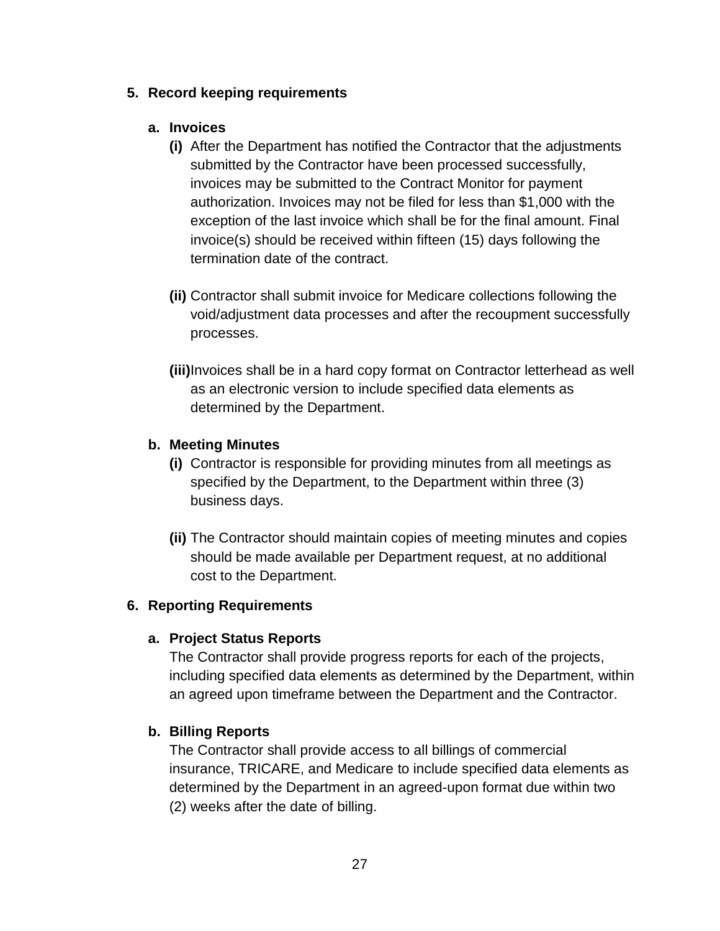### **5. Record keeping requirements**

### **a. Invoices**

- **(i)** After the Department has notified the Contractor that the adjustments submitted by the Contractor have been processed successfully, invoices may be submitted to the Contract Monitor for payment authorization. Invoices may not be filed for less than \$1,000 with the exception of the last invoice which shall be for the final amount. Final invoice(s) should be received within fifteen (15) days following the termination date of the contract.
- **(ii)** Contractor shall submit invoice for Medicare collections following the void/adjustment data processes and after the recoupment successfully processes.
- **(iii)**Invoices shall be in a hard copy format on Contractor letterhead as well as an electronic version to include specified data elements as determined by the Department.

## **b. Meeting Minutes**

- **(i)** Contractor is responsible for providing minutes from all meetings as specified by the Department, to the Department within three (3) business days.
- **(ii)** The Contractor should maintain copies of meeting minutes and copies should be made available per Department request, at no additional cost to the Department.

## **6. Reporting Requirements**

## **a. Project Status Reports**

The Contractor shall provide progress reports for each of the projects, including specified data elements as determined by the Department, within an agreed upon timeframe between the Department and the Contractor.

## **b. Billing Reports**

The Contractor shall provide access to all billings of commercial insurance, TRICARE, and Medicare to include specified data elements as determined by the Department in an agreed-upon format due within two (2) weeks after the date of billing.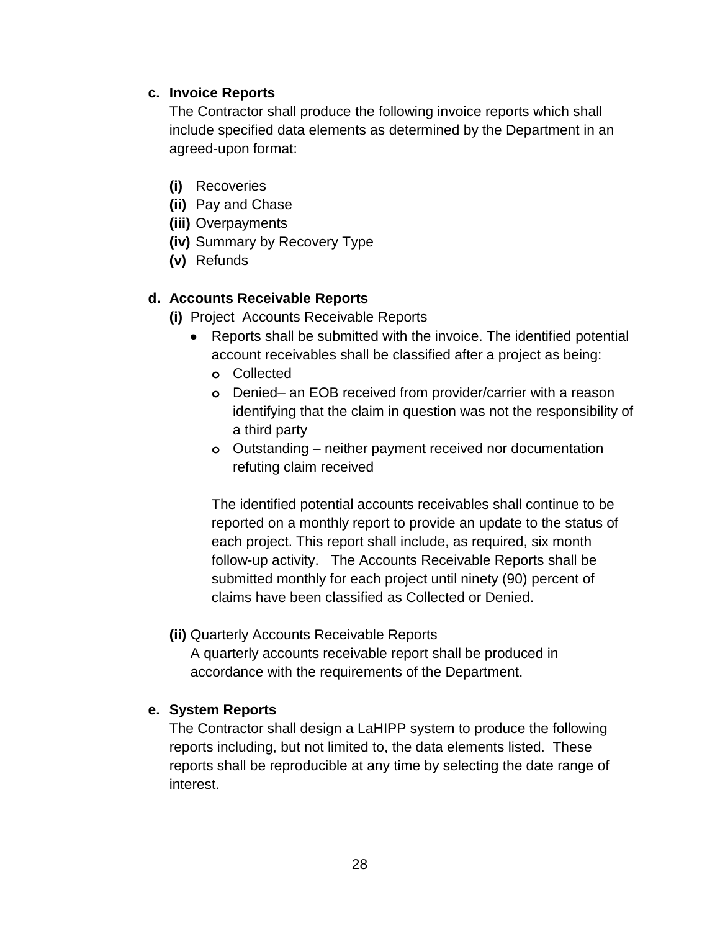### **c. Invoice Reports**

The Contractor shall produce the following invoice reports which shall include specified data elements as determined by the Department in an agreed-upon format:

- **(i)** Recoveries
- **(ii)** Pay and Chase
- **(iii)** Overpayments
- **(iv)** Summary by Recovery Type
- **(v)** Refunds

### **d. Accounts Receivable Reports**

- **(i)** Project Accounts Receivable Reports
	- Reports shall be submitted with the invoice. The identified potential account receivables shall be classified after a project as being:
		- **o** Collected
		- **o** Denied– an EOB received from provider/carrier with a reason identifying that the claim in question was not the responsibility of a third party
		- **o** Outstanding neither payment received nor documentation refuting claim received

The identified potential accounts receivables shall continue to be reported on a monthly report to provide an update to the status of each project. This report shall include, as required, six month follow-up activity. The Accounts Receivable Reports shall be submitted monthly for each project until ninety (90) percent of claims have been classified as Collected or Denied.

#### **(ii)** Quarterly Accounts Receivable Reports

A quarterly accounts receivable report shall be produced in accordance with the requirements of the Department.

#### **e. System Reports**

The Contractor shall design a LaHIPP system to produce the following reports including, but not limited to, the data elements listed. These reports shall be reproducible at any time by selecting the date range of interest.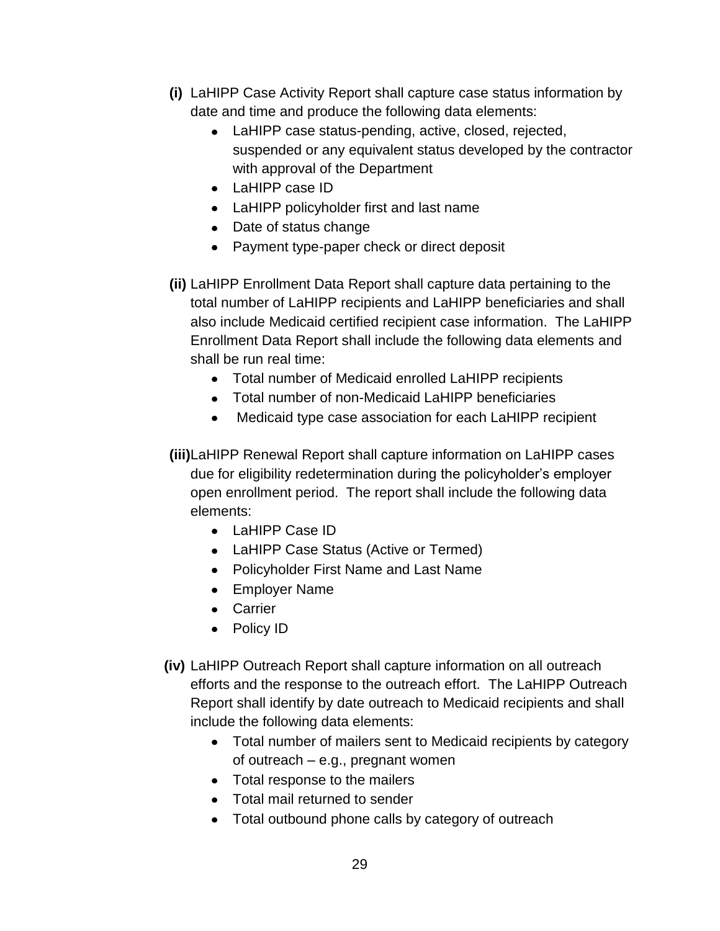- **(i)** LaHIPP Case Activity Report shall capture case status information by date and time and produce the following data elements:
	- LaHIPP case status-pending, active, closed, rejected, suspended or any equivalent status developed by the contractor with approval of the Department
	- LaHIPP case ID
	- LaHIPP policyholder first and last name
	- Date of status change
	- Payment type-paper check or direct deposit
- **(ii)** LaHIPP Enrollment Data Report shall capture data pertaining to the total number of LaHIPP recipients and LaHIPP beneficiaries and shall also include Medicaid certified recipient case information. The LaHIPP Enrollment Data Report shall include the following data elements and shall be run real time:
	- Total number of Medicaid enrolled LaHIPP recipients
	- Total number of non-Medicaid LaHIPP beneficiaries
	- $\bullet$ Medicaid type case association for each LaHIPP recipient
- **(iii)**LaHIPP Renewal Report shall capture information on LaHIPP cases due for eligibility redetermination during the policyholder's employer open enrollment period. The report shall include the following data elements:
	- LaHIPP Case ID
	- LaHIPP Case Status (Active or Termed)
	- Policyholder First Name and Last Name
	- Employer Name
	- Carrier
	- Policy ID
- **(iv)** LaHIPP Outreach Report shall capture information on all outreach efforts and the response to the outreach effort. The LaHIPP Outreach Report shall identify by date outreach to Medicaid recipients and shall include the following data elements:
	- Total number of mailers sent to Medicaid recipients by category of outreach – e.g., pregnant women
	- Total response to the mailers
	- Total mail returned to sender
	- Total outbound phone calls by category of outreach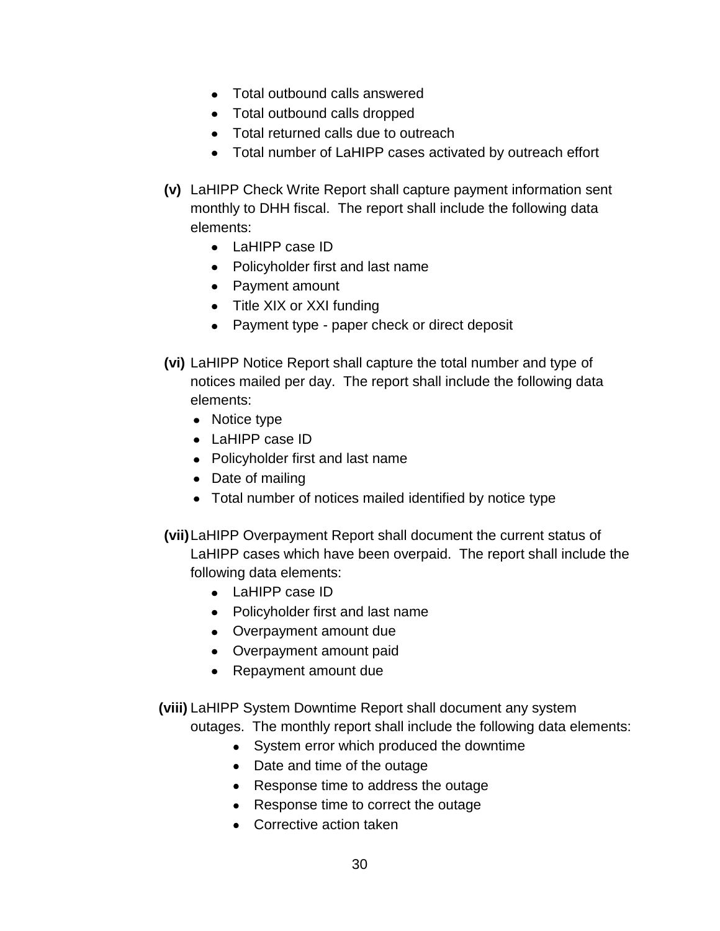- Total outbound calls answered
- Total outbound calls dropped
- Total returned calls due to outreach
- Total number of LaHIPP cases activated by outreach effort
- **(v)** LaHIPP Check Write Report shall capture payment information sent monthly to DHH fiscal. The report shall include the following data elements:
	- LaHIPP case ID
	- Policyholder first and last name
	- Payment amount
	- Title XIX or XXI funding
	- Payment type paper check or direct deposit
- **(vi)** LaHIPP Notice Report shall capture the total number and type of notices mailed per day. The report shall include the following data elements:
	- Notice type
	- LaHIPP case ID
	- Policyholder first and last name
	- Date of mailing
	- Total number of notices mailed identified by notice type
- **(vii)**LaHIPP Overpayment Report shall document the current status of LaHIPP cases which have been overpaid. The report shall include the following data elements:
	- LaHIPP case ID
	- Policyholder first and last name
	- Overpayment amount due
	- Overpayment amount paid
	- Repayment amount due
- **(viii)** LaHIPP System Downtime Report shall document any system

outages. The monthly report shall include the following data elements:

- System error which produced the downtime
- Date and time of the outage
- Response time to address the outage
- Response time to correct the outage
- Corrective action taken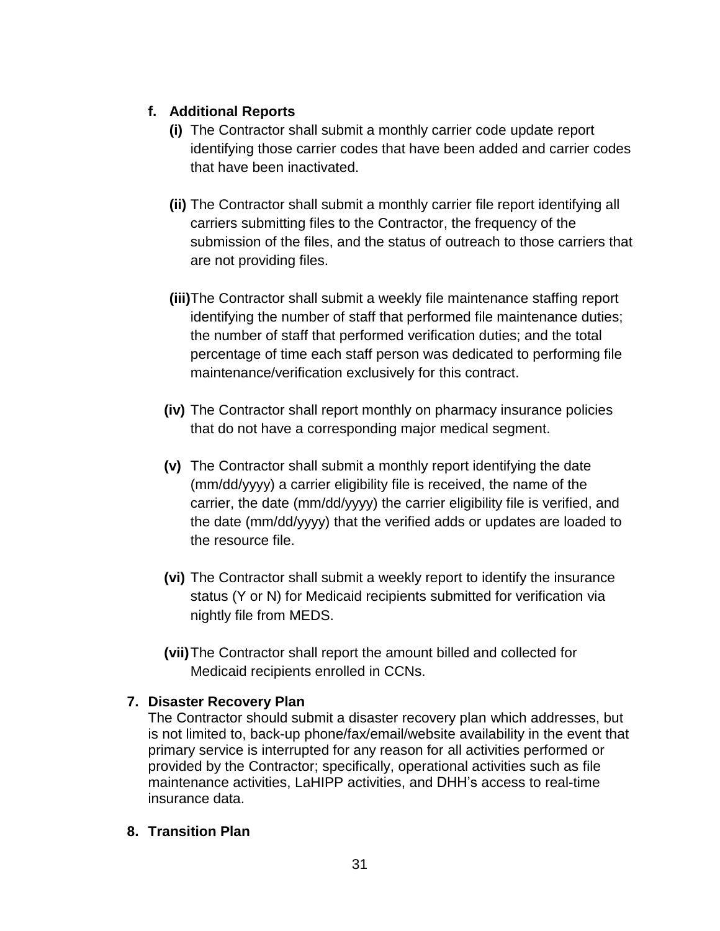# **f. Additional Reports**

- **(i)** The Contractor shall submit a monthly carrier code update report identifying those carrier codes that have been added and carrier codes that have been inactivated.
- **(ii)** The Contractor shall submit a monthly carrier file report identifying all carriers submitting files to the Contractor, the frequency of the submission of the files, and the status of outreach to those carriers that are not providing files.
- **(iii)**The Contractor shall submit a weekly file maintenance staffing report identifying the number of staff that performed file maintenance duties; the number of staff that performed verification duties; and the total percentage of time each staff person was dedicated to performing file maintenance/verification exclusively for this contract.
- **(iv)** The Contractor shall report monthly on pharmacy insurance policies that do not have a corresponding major medical segment.
- **(v)** The Contractor shall submit a monthly report identifying the date (mm/dd/yyyy) a carrier eligibility file is received, the name of the carrier, the date (mm/dd/yyyy) the carrier eligibility file is verified, and the date (mm/dd/yyyy) that the verified adds or updates are loaded to the resource file.
- **(vi)** The Contractor shall submit a weekly report to identify the insurance status (Y or N) for Medicaid recipients submitted for verification via nightly file from MEDS.
- **(vii)**The Contractor shall report the amount billed and collected for Medicaid recipients enrolled in CCNs.

## **7. Disaster Recovery Plan**

The Contractor should submit a disaster recovery plan which addresses, but is not limited to, back-up phone/fax/email/website availability in the event that primary service is interrupted for any reason for all activities performed or provided by the Contractor; specifically, operational activities such as file maintenance activities, LaHIPP activities, and DHH's access to real-time insurance data.

## **8. Transition Plan**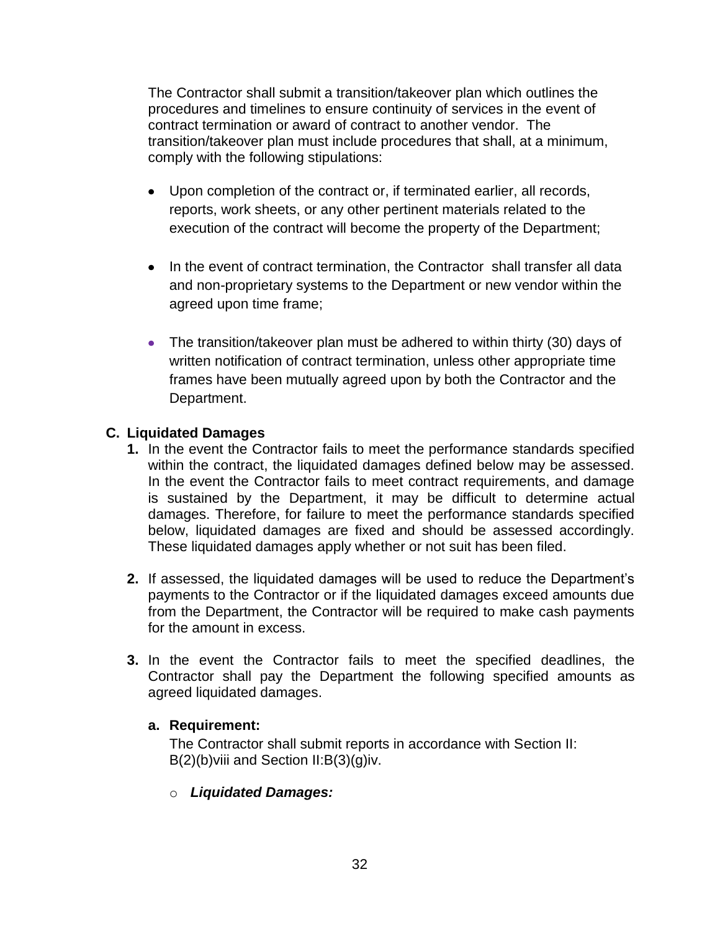The Contractor shall submit a transition/takeover plan which outlines the procedures and timelines to ensure continuity of services in the event of contract termination or award of contract to another vendor. The transition/takeover plan must include procedures that shall, at a minimum, comply with the following stipulations:

- Upon completion of the contract or, if terminated earlier, all records, reports, work sheets, or any other pertinent materials related to the execution of the contract will become the property of the Department;
- In the event of contract termination, the Contractor shall transfer all data and non-proprietary systems to the Department or new vendor within the agreed upon time frame;
- The transition/takeover plan must be adhered to within thirty (30) days of written notification of contract termination, unless other appropriate time frames have been mutually agreed upon by both the Contractor and the Department.

## <span id="page-31-0"></span>**C. Liquidated Damages**

- **1.** In the event the Contractor fails to meet the performance standards specified within the contract, the liquidated damages defined below may be assessed. In the event the Contractor fails to meet contract requirements, and damage is sustained by the Department, it may be difficult to determine actual damages. Therefore, for failure to meet the performance standards specified below, liquidated damages are fixed and should be assessed accordingly. These liquidated damages apply whether or not suit has been filed.
- **2.** If assessed, the liquidated damages will be used to reduce the Department's payments to the Contractor or if the liquidated damages exceed amounts due from the Department, the Contractor will be required to make cash payments for the amount in excess.
- **3.** In the event the Contractor fails to meet the specified deadlines, the Contractor shall pay the Department the following specified amounts as agreed liquidated damages.

#### **a. Requirement:**

The Contractor shall submit reports in accordance with Section II: B(2)(b)viii and Section II:B(3)(g)iv.

o *Liquidated Damages:*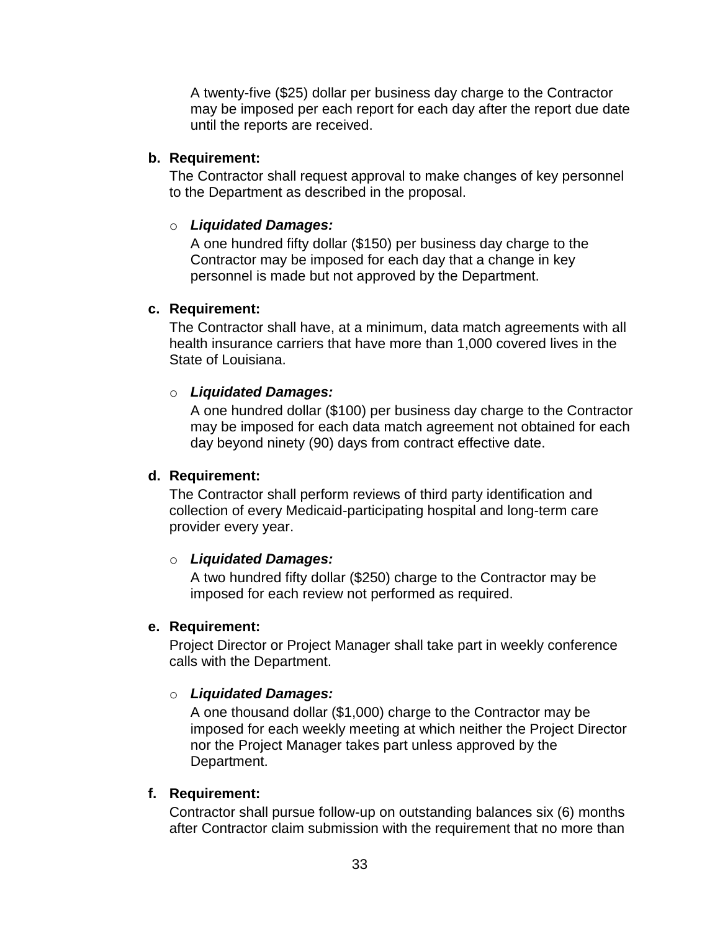A twenty-five (\$25) dollar per business day charge to the Contractor may be imposed per each report for each day after the report due date until the reports are received.

### **b. Requirement:**

The Contractor shall request approval to make changes of key personnel to the Department as described in the proposal.

### o *Liquidated Damages:*

A one hundred fifty dollar (\$150) per business day charge to the Contractor may be imposed for each day that a change in key personnel is made but not approved by the Department.

### **c. Requirement:**

The Contractor shall have, at a minimum, data match agreements with all health insurance carriers that have more than 1,000 covered lives in the State of Louisiana.

## o *Liquidated Damages:*

A one hundred dollar (\$100) per business day charge to the Contractor may be imposed for each data match agreement not obtained for each day beyond ninety (90) days from contract effective date.

## **d. Requirement:**

The Contractor shall perform reviews of third party identification and collection of every Medicaid-participating hospital and long-term care provider every year.

## o *Liquidated Damages:*

A two hundred fifty dollar (\$250) charge to the Contractor may be imposed for each review not performed as required.

#### **e. Requirement:**

Project Director or Project Manager shall take part in weekly conference calls with the Department.

## o *Liquidated Damages:*

A one thousand dollar (\$1,000) charge to the Contractor may be imposed for each weekly meeting at which neither the Project Director nor the Project Manager takes part unless approved by the Department.

## **f. Requirement:**

Contractor shall pursue follow-up on outstanding balances six (6) months after Contractor claim submission with the requirement that no more than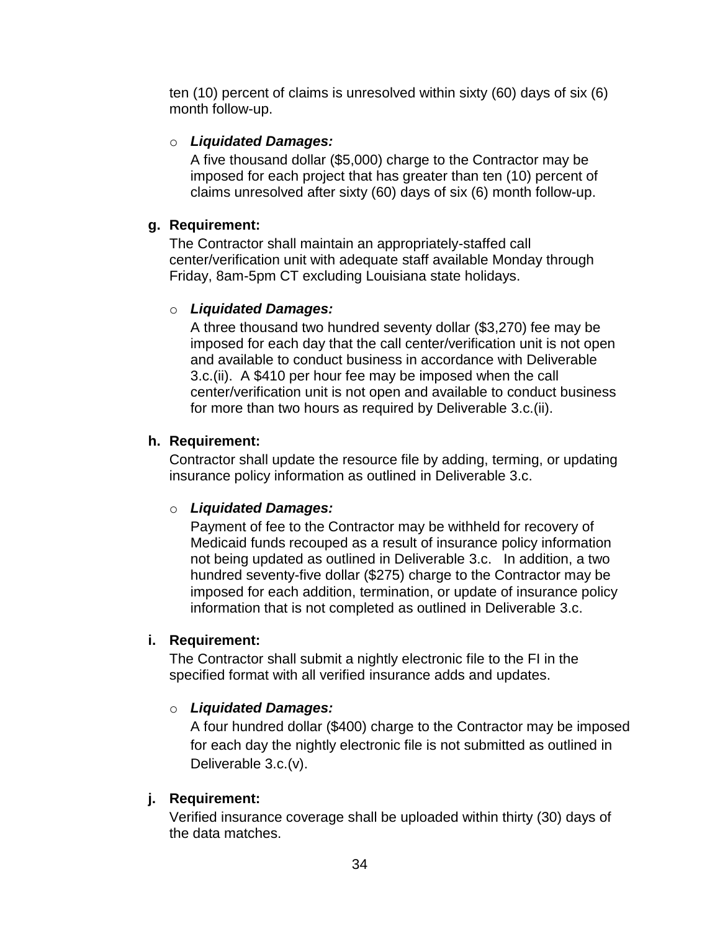ten (10) percent of claims is unresolved within sixty (60) days of six (6) month follow-up.

### o *Liquidated Damages:*

A five thousand dollar (\$5,000) charge to the Contractor may be imposed for each project that has greater than ten (10) percent of claims unresolved after sixty (60) days of six (6) month follow-up.

### **g. Requirement:**

The Contractor shall maintain an appropriately-staffed call center/verification unit with adequate staff available Monday through Friday, 8am-5pm CT excluding Louisiana state holidays.

### o *Liquidated Damages:*

A three thousand two hundred seventy dollar (\$3,270) fee may be imposed for each day that the call center/verification unit is not open and available to conduct business in accordance with Deliverable 3.c.(ii). A \$410 per hour fee may be imposed when the call center/verification unit is not open and available to conduct business for more than two hours as required by Deliverable 3.c.(ii).

### **h. Requirement:**

Contractor shall update the resource file by adding, terming, or updating insurance policy information as outlined in Deliverable 3.c.

#### o *Liquidated Damages:*

Payment of fee to the Contractor may be withheld for recovery of Medicaid funds recouped as a result of insurance policy information not being updated as outlined in Deliverable 3.c. In addition, a two hundred seventy-five dollar (\$275) charge to the Contractor may be imposed for each addition, termination, or update of insurance policy information that is not completed as outlined in Deliverable 3.c.

#### **i. Requirement:**

The Contractor shall submit a nightly electronic file to the FI in the specified format with all verified insurance adds and updates.

## o *Liquidated Damages:*

A four hundred dollar (\$400) charge to the Contractor may be imposed for each day the nightly electronic file is not submitted as outlined in Deliverable 3.c.(v).

#### **j. Requirement:**

Verified insurance coverage shall be uploaded within thirty (30) days of the data matches.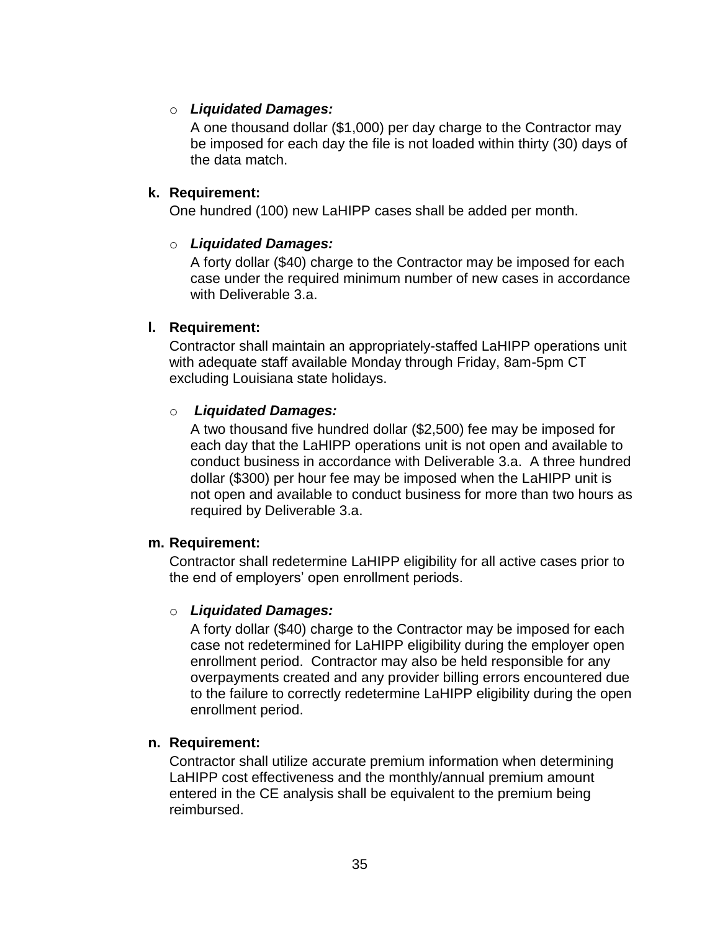### o *Liquidated Damages:*

A one thousand dollar (\$1,000) per day charge to the Contractor may be imposed for each day the file is not loaded within thirty (30) days of the data match.

#### **k. Requirement:**

One hundred (100) new LaHIPP cases shall be added per month.

#### o *Liquidated Damages:*

A forty dollar (\$40) charge to the Contractor may be imposed for each case under the required minimum number of new cases in accordance with Deliverable 3.a.

#### **l. Requirement:**

Contractor shall maintain an appropriately-staffed LaHIPP operations unit with adequate staff available Monday through Friday, 8am-5pm CT excluding Louisiana state holidays.

#### o *Liquidated Damages:*

A two thousand five hundred dollar (\$2,500) fee may be imposed for each day that the LaHIPP operations unit is not open and available to conduct business in accordance with Deliverable 3.a. A three hundred dollar (\$300) per hour fee may be imposed when the LaHIPP unit is not open and available to conduct business for more than two hours as required by Deliverable 3.a.

#### **m. Requirement:**

Contractor shall redetermine LaHIPP eligibility for all active cases prior to the end of employers' open enrollment periods.

#### o *Liquidated Damages:*

A forty dollar (\$40) charge to the Contractor may be imposed for each case not redetermined for LaHIPP eligibility during the employer open enrollment period. Contractor may also be held responsible for any overpayments created and any provider billing errors encountered due to the failure to correctly redetermine LaHIPP eligibility during the open enrollment period.

#### **n. Requirement:**

Contractor shall utilize accurate premium information when determining LaHIPP cost effectiveness and the monthly/annual premium amount entered in the CE analysis shall be equivalent to the premium being reimbursed.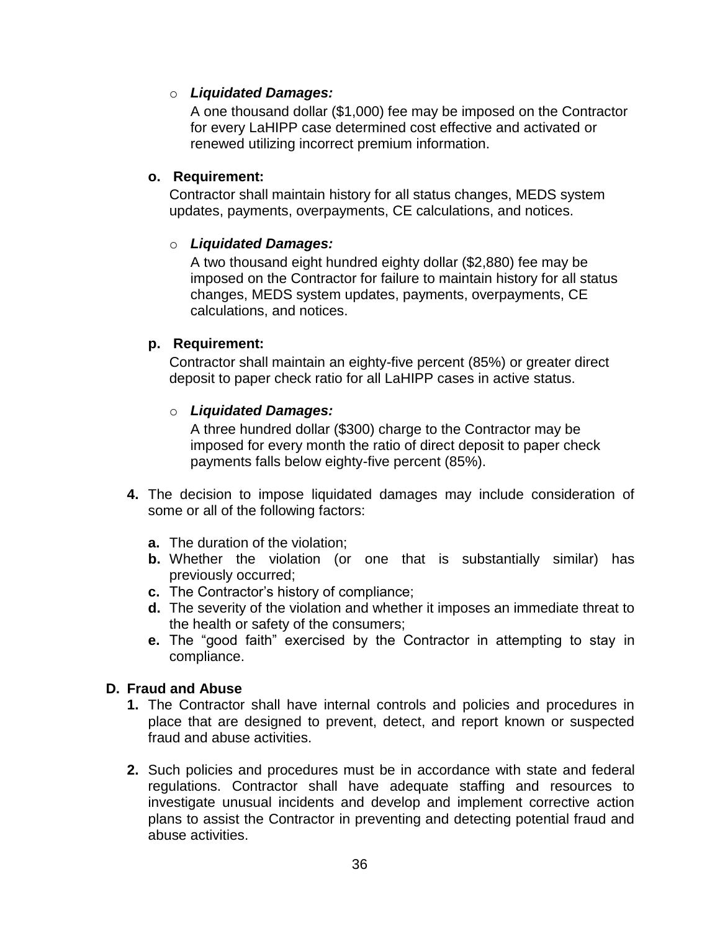### o *Liquidated Damages:*

A one thousand dollar (\$1,000) fee may be imposed on the Contractor for every LaHIPP case determined cost effective and activated or renewed utilizing incorrect premium information.

#### **o. Requirement:**

Contractor shall maintain history for all status changes, MEDS system updates, payments, overpayments, CE calculations, and notices.

### o *Liquidated Damages:*

A two thousand eight hundred eighty dollar (\$2,880) fee may be imposed on the Contractor for failure to maintain history for all status changes, MEDS system updates, payments, overpayments, CE calculations, and notices.

### **p. Requirement:**

Contractor shall maintain an eighty-five percent (85%) or greater direct deposit to paper check ratio for all LaHIPP cases in active status.

### o *Liquidated Damages:*

A three hundred dollar (\$300) charge to the Contractor may be imposed for every month the ratio of direct deposit to paper check payments falls below eighty-five percent (85%).

- **4.** The decision to impose liquidated damages may include consideration of some or all of the following factors:
	- **a.** The duration of the violation;
	- **b.** Whether the violation (or one that is substantially similar) has previously occurred;
	- **c.** The Contractor's history of compliance;
	- **d.** The severity of the violation and whether it imposes an immediate threat to the health or safety of the consumers;
	- **e.** The "good faith" exercised by the Contractor in attempting to stay in compliance.

## <span id="page-35-0"></span>**D. Fraud and Abuse**

- **1.** The Contractor shall have internal controls and policies and procedures in place that are designed to prevent, detect, and report known or suspected fraud and abuse activities.
- **2.** Such policies and procedures must be in accordance with state and federal regulations. Contractor shall have adequate staffing and resources to investigate unusual incidents and develop and implement corrective action plans to assist the Contractor in preventing and detecting potential fraud and abuse activities.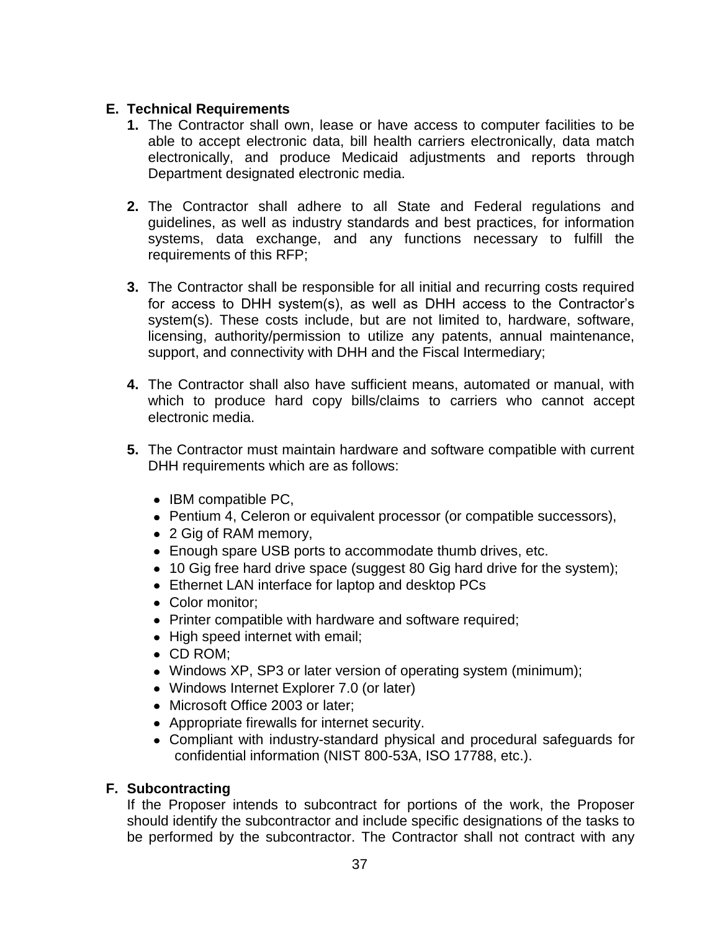### <span id="page-36-0"></span>**E. Technical Requirements**

- **1.** The Contractor shall own, lease or have access to computer facilities to be able to accept electronic data, bill health carriers electronically, data match electronically, and produce Medicaid adjustments and reports through Department designated electronic media.
- **2.** The Contractor shall adhere to all State and Federal regulations and guidelines, as well as industry standards and best practices, for information systems, data exchange, and any functions necessary to fulfill the requirements of this RFP;
- **3.** The Contractor shall be responsible for all initial and recurring costs required for access to DHH system(s), as well as DHH access to the Contractor's system(s). These costs include, but are not limited to, hardware, software, licensing, authority/permission to utilize any patents, annual maintenance, support, and connectivity with DHH and the Fiscal Intermediary;
- **4.** The Contractor shall also have sufficient means, automated or manual, with which to produce hard copy bills/claims to carriers who cannot accept electronic media.
- **5.** The Contractor must maintain hardware and software compatible with current DHH requirements which are as follows:
	- IBM compatible PC,
	- Pentium 4, Celeron or equivalent processor (or compatible successors),
	- 2 Gig of RAM memory,
	- Enough spare USB ports to accommodate thumb drives, etc.
	- 10 Gig free hard drive space (suggest 80 Gig hard drive for the system);
	- Ethernet LAN interface for laptop and desktop PCs
	- Color monitor:
	- Printer compatible with hardware and software required;
	- High speed internet with email;
	- CD ROM;
	- Windows XP, SP3 or later version of operating system (minimum);
	- Windows Internet Explorer 7.0 (or later)
	- Microsoft Office 2003 or later;
	- Appropriate firewalls for internet security.
	- Compliant with industry-standard physical and procedural safeguards for confidential information (NIST 800-53A, ISO 17788, etc.).

#### <span id="page-36-1"></span>**F. Subcontracting**

If the Proposer intends to subcontract for portions of the work, the Proposer should identify the subcontractor and include specific designations of the tasks to be performed by the subcontractor. The Contractor shall not contract with any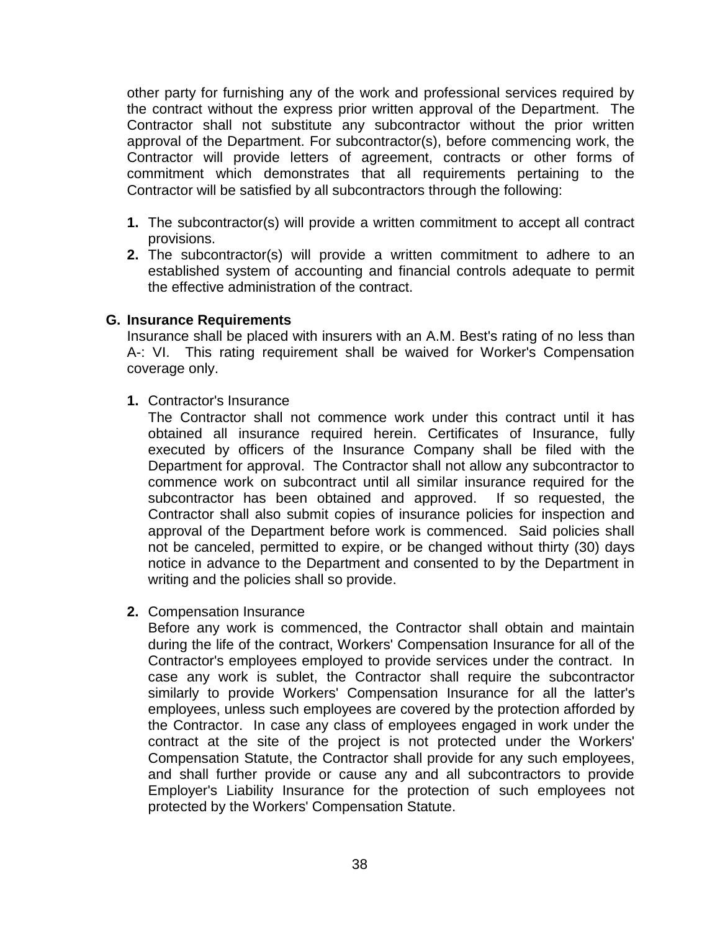other party for furnishing any of the work and professional services required by the contract without the express prior written approval of the Department. The Contractor shall not substitute any subcontractor without the prior written approval of the Department. For subcontractor(s), before commencing work, the Contractor will provide letters of agreement, contracts or other forms of commitment which demonstrates that all requirements pertaining to the Contractor will be satisfied by all subcontractors through the following:

- **1.** The subcontractor(s) will provide a written commitment to accept all contract provisions.
- **2.** The subcontractor(s) will provide a written commitment to adhere to an established system of accounting and financial controls adequate to permit the effective administration of the contract.

#### <span id="page-37-0"></span>**G. Insurance Requirements**

Insurance shall be placed with insurers with an A.M. Best's rating of no less than A-: VI. This rating requirement shall be waived for Worker's Compensation coverage only.

**1.** Contractor's Insurance

The Contractor shall not commence work under this contract until it has obtained all insurance required herein. Certificates of Insurance, fully executed by officers of the Insurance Company shall be filed with the Department for approval. The Contractor shall not allow any subcontractor to commence work on subcontract until all similar insurance required for the subcontractor has been obtained and approved. If so requested, the Contractor shall also submit copies of insurance policies for inspection and approval of the Department before work is commenced. Said policies shall not be canceled, permitted to expire, or be changed without thirty (30) days notice in advance to the Department and consented to by the Department in writing and the policies shall so provide.

**2.** Compensation Insurance

Before any work is commenced, the Contractor shall obtain and maintain during the life of the contract, Workers' Compensation Insurance for all of the Contractor's employees employed to provide services under the contract. In case any work is sublet, the Contractor shall require the subcontractor similarly to provide Workers' Compensation Insurance for all the latter's employees, unless such employees are covered by the protection afforded by the Contractor. In case any class of employees engaged in work under the contract at the site of the project is not protected under the Workers' Compensation Statute, the Contractor shall provide for any such employees, and shall further provide or cause any and all subcontractors to provide Employer's Liability Insurance for the protection of such employees not protected by the Workers' Compensation Statute.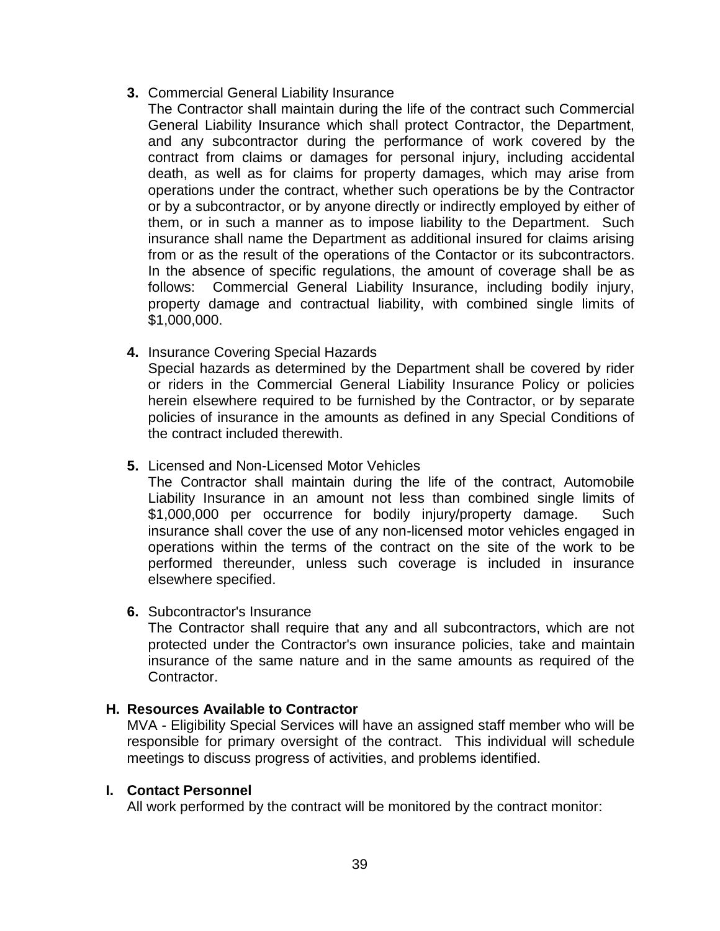- **3.** Commercial General Liability Insurance
	- The Contractor shall maintain during the life of the contract such Commercial General Liability Insurance which shall protect Contractor, the Department, and any subcontractor during the performance of work covered by the contract from claims or damages for personal injury, including accidental death, as well as for claims for property damages, which may arise from operations under the contract, whether such operations be by the Contractor or by a subcontractor, or by anyone directly or indirectly employed by either of them, or in such a manner as to impose liability to the Department. Such insurance shall name the Department as additional insured for claims arising from or as the result of the operations of the Contactor or its subcontractors. In the absence of specific regulations, the amount of coverage shall be as follows: Commercial General Liability Insurance, including bodily injury, property damage and contractual liability, with combined single limits of \$1,000,000.
- **4.** Insurance Covering Special Hazards

Special hazards as determined by the Department shall be covered by rider or riders in the Commercial General Liability Insurance Policy or policies herein elsewhere required to be furnished by the Contractor, or by separate policies of insurance in the amounts as defined in any Special Conditions of the contract included therewith.

**5.** Licensed and Non-Licensed Motor Vehicles

The Contractor shall maintain during the life of the contract, Automobile Liability Insurance in an amount not less than combined single limits of \$1,000,000 per occurrence for bodily injury/property damage. Such insurance shall cover the use of any non-licensed motor vehicles engaged in operations within the terms of the contract on the site of the work to be performed thereunder, unless such coverage is included in insurance elsewhere specified.

**6.** Subcontractor's Insurance

The Contractor shall require that any and all subcontractors, which are not protected under the Contractor's own insurance policies, take and maintain insurance of the same nature and in the same amounts as required of the Contractor.

#### <span id="page-38-0"></span>**H. Resources Available to Contractor**

MVA - Eligibility Special Services will have an assigned staff member who will be responsible for primary oversight of the contract. This individual will schedule meetings to discuss progress of activities, and problems identified.

#### <span id="page-38-1"></span>**I. Contact Personnel**

All work performed by the contract will be monitored by the contract monitor: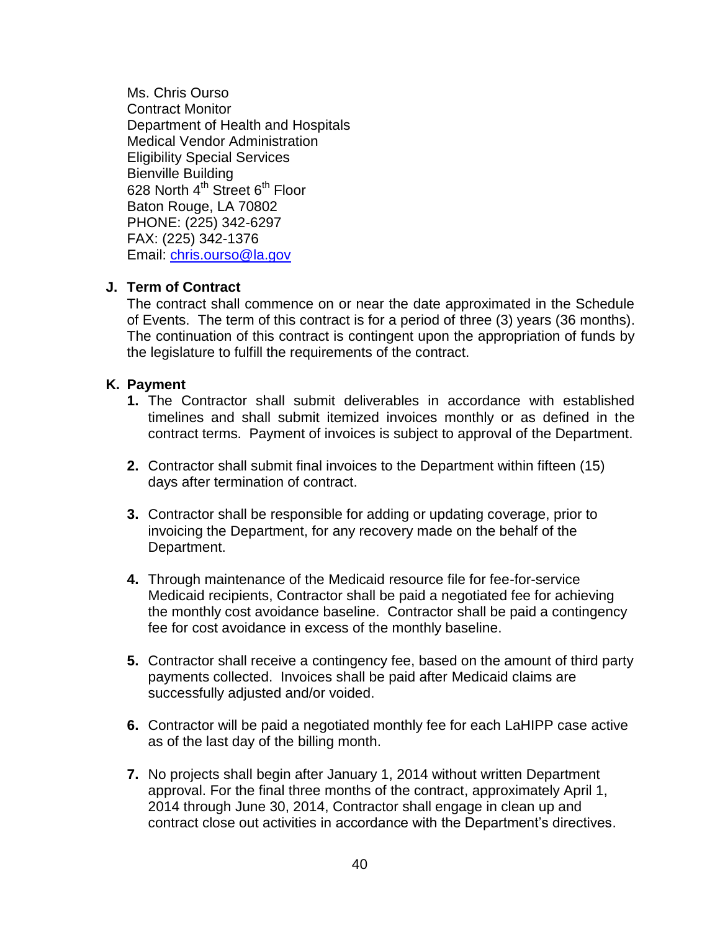Ms. Chris Ourso Contract Monitor Department of Health and Hospitals Medical Vendor Administration Eligibility Special Services Bienville Building 628 North 4<sup>th</sup> Street 6<sup>th</sup> Floor Baton Rouge, LA 70802 PHONE: (225) 342-6297 FAX: (225) 342-1376 Email: [chris.ourso@la.gov](mailto:chris.ourso@la.gov)

### <span id="page-39-0"></span>**J. Term of Contract**

The contract shall commence on or near the date approximated in the Schedule of Events. The term of this contract is for a period of three (3) years (36 months). The continuation of this contract is contingent upon the appropriation of funds by the legislature to fulfill the requirements of the contract.

#### <span id="page-39-1"></span>**K. Payment**

- **1.** The Contractor shall submit deliverables in accordance with established timelines and shall submit itemized invoices monthly or as defined in the contract terms. Payment of invoices is subject to approval of the Department.
- **2.** Contractor shall submit final invoices to the Department within fifteen (15) days after termination of contract.
- **3.** Contractor shall be responsible for adding or updating coverage, prior to invoicing the Department, for any recovery made on the behalf of the Department.
- **4.** Through maintenance of the Medicaid resource file for fee-for-service Medicaid recipients, Contractor shall be paid a negotiated fee for achieving the monthly cost avoidance baseline. Contractor shall be paid a contingency fee for cost avoidance in excess of the monthly baseline.
- **5.** Contractor shall receive a contingency fee, based on the amount of third party payments collected. Invoices shall be paid after Medicaid claims are successfully adjusted and/or voided.
- **6.** Contractor will be paid a negotiated monthly fee for each LaHIPP case active as of the last day of the billing month.
- **7.** No projects shall begin after January 1, 2014 without written Department approval. For the final three months of the contract, approximately April 1, 2014 through June 30, 2014, Contractor shall engage in clean up and contract close out activities in accordance with the Department's directives.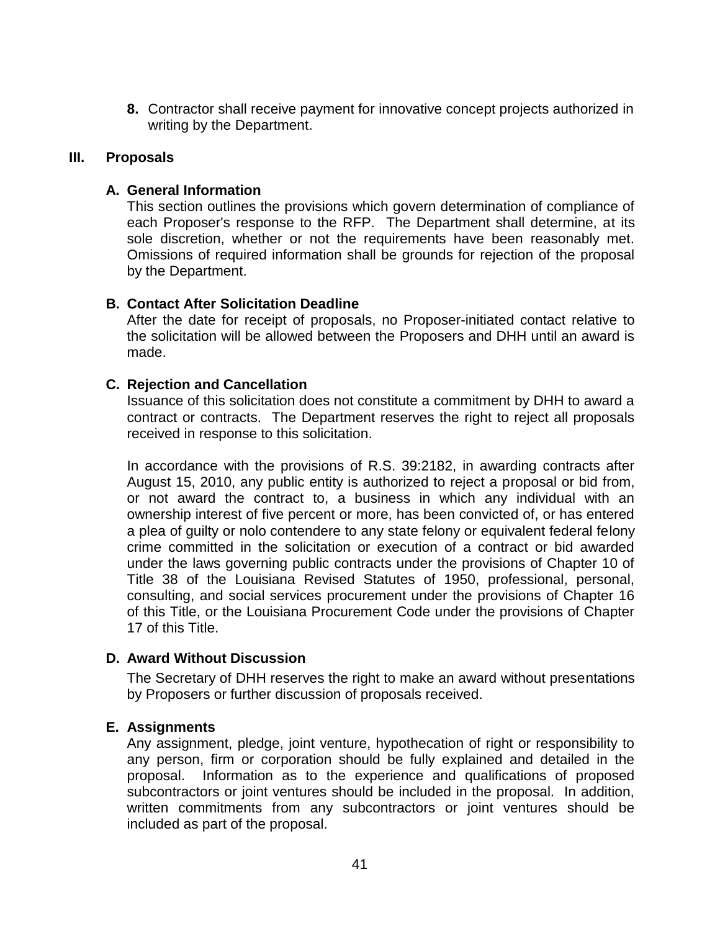**8.** Contractor shall receive payment for innovative concept projects authorized in writing by the Department.

#### <span id="page-40-0"></span>**III. Proposals**

## <span id="page-40-1"></span>**A. General Information**

This section outlines the provisions which govern determination of compliance of each Proposer's response to the RFP. The Department shall determine, at its sole discretion, whether or not the requirements have been reasonably met. Omissions of required information shall be grounds for rejection of the proposal by the Department.

## <span id="page-40-2"></span>**B. Contact After Solicitation Deadline**

After the date for receipt of proposals, no Proposer-initiated contact relative to the solicitation will be allowed between the Proposers and DHH until an award is made.

### <span id="page-40-3"></span>**C. Rejection and Cancellation**

Issuance of this solicitation does not constitute a commitment by DHH to award a contract or contracts. The Department reserves the right to reject all proposals received in response to this solicitation.

In accordance with the provisions of R.S. 39:2182, in awarding contracts after August 15, 2010, any public entity is authorized to reject a proposal or bid from, or not award the contract to, a business in which any individual with an ownership interest of five percent or more, has been convicted of, or has entered a plea of guilty or nolo contendere to any state felony or equivalent federal felony crime committed in the solicitation or execution of a contract or bid awarded under the laws governing public contracts under the provisions of Chapter 10 of Title 38 of the Louisiana Revised Statutes of 1950, professional, personal, consulting, and social services procurement under the provisions of Chapter 16 of this Title, or the Louisiana Procurement Code under the provisions of Chapter 17 of this Title.

#### <span id="page-40-4"></span>**D. Award Without Discussion**

The Secretary of DHH reserves the right to make an award without presentations by Proposers or further discussion of proposals received.

#### <span id="page-40-5"></span>**E. Assignments**

Any assignment, pledge, joint venture, hypothecation of right or responsibility to any person, firm or corporation should be fully explained and detailed in the proposal. Information as to the experience and qualifications of proposed subcontractors or joint ventures should be included in the proposal. In addition, written commitments from any subcontractors or joint ventures should be included as part of the proposal.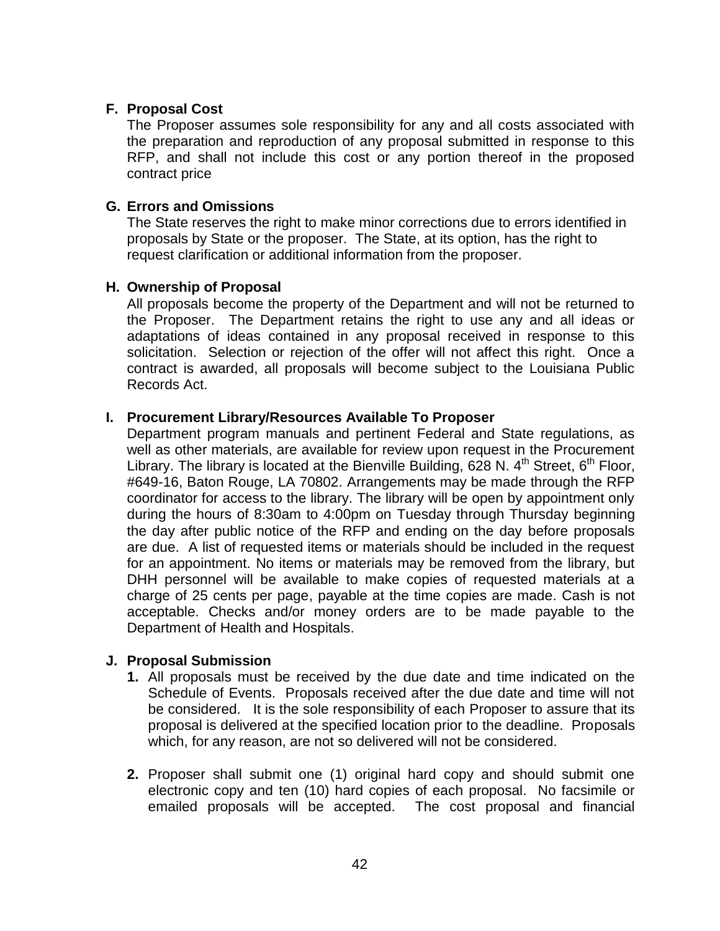### <span id="page-41-0"></span>**F. Proposal Cost**

The Proposer assumes sole responsibility for any and all costs associated with the preparation and reproduction of any proposal submitted in response to this RFP, and shall not include this cost or any portion thereof in the proposed contract price

#### <span id="page-41-1"></span>**G. Errors and Omissions**

The State reserves the right to make minor corrections due to errors identified in proposals by State or the proposer. The State, at its option, has the right to request clarification or additional information from the proposer.

#### <span id="page-41-2"></span>**H. Ownership of Proposal**

All proposals become the property of the Department and will not be returned to the Proposer. The Department retains the right to use any and all ideas or adaptations of ideas contained in any proposal received in response to this solicitation. Selection or rejection of the offer will not affect this right. Once a contract is awarded, all proposals will become subject to the Louisiana Public Records Act.

#### <span id="page-41-3"></span>**I. Procurement Library/Resources Available To Proposer**

Department program manuals and pertinent Federal and State regulations, as well as other materials, are available for review upon request in the Procurement Library. The library is located at the Bienville Building, 628 N.  $4^{\text{th}}$  Street, 6<sup>th</sup> Floor, #649-16, Baton Rouge, LA 70802. Arrangements may be made through the RFP coordinator for access to the library. The library will be open by appointment only during the hours of 8:30am to 4:00pm on Tuesday through Thursday beginning the day after public notice of the RFP and ending on the day before proposals are due. A list of requested items or materials should be included in the request for an appointment. No items or materials may be removed from the library, but DHH personnel will be available to make copies of requested materials at a charge of 25 cents per page, payable at the time copies are made. Cash is not acceptable. Checks and/or money orders are to be made payable to the Department of Health and Hospitals.

#### <span id="page-41-4"></span>**J. Proposal Submission**

- **1.** All proposals must be received by the due date and time indicated on the Schedule of Events. Proposals received after the due date and time will not be considered. It is the sole responsibility of each Proposer to assure that its proposal is delivered at the specified location prior to the deadline. Proposals which, for any reason, are not so delivered will not be considered.
- **2.** Proposer shall submit one (1) original hard copy and should submit one electronic copy and ten (10) hard copies of each proposal. No facsimile or emailed proposals will be accepted. The cost proposal and financial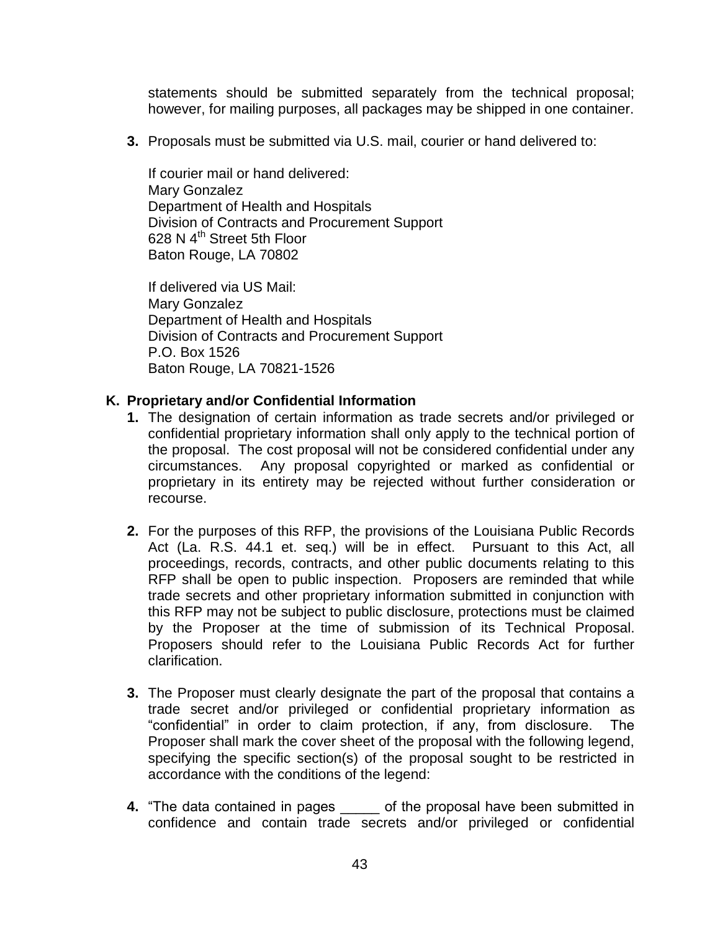statements should be submitted separately from the technical proposal; however, for mailing purposes, all packages may be shipped in one container.

**3.** Proposals must be submitted via U.S. mail, courier or hand delivered to:

If courier mail or hand delivered: Mary Gonzalez Department of Health and Hospitals Division of Contracts and Procurement Support 628 N 4<sup>th</sup> Street 5th Floor Baton Rouge, LA 70802

If delivered via US Mail: Mary Gonzalez Department of Health and Hospitals Division of Contracts and Procurement Support P.O. Box 1526 Baton Rouge, LA 70821-1526

#### <span id="page-42-0"></span>**K. Proprietary and/or Confidential Information**

- **1.** The designation of certain information as trade secrets and/or privileged or confidential proprietary information shall only apply to the technical portion of the proposal. The cost proposal will not be considered confidential under any circumstances. Any proposal copyrighted or marked as confidential or proprietary in its entirety may be rejected without further consideration or recourse.
- **2.** For the purposes of this RFP, the provisions of the Louisiana Public Records Act (La. R.S. 44.1 et. seq.) will be in effect. Pursuant to this Act, all proceedings, records, contracts, and other public documents relating to this RFP shall be open to public inspection. Proposers are reminded that while trade secrets and other proprietary information submitted in conjunction with this RFP may not be subject to public disclosure, protections must be claimed by the Proposer at the time of submission of its Technical Proposal. Proposers should refer to the Louisiana Public Records Act for further clarification.
- **3.** The Proposer must clearly designate the part of the proposal that contains a trade secret and/or privileged or confidential proprietary information as "confidential" in order to claim protection, if any, from disclosure. The Proposer shall mark the cover sheet of the proposal with the following legend, specifying the specific section(s) of the proposal sought to be restricted in accordance with the conditions of the legend:
- **4.** "The data contained in pages of the proposal have been submitted in confidence and contain trade secrets and/or privileged or confidential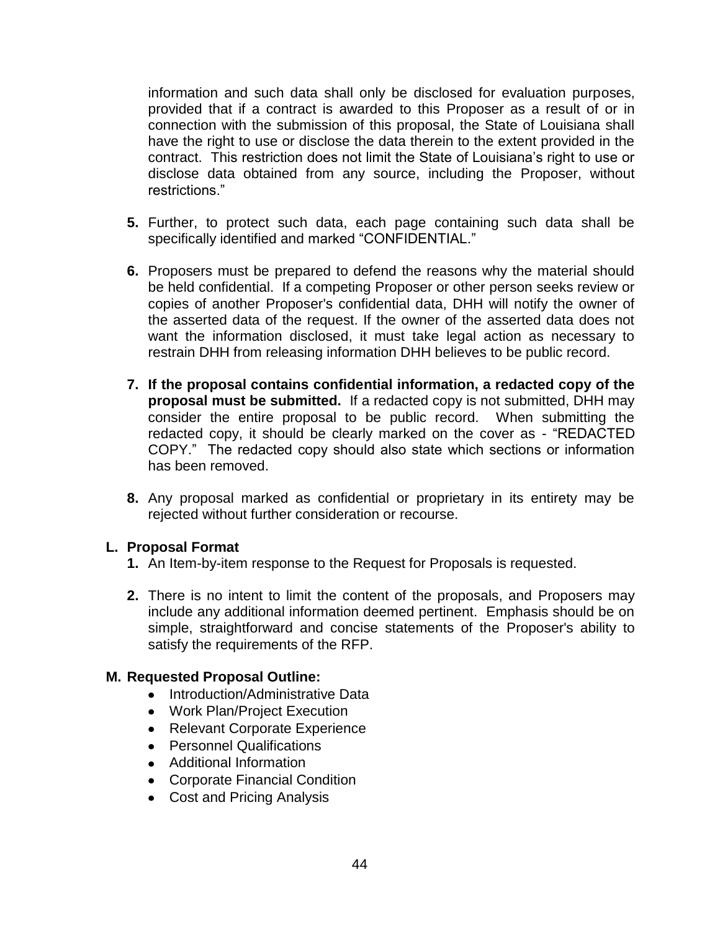information and such data shall only be disclosed for evaluation purposes, provided that if a contract is awarded to this Proposer as a result of or in connection with the submission of this proposal, the State of Louisiana shall have the right to use or disclose the data therein to the extent provided in the contract. This restriction does not limit the State of Louisiana's right to use or disclose data obtained from any source, including the Proposer, without restrictions."

- **5.** Further, to protect such data, each page containing such data shall be specifically identified and marked "CONFIDENTIAL."
- **6.** Proposers must be prepared to defend the reasons why the material should be held confidential. If a competing Proposer or other person seeks review or copies of another Proposer's confidential data, DHH will notify the owner of the asserted data of the request. If the owner of the asserted data does not want the information disclosed, it must take legal action as necessary to restrain DHH from releasing information DHH believes to be public record.
- **7. If the proposal contains confidential information, a redacted copy of the proposal must be submitted.** If a redacted copy is not submitted, DHH may consider the entire proposal to be public record. When submitting the redacted copy, it should be clearly marked on the cover as - "REDACTED COPY." The redacted copy should also state which sections or information has been removed.
- **8.** Any proposal marked as confidential or proprietary in its entirety may be rejected without further consideration or recourse.

#### <span id="page-43-0"></span>**L. Proposal Format**

- **1.** An Item-by-item response to the Request for Proposals is requested.
- **2.** There is no intent to limit the content of the proposals, and Proposers may include any additional information deemed pertinent. Emphasis should be on simple, straightforward and concise statements of the Proposer's ability to satisfy the requirements of the RFP.

#### <span id="page-43-1"></span>**M. Requested Proposal Outline:**

- Introduction/Administrative Data
- Work Plan/Project Execution
- Relevant Corporate Experience
- Personnel Qualifications
- Additional Information
- Corporate Financial Condition
- Cost and Pricing Analysis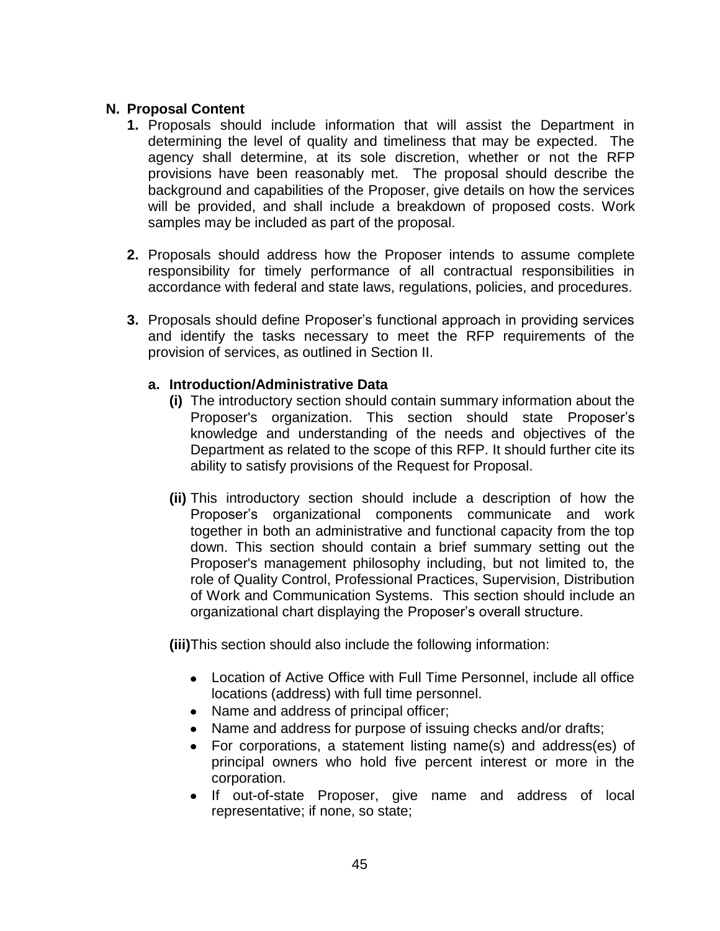### <span id="page-44-0"></span>**N. Proposal Content**

- **1.** Proposals should include information that will assist the Department in determining the level of quality and timeliness that may be expected. The agency shall determine, at its sole discretion, whether or not the RFP provisions have been reasonably met. The proposal should describe the background and capabilities of the Proposer, give details on how the services will be provided, and shall include a breakdown of proposed costs. Work samples may be included as part of the proposal.
- **2.** Proposals should address how the Proposer intends to assume complete responsibility for timely performance of all contractual responsibilities in accordance with federal and state laws, regulations, policies, and procedures.
- **3.** Proposals should define Proposer's functional approach in providing services and identify the tasks necessary to meet the RFP requirements of the provision of services, as outlined in Section II.

### **a. Introduction/Administrative Data**

- **(i)** The introductory section should contain summary information about the Proposer's organization. This section should state Proposer's knowledge and understanding of the needs and objectives of the Department as related to the scope of this RFP. It should further cite its ability to satisfy provisions of the Request for Proposal.
- **(ii)** This introductory section should include a description of how the Proposer's organizational components communicate and work together in both an administrative and functional capacity from the top down. This section should contain a brief summary setting out the Proposer's management philosophy including, but not limited to, the role of Quality Control, Professional Practices, Supervision, Distribution of Work and Communication Systems. This section should include an organizational chart displaying the Proposer's overall structure.

**(iii)**This section should also include the following information:

- Location of Active Office with Full Time Personnel, include all office locations (address) with full time personnel.
- Name and address of principal officer;
- Name and address for purpose of issuing checks and/or drafts;  $\bullet$
- For corporations, a statement listing name(s) and address(es) of principal owners who hold five percent interest or more in the corporation.
- If out-of-state Proposer, give name and address of local representative; if none, so state;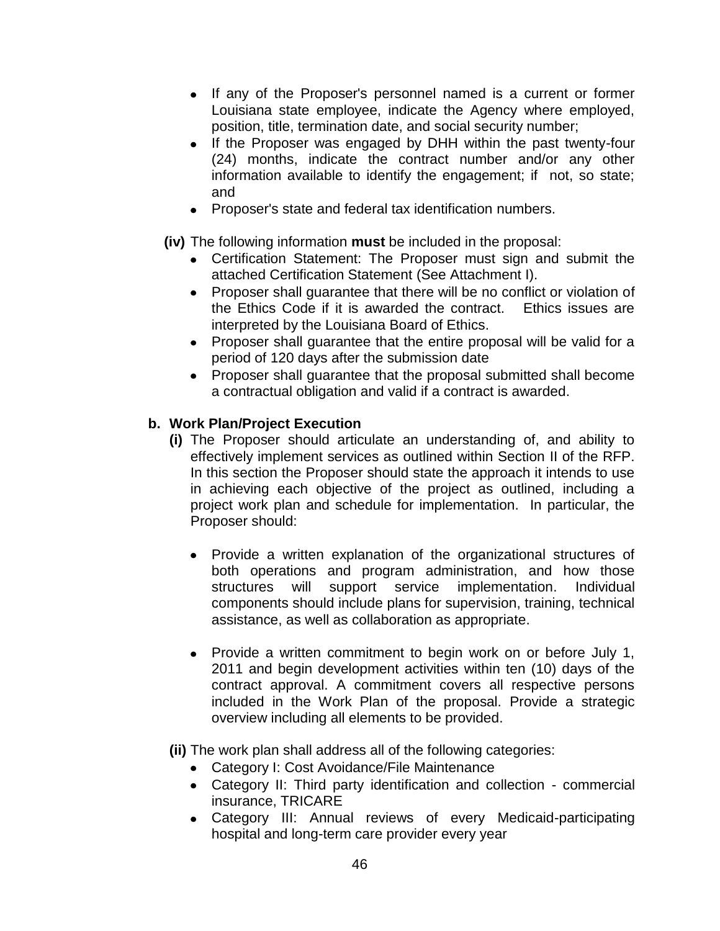- If any of the Proposer's personnel named is a current or former Louisiana state employee, indicate the Agency where employed, position, title, termination date, and social security number;
- If the Proposer was engaged by DHH within the past twenty-four (24) months, indicate the contract number and/or any other information available to identify the engagement; if not, so state; and
- Proposer's state and federal tax identification numbers.
- **(iv)** The following information **must** be included in the proposal:
	- Certification Statement: The Proposer must sign and submit the attached Certification Statement (See Attachment I).
	- Proposer shall quarantee that there will be no conflict or violation of the Ethics Code if it is awarded the contract. Ethics issues are interpreted by the Louisiana Board of Ethics.
	- Proposer shall guarantee that the entire proposal will be valid for a period of 120 days after the submission date
	- Proposer shall quarantee that the proposal submitted shall become a contractual obligation and valid if a contract is awarded.

# **b. Work Plan/Project Execution**

- **(i)** The Proposer should articulate an understanding of, and ability to effectively implement services as outlined within Section II of the RFP. In this section the Proposer should state the approach it intends to use in achieving each objective of the project as outlined, including a project work plan and schedule for implementation. In particular, the Proposer should:
	- Provide a written explanation of the organizational structures of both operations and program administration, and how those structures will support service implementation. Individual components should include plans for supervision, training, technical assistance, as well as collaboration as appropriate.
	- Provide a written commitment to begin work on or before July 1, 2011 and begin development activities within ten (10) days of the contract approval. A commitment covers all respective persons included in the Work Plan of the proposal. Provide a strategic overview including all elements to be provided.
- **(ii)** The work plan shall address all of the following categories:
	- Category I: Cost Avoidance/File Maintenance
	- Category II: Third party identification and collection commercial insurance, TRICARE
	- Category III: Annual reviews of every Medicaid-participating hospital and long-term care provider every year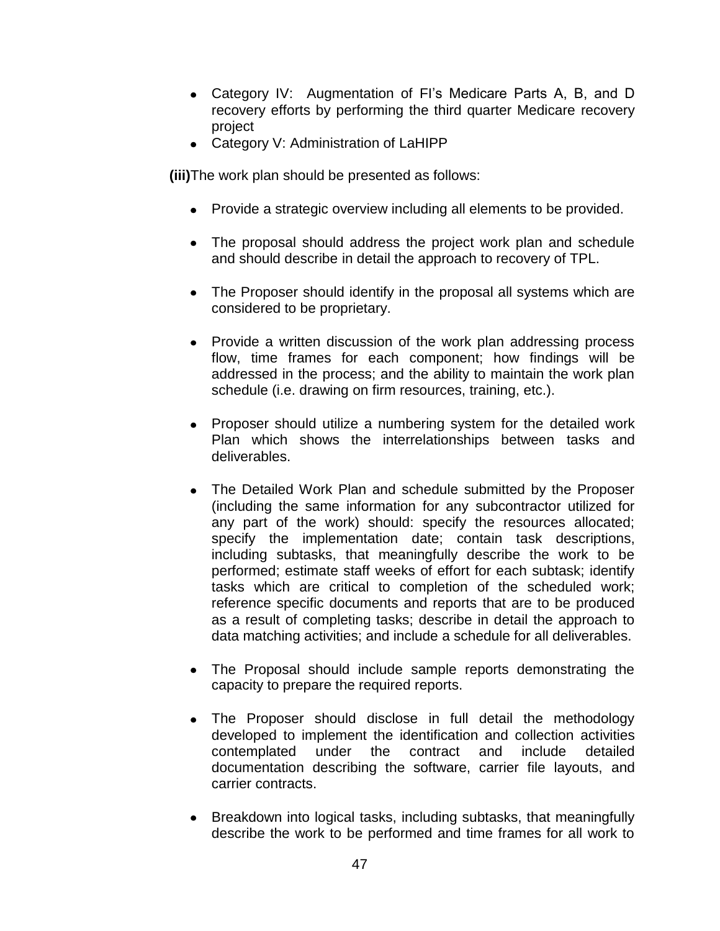- Category IV: Augmentation of FI's Medicare Parts A, B, and D recovery efforts by performing the third quarter Medicare recovery project
- Category V: Administration of LaHIPP

**(iii)**The work plan should be presented as follows:

- Provide a strategic overview including all elements to be provided.
- The proposal should address the project work plan and schedule and should describe in detail the approach to recovery of TPL.
- The Proposer should identify in the proposal all systems which are considered to be proprietary.
- Provide a written discussion of the work plan addressing process flow, time frames for each component; how findings will be addressed in the process; and the ability to maintain the work plan schedule (i.e. drawing on firm resources, training, etc.).
- Proposer should utilize a numbering system for the detailed work Plan which shows the interrelationships between tasks and deliverables.
- The Detailed Work Plan and schedule submitted by the Proposer (including the same information for any subcontractor utilized for any part of the work) should: specify the resources allocated; specify the implementation date; contain task descriptions, including subtasks, that meaningfully describe the work to be performed; estimate staff weeks of effort for each subtask; identify tasks which are critical to completion of the scheduled work; reference specific documents and reports that are to be produced as a result of completing tasks; describe in detail the approach to data matching activities; and include a schedule for all deliverables.
- The Proposal should include sample reports demonstrating the capacity to prepare the required reports.
- The Proposer should disclose in full detail the methodology developed to implement the identification and collection activities contemplated under the contract and include detailed documentation describing the software, carrier file layouts, and carrier contracts.
- Breakdown into logical tasks, including subtasks, that meaningfully describe the work to be performed and time frames for all work to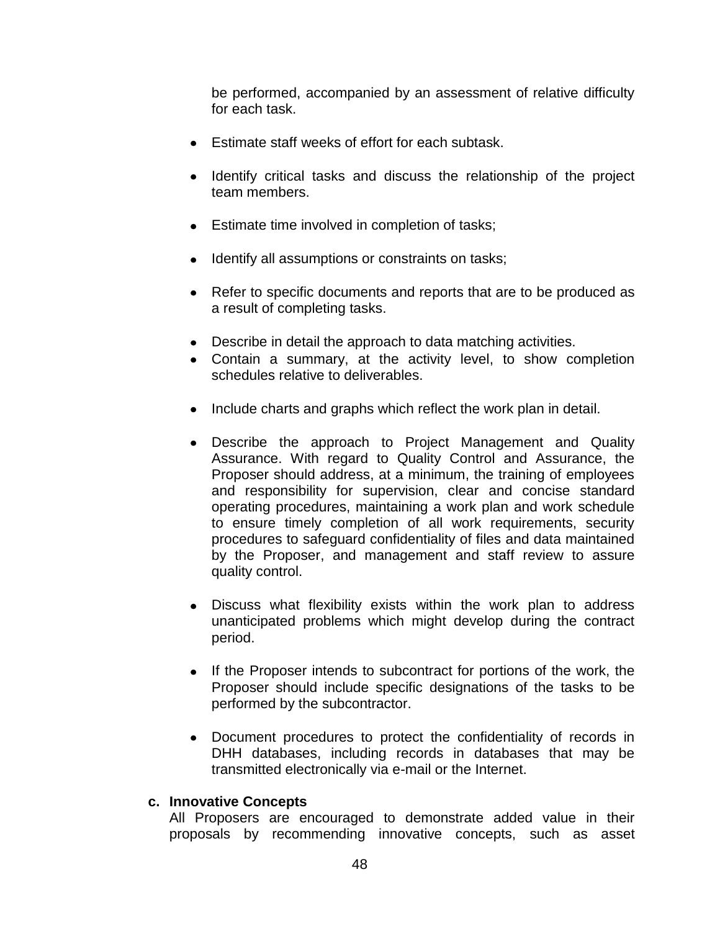be performed, accompanied by an assessment of relative difficulty for each task.

- Estimate staff weeks of effort for each subtask.
- Identify critical tasks and discuss the relationship of the project team members.
- **Estimate time involved in completion of tasks;**
- Identify all assumptions or constraints on tasks;
- Refer to specific documents and reports that are to be produced as a result of completing tasks.
- Describe in detail the approach to data matching activities.
- Contain a summary, at the activity level, to show completion schedules relative to deliverables.
- Include charts and graphs which reflect the work plan in detail.
- Describe the approach to Project Management and Quality Assurance. With regard to Quality Control and Assurance, the Proposer should address, at a minimum, the training of employees and responsibility for supervision, clear and concise standard operating procedures, maintaining a work plan and work schedule to ensure timely completion of all work requirements, security procedures to safeguard confidentiality of files and data maintained by the Proposer, and management and staff review to assure quality control.
- Discuss what flexibility exists within the work plan to address unanticipated problems which might develop during the contract period.
- If the Proposer intends to subcontract for portions of the work, the Proposer should include specific designations of the tasks to be performed by the subcontractor.
- Document procedures to protect the confidentiality of records in DHH databases, including records in databases that may be transmitted electronically via e-mail or the Internet.

#### **c. Innovative Concepts**

All Proposers are encouraged to demonstrate added value in their proposals by recommending innovative concepts, such as asset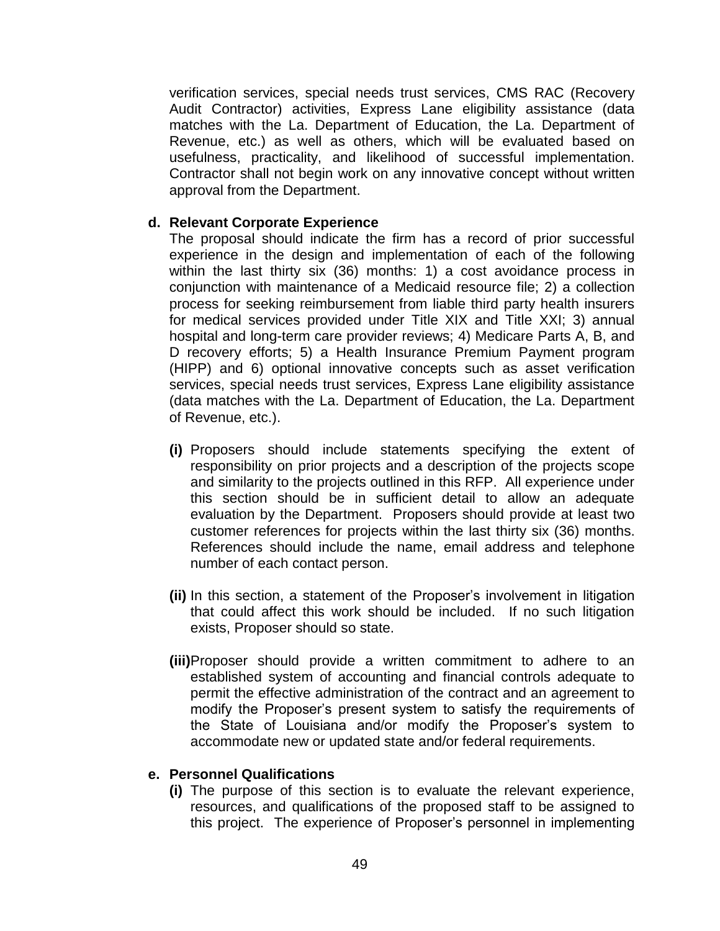verification services, special needs trust services, CMS RAC (Recovery Audit Contractor) activities, Express Lane eligibility assistance (data matches with the La. Department of Education, the La. Department of Revenue, etc.) as well as others, which will be evaluated based on usefulness, practicality, and likelihood of successful implementation. Contractor shall not begin work on any innovative concept without written approval from the Department.

#### **d. Relevant Corporate Experience**

The proposal should indicate the firm has a record of prior successful experience in the design and implementation of each of the following within the last thirty six (36) months: 1) a cost avoidance process in conjunction with maintenance of a Medicaid resource file; 2) a collection process for seeking reimbursement from liable third party health insurers for medical services provided under Title XIX and Title XXI; 3) annual hospital and long-term care provider reviews; 4) Medicare Parts A, B, and D recovery efforts; 5) a Health Insurance Premium Payment program (HIPP) and 6) optional innovative concepts such as asset verification services, special needs trust services, Express Lane eligibility assistance (data matches with the La. Department of Education, the La. Department of Revenue, etc.).

- **(i)** Proposers should include statements specifying the extent of responsibility on prior projects and a description of the projects scope and similarity to the projects outlined in this RFP. All experience under this section should be in sufficient detail to allow an adequate evaluation by the Department. Proposers should provide at least two customer references for projects within the last thirty six (36) months. References should include the name, email address and telephone number of each contact person.
- **(ii)** In this section, a statement of the Proposer's involvement in litigation that could affect this work should be included. If no such litigation exists, Proposer should so state.
- **(iii)**Proposer should provide a written commitment to adhere to an established system of accounting and financial controls adequate to permit the effective administration of the contract and an agreement to modify the Proposer's present system to satisfy the requirements of the State of Louisiana and/or modify the Proposer's system to accommodate new or updated state and/or federal requirements.

#### **e. Personnel Qualifications**

**(i)** The purpose of this section is to evaluate the relevant experience, resources, and qualifications of the proposed staff to be assigned to this project. The experience of Proposer's personnel in implementing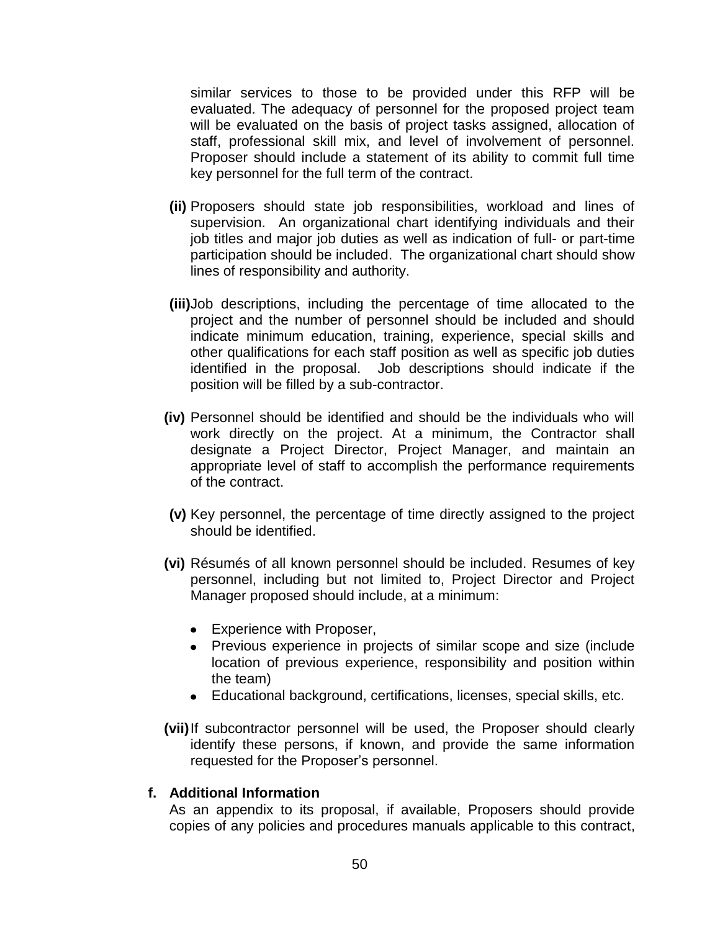similar services to those to be provided under this RFP will be evaluated. The adequacy of personnel for the proposed project team will be evaluated on the basis of project tasks assigned, allocation of staff, professional skill mix, and level of involvement of personnel. Proposer should include a statement of its ability to commit full time key personnel for the full term of the contract.

- **(ii)** Proposers should state job responsibilities, workload and lines of supervision. An organizational chart identifying individuals and their job titles and major job duties as well as indication of full- or part-time participation should be included. The organizational chart should show lines of responsibility and authority.
- **(iii)**Job descriptions, including the percentage of time allocated to the project and the number of personnel should be included and should indicate minimum education, training, experience, special skills and other qualifications for each staff position as well as specific job duties identified in the proposal. Job descriptions should indicate if the position will be filled by a sub-contractor.
- **(iv)** Personnel should be identified and should be the individuals who will work directly on the project. At a minimum, the Contractor shall designate a Project Director, Project Manager, and maintain an appropriate level of staff to accomplish the performance requirements of the contract.
- **(v)** Key personnel, the percentage of time directly assigned to the project should be identified.
- **(vi)** Résumés of all known personnel should be included. Resumes of key personnel, including but not limited to, Project Director and Project Manager proposed should include, at a minimum:
	- Experience with Proposer,
	- Previous experience in projects of similar scope and size (include location of previous experience, responsibility and position within the team)
	- Educational background, certifications, licenses, special skills, etc.
- **(vii)**If subcontractor personnel will be used, the Proposer should clearly identify these persons, if known, and provide the same information requested for the Proposer's personnel.

#### **f. Additional Information**

As an appendix to its proposal, if available, Proposers should provide copies of any policies and procedures manuals applicable to this contract,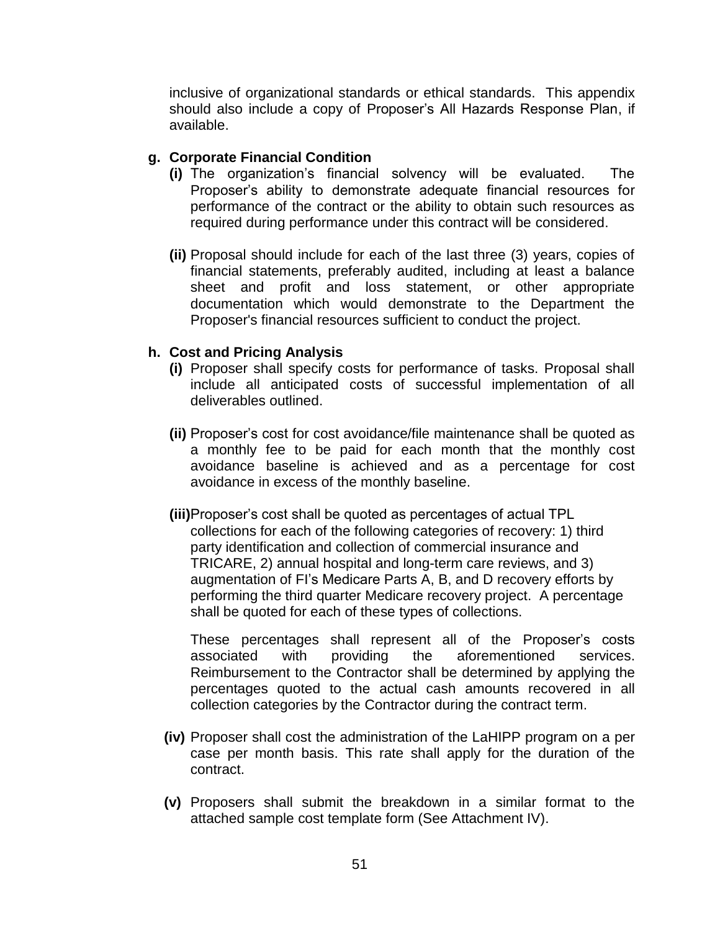inclusive of organizational standards or ethical standards. This appendix should also include a copy of Proposer's All Hazards Response Plan, if available.

### **g. Corporate Financial Condition**

- **(i)** The organization's financial solvency will be evaluated. The Proposer's ability to demonstrate adequate financial resources for performance of the contract or the ability to obtain such resources as required during performance under this contract will be considered.
- **(ii)** Proposal should include for each of the last three (3) years, copies of financial statements, preferably audited, including at least a balance sheet and profit and loss statement, or other appropriate documentation which would demonstrate to the Department the Proposer's financial resources sufficient to conduct the project.

### **h. Cost and Pricing Analysis**

- **(i)** Proposer shall specify costs for performance of tasks. Proposal shall include all anticipated costs of successful implementation of all deliverables outlined.
- **(ii)** Proposer's cost for cost avoidance/file maintenance shall be quoted as a monthly fee to be paid for each month that the monthly cost avoidance baseline is achieved and as a percentage for cost avoidance in excess of the monthly baseline.
- **(iii)**Proposer's cost shall be quoted as percentages of actual TPL collections for each of the following categories of recovery: 1) third party identification and collection of commercial insurance and TRICARE, 2) annual hospital and long-term care reviews, and 3) augmentation of FI's Medicare Parts A, B, and D recovery efforts by performing the third quarter Medicare recovery project. A percentage shall be quoted for each of these types of collections.

These percentages shall represent all of the Proposer's costs associated with providing the aforementioned services. Reimbursement to the Contractor shall be determined by applying the percentages quoted to the actual cash amounts recovered in all collection categories by the Contractor during the contract term.

- **(iv)** Proposer shall cost the administration of the LaHIPP program on a per case per month basis. This rate shall apply for the duration of the contract.
- **(v)** Proposers shall submit the breakdown in a similar format to the attached sample cost template form (See Attachment IV).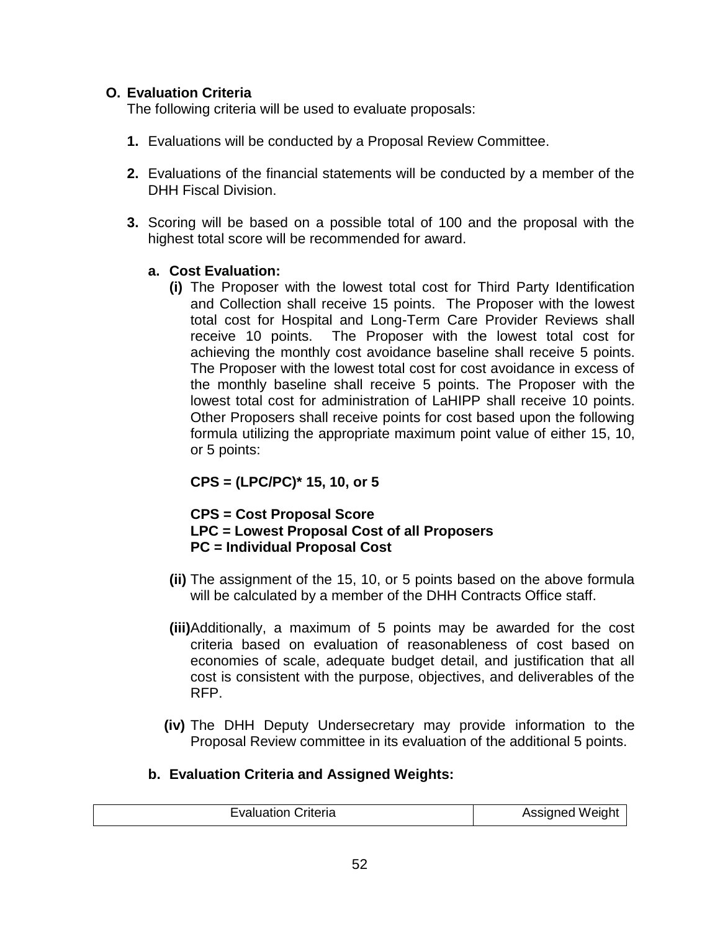### <span id="page-51-0"></span>**O. Evaluation Criteria**

The following criteria will be used to evaluate proposals:

- **1.** Evaluations will be conducted by a Proposal Review Committee.
- **2.** Evaluations of the financial statements will be conducted by a member of the DHH Fiscal Division.
- **3.** Scoring will be based on a possible total of 100 and the proposal with the highest total score will be recommended for award.

### **a. Cost Evaluation:**

**(i)** The Proposer with the lowest total cost for Third Party Identification and Collection shall receive 15 points. The Proposer with the lowest total cost for Hospital and Long-Term Care Provider Reviews shall receive 10 points. The Proposer with the lowest total cost for achieving the monthly cost avoidance baseline shall receive 5 points. The Proposer with the lowest total cost for cost avoidance in excess of the monthly baseline shall receive 5 points. The Proposer with the lowest total cost for administration of LaHIPP shall receive 10 points. Other Proposers shall receive points for cost based upon the following formula utilizing the appropriate maximum point value of either 15, 10, or 5 points:

## **CPS = (LPC/PC)\* 15, 10, or 5**

#### **CPS = Cost Proposal Score LPC = Lowest Proposal Cost of all Proposers PC = Individual Proposal Cost**

- **(ii)** The assignment of the 15, 10, or 5 points based on the above formula will be calculated by a member of the DHH Contracts Office staff.
- **(iii)**Additionally, a maximum of 5 points may be awarded for the cost criteria based on evaluation of reasonableness of cost based on economies of scale, adequate budget detail, and justification that all cost is consistent with the purpose, objectives, and deliverables of the RFP.
- **(iv)** The DHH Deputy Undersecretary may provide information to the Proposal Review committee in its evaluation of the additional 5 points.

## **b. Evaluation Criteria and Assigned Weights:**

| <b>Evaluation Criteria</b> | Assigned Weight |
|----------------------------|-----------------|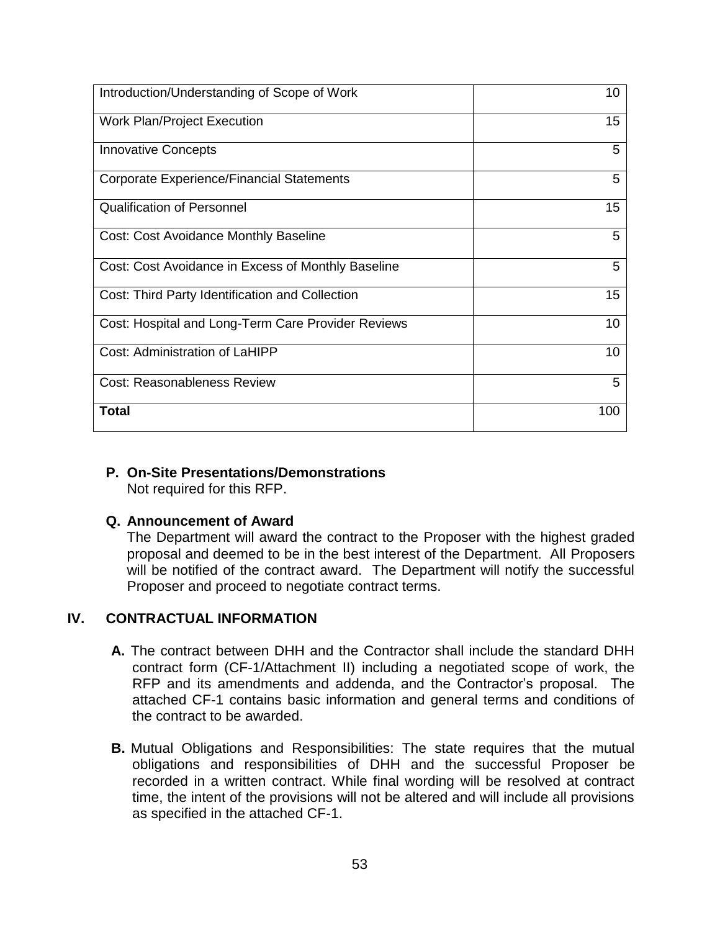| Introduction/Understanding of Scope of Work        | 10  |
|----------------------------------------------------|-----|
| <b>Work Plan/Project Execution</b>                 | 15  |
| <b>Innovative Concepts</b>                         | 5   |
| <b>Corporate Experience/Financial Statements</b>   | 5   |
| <b>Qualification of Personnel</b>                  | 15  |
| <b>Cost: Cost Avoidance Monthly Baseline</b>       | 5   |
| Cost: Cost Avoidance in Excess of Monthly Baseline | 5   |
| Cost: Third Party Identification and Collection    | 15  |
| Cost: Hospital and Long-Term Care Provider Reviews | 10  |
| <b>Cost: Administration of LaHIPP</b>              | 10  |
| <b>Cost: Reasonableness Review</b>                 | 5   |
| Total                                              | 100 |

#### <span id="page-52-0"></span>**P. On-Site Presentations/Demonstrations**

Not required for this RFP.

#### <span id="page-52-1"></span>**Q. Announcement of Award**

The Department will award the contract to the Proposer with the highest graded proposal and deemed to be in the best interest of the Department. All Proposers will be notified of the contract award. The Department will notify the successful Proposer and proceed to negotiate contract terms.

## <span id="page-52-2"></span>**IV. CONTRACTUAL INFORMATION**

- **A.** The contract between DHH and the Contractor shall include the standard DHH contract form (CF-1/Attachment II) including a negotiated scope of work, the RFP and its amendments and addenda, and the Contractor's proposal. The attached CF-1 contains basic information and general terms and conditions of the contract to be awarded.
- **B.** Mutual Obligations and Responsibilities: The state requires that the mutual obligations and responsibilities of DHH and the successful Proposer be recorded in a written contract. While final wording will be resolved at contract time, the intent of the provisions will not be altered and will include all provisions as specified in the attached CF-1.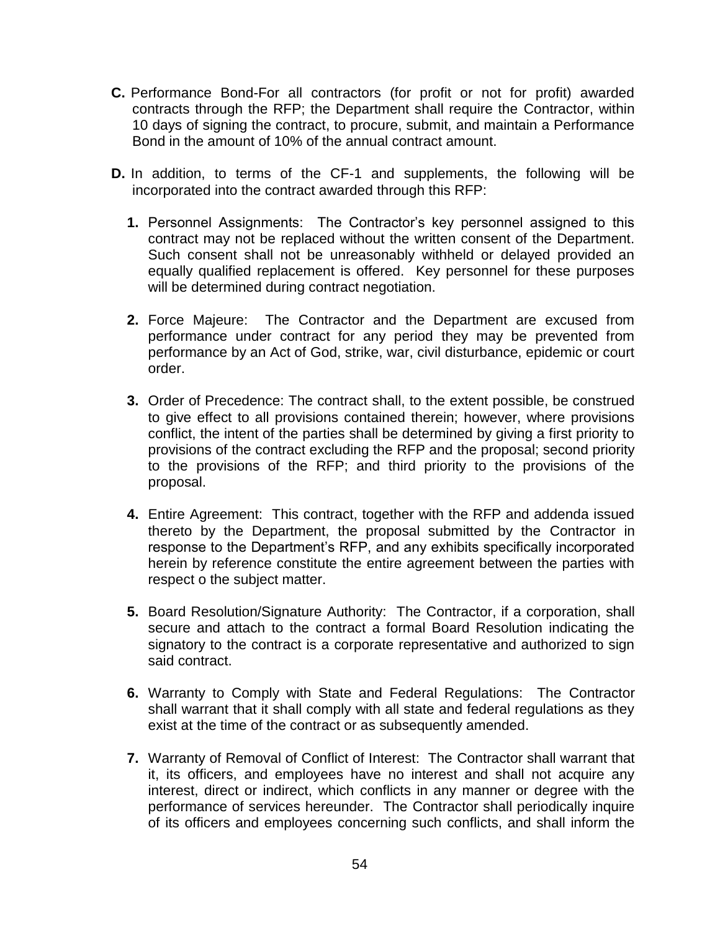- **C.** Performance Bond-For all contractors (for profit or not for profit) awarded contracts through the RFP; the Department shall require the Contractor, within 10 days of signing the contract, to procure, submit, and maintain a Performance Bond in the amount of 10% of the annual contract amount.
- **D.** In addition, to terms of the CF-1 and supplements, the following will be incorporated into the contract awarded through this RFP:
	- **1.** Personnel Assignments: The Contractor's key personnel assigned to this contract may not be replaced without the written consent of the Department. Such consent shall not be unreasonably withheld or delayed provided an equally qualified replacement is offered. Key personnel for these purposes will be determined during contract negotiation.
	- **2.** Force Majeure: The Contractor and the Department are excused from performance under contract for any period they may be prevented from performance by an Act of God, strike, war, civil disturbance, epidemic or court order.
	- **3.** Order of Precedence: The contract shall, to the extent possible, be construed to give effect to all provisions contained therein; however, where provisions conflict, the intent of the parties shall be determined by giving a first priority to provisions of the contract excluding the RFP and the proposal; second priority to the provisions of the RFP; and third priority to the provisions of the proposal.
	- **4.** Entire Agreement: This contract, together with the RFP and addenda issued thereto by the Department, the proposal submitted by the Contractor in response to the Department's RFP, and any exhibits specifically incorporated herein by reference constitute the entire agreement between the parties with respect o the subject matter.
	- **5.** Board Resolution/Signature Authority: The Contractor, if a corporation, shall secure and attach to the contract a formal Board Resolution indicating the signatory to the contract is a corporate representative and authorized to sign said contract.
	- **6.** Warranty to Comply with State and Federal Regulations: The Contractor shall warrant that it shall comply with all state and federal regulations as they exist at the time of the contract or as subsequently amended.
	- **7.** Warranty of Removal of Conflict of Interest: The Contractor shall warrant that it, its officers, and employees have no interest and shall not acquire any interest, direct or indirect, which conflicts in any manner or degree with the performance of services hereunder. The Contractor shall periodically inquire of its officers and employees concerning such conflicts, and shall inform the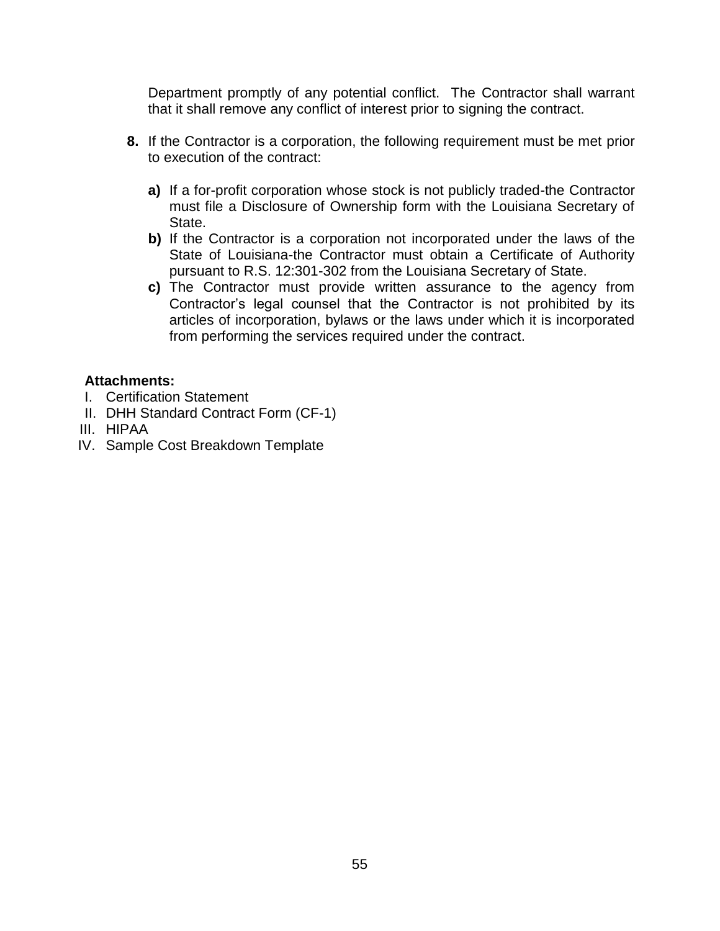Department promptly of any potential conflict. The Contractor shall warrant that it shall remove any conflict of interest prior to signing the contract.

- **8.** If the Contractor is a corporation, the following requirement must be met prior to execution of the contract:
	- **a)** If a for-profit corporation whose stock is not publicly traded-the Contractor must file a Disclosure of Ownership form with the Louisiana Secretary of State.
	- **b)** If the Contractor is a corporation not incorporated under the laws of the State of Louisiana-the Contractor must obtain a Certificate of Authority pursuant to R.S. 12:301-302 from the Louisiana Secretary of State.
	- **c)** The Contractor must provide written assurance to the agency from Contractor's legal counsel that the Contractor is not prohibited by its articles of incorporation, bylaws or the laws under which it is incorporated from performing the services required under the contract.

## <span id="page-54-0"></span>**Attachments:**

- I. Certification Statement
- II. DHH Standard Contract Form (CF-1)
- III. HIPAA
- IV. Sample Cost Breakdown Template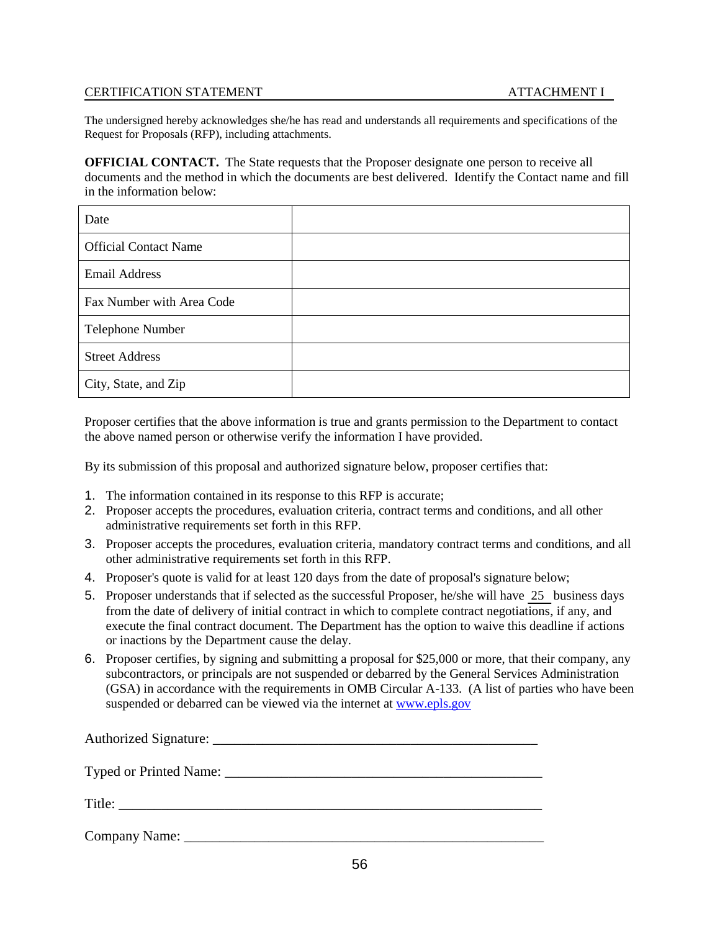#### CERTIFICATION STATEMENT **ATTACHMENT I**

The undersigned hereby acknowledges she/he has read and understands all requirements and specifications of the Request for Proposals (RFP), including attachments.

**OFFICIAL CONTACT.** The State requests that the Proposer designate one person to receive all documents and the method in which the documents are best delivered. Identify the Contact name and fill in the information below:

| Date                         |  |
|------------------------------|--|
| <b>Official Contact Name</b> |  |
| <b>Email Address</b>         |  |
| Fax Number with Area Code    |  |
| Telephone Number             |  |
| <b>Street Address</b>        |  |
| City, State, and Zip         |  |

Proposer certifies that the above information is true and grants permission to the Department to contact the above named person or otherwise verify the information I have provided.

By its submission of this proposal and authorized signature below, proposer certifies that:

- 1. The information contained in its response to this RFP is accurate;
- 2. Proposer accepts the procedures, evaluation criteria, contract terms and conditions, and all other administrative requirements set forth in this RFP.
- 3. Proposer accepts the procedures, evaluation criteria, mandatory contract terms and conditions, and all other administrative requirements set forth in this RFP.
- 4. Proposer's quote is valid for at least 120 days from the date of proposal's signature below;
- 5. Proposer understands that if selected as the successful Proposer, he/she will have 25 business days from the date of delivery of initial contract in which to complete contract negotiations, if any, and execute the final contract document. The Department has the option to waive this deadline if actions or inactions by the Department cause the delay.
- 6. Proposer certifies, by signing and submitting a proposal for \$25,000 or more, that their company, any subcontractors, or principals are not suspended or debarred by the General Services Administration (GSA) in accordance with the requirements in OMB Circular A-133. (A list of parties who have been suspended or debarred can be viewed via the internet at [www.epls.gov](http://www.epls.gov/)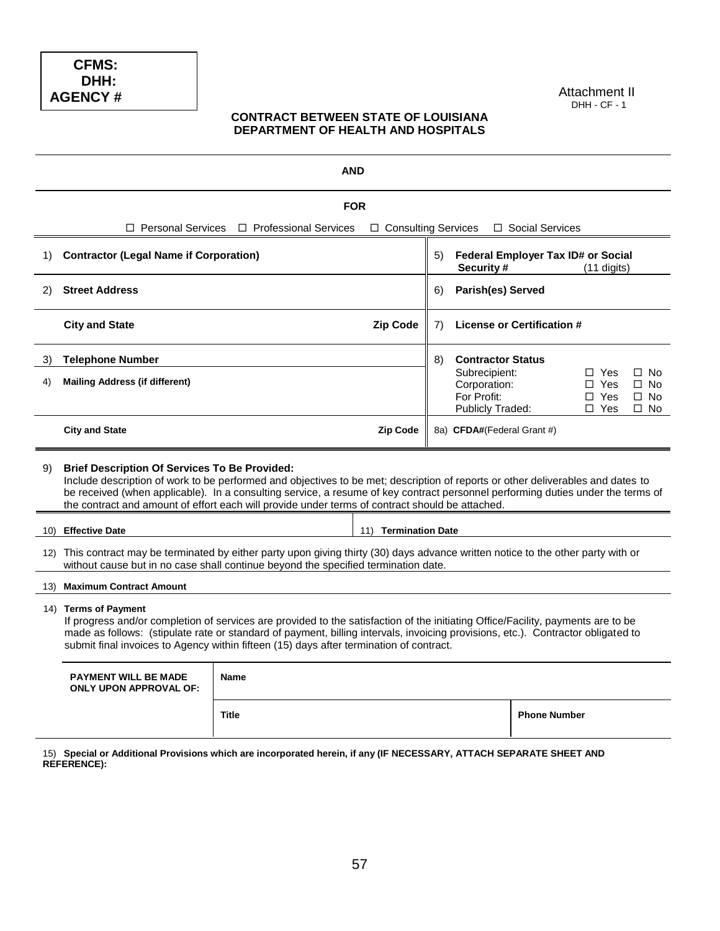#### Attachment II DHH - CF - 1

#### **CONTRACT BETWEEN STATE OF LOUISIANA DEPARTMENT OF HEALTH AND HOSPITALS**

|                                                                                                                                                                                                                                                                                                                                                                                                                                     | <b>AND</b>                                                                                                                                                                                                                                                                                                                                                                              |                                                     |                       |                                |                                                                  |                     |                                                      |                                                  |
|-------------------------------------------------------------------------------------------------------------------------------------------------------------------------------------------------------------------------------------------------------------------------------------------------------------------------------------------------------------------------------------------------------------------------------------|-----------------------------------------------------------------------------------------------------------------------------------------------------------------------------------------------------------------------------------------------------------------------------------------------------------------------------------------------------------------------------------------|-----------------------------------------------------|-----------------------|--------------------------------|------------------------------------------------------------------|---------------------|------------------------------------------------------|--------------------------------------------------|
|                                                                                                                                                                                                                                                                                                                                                                                                                                     | <b>FOR</b>                                                                                                                                                                                                                                                                                                                                                                              |                                                     |                       |                                |                                                                  |                     |                                                      |                                                  |
|                                                                                                                                                                                                                                                                                                                                                                                                                                     | □ Personal Services                                                                                                                                                                                                                                                                                                                                                                     | □ Professional Services                             | □ Consulting Services |                                |                                                                  | □ Social Services   |                                                      |                                                  |
| 1)                                                                                                                                                                                                                                                                                                                                                                                                                                  | <b>Contractor (Legal Name if Corporation)</b><br>Federal Employer Tax ID# or Social<br>5)<br>Security#<br>$(11$ digits)                                                                                                                                                                                                                                                                 |                                                     |                       |                                |                                                                  |                     |                                                      |                                                  |
| 2)                                                                                                                                                                                                                                                                                                                                                                                                                                  | <b>Street Address</b>                                                                                                                                                                                                                                                                                                                                                                   |                                                     |                       | <b>Parish(es) Served</b><br>6) |                                                                  |                     |                                                      |                                                  |
|                                                                                                                                                                                                                                                                                                                                                                                                                                     | <b>City and State</b>                                                                                                                                                                                                                                                                                                                                                                   | <b>Zip Code</b><br>License or Certification #<br>7) |                       |                                |                                                                  |                     |                                                      |                                                  |
| 3)                                                                                                                                                                                                                                                                                                                                                                                                                                  | <b>Telephone Number</b>                                                                                                                                                                                                                                                                                                                                                                 |                                                     |                       | 8)                             | <b>Contractor Status</b>                                         |                     |                                                      |                                                  |
| 4)                                                                                                                                                                                                                                                                                                                                                                                                                                  | <b>Mailing Address (if different)</b>                                                                                                                                                                                                                                                                                                                                                   |                                                     |                       |                                | Subrecipient:<br>Corporation:<br>For Profit:<br>Publicly Traded: |                     | $\Box$ Yes<br>$\Box$ Yes<br>$\Box$ Yes<br>$\Box$ Yes | $\Box$ No<br>$\Box$ No<br>$\Box$ No<br>$\Box$ No |
|                                                                                                                                                                                                                                                                                                                                                                                                                                     | <b>City and State</b>                                                                                                                                                                                                                                                                                                                                                                   |                                                     | <b>Zip Code</b>       |                                | 8a) CFDA#(Federal Grant #)                                       |                     |                                                      |                                                  |
| <b>Brief Description Of Services To Be Provided:</b><br>9)<br>Include description of work to be performed and objectives to be met; description of reports or other deliverables and dates to<br>be received (when applicable). In a consulting service, a resume of key contract personnel performing duties under the terms of<br>the contract and amount of effort each will provide under terms of contract should be attached. |                                                                                                                                                                                                                                                                                                                                                                                         |                                                     |                       |                                |                                                                  |                     |                                                      |                                                  |
|                                                                                                                                                                                                                                                                                                                                                                                                                                     | 10) Effective Date<br>11) Termination Date                                                                                                                                                                                                                                                                                                                                              |                                                     |                       |                                |                                                                  |                     |                                                      |                                                  |
|                                                                                                                                                                                                                                                                                                                                                                                                                                     | 12) This contract may be terminated by either party upon giving thirty (30) days advance written notice to the other party with or<br>without cause but in no case shall continue beyond the specified termination date.                                                                                                                                                                |                                                     |                       |                                |                                                                  |                     |                                                      |                                                  |
|                                                                                                                                                                                                                                                                                                                                                                                                                                     | 13) Maximum Contract Amount                                                                                                                                                                                                                                                                                                                                                             |                                                     |                       |                                |                                                                  |                     |                                                      |                                                  |
|                                                                                                                                                                                                                                                                                                                                                                                                                                     | 14) Terms of Payment<br>If progress and/or completion of services are provided to the satisfaction of the initiating Office/Facility, payments are to be<br>made as follows: (stipulate rate or standard of payment, billing intervals, invoicing provisions, etc.). Contractor obligated to<br>submit final invoices to Agency within fifteen (15) days after termination of contract. |                                                     |                       |                                |                                                                  |                     |                                                      |                                                  |
|                                                                                                                                                                                                                                                                                                                                                                                                                                     | <b>PAYMENT WILL BE MADE</b><br>Name<br><b>ONLY UPON APPROVAL OF:</b>                                                                                                                                                                                                                                                                                                                    |                                                     |                       |                                |                                                                  |                     |                                                      |                                                  |
|                                                                                                                                                                                                                                                                                                                                                                                                                                     |                                                                                                                                                                                                                                                                                                                                                                                         | <b>Title</b>                                        |                       |                                |                                                                  | <b>Phone Number</b> |                                                      |                                                  |

15) **Special or Additional Provisions which are incorporated herein, if any (IF NECESSARY, ATTACH SEPARATE SHEET AND REFERENCE):**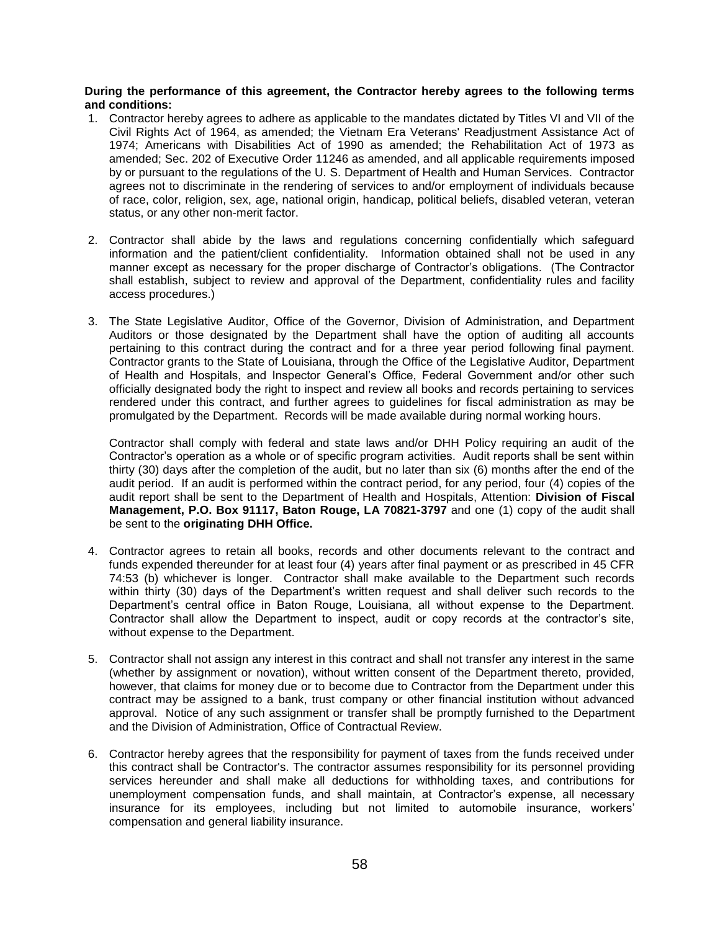#### **During the performance of this agreement, the Contractor hereby agrees to the following terms and conditions:**

- 1. Contractor hereby agrees to adhere as applicable to the mandates dictated by Titles VI and VII of the Civil Rights Act of 1964, as amended; the Vietnam Era Veterans' Readjustment Assistance Act of 1974; Americans with Disabilities Act of 1990 as amended; the Rehabilitation Act of 1973 as amended; Sec. 202 of Executive Order 11246 as amended, and all applicable requirements imposed by or pursuant to the regulations of the U. S. Department of Health and Human Services. Contractor agrees not to discriminate in the rendering of services to and/or employment of individuals because of race, color, religion, sex, age, national origin, handicap, political beliefs, disabled veteran, veteran status, or any other non-merit factor.
- 2. Contractor shall abide by the laws and regulations concerning confidentially which safeguard information and the patient/client confidentiality. Information obtained shall not be used in any manner except as necessary for the proper discharge of Contractor's obligations. (The Contractor shall establish, subject to review and approval of the Department, confidentiality rules and facility access procedures.)
- 3. The State Legislative Auditor, Office of the Governor, Division of Administration, and Department Auditors or those designated by the Department shall have the option of auditing all accounts pertaining to this contract during the contract and for a three year period following final payment. Contractor grants to the State of Louisiana, through the Office of the Legislative Auditor, Department of Health and Hospitals, and Inspector General's Office, Federal Government and/or other such officially designated body the right to inspect and review all books and records pertaining to services rendered under this contract, and further agrees to guidelines for fiscal administration as may be promulgated by the Department. Records will be made available during normal working hours.

Contractor shall comply with federal and state laws and/or DHH Policy requiring an audit of the Contractor's operation as a whole or of specific program activities. Audit reports shall be sent within thirty (30) days after the completion of the audit, but no later than six (6) months after the end of the audit period. If an audit is performed within the contract period, for any period, four (4) copies of the audit report shall be sent to the Department of Health and Hospitals, Attention: **Division of Fiscal Management, P.O. Box 91117, Baton Rouge, LA 70821-3797** and one (1) copy of the audit shall be sent to the **originating DHH Office.**

- 4. Contractor agrees to retain all books, records and other documents relevant to the contract and funds expended thereunder for at least four (4) years after final payment or as prescribed in 45 CFR 74:53 (b) whichever is longer. Contractor shall make available to the Department such records within thirty (30) days of the Department's written request and shall deliver such records to the Department's central office in Baton Rouge, Louisiana, all without expense to the Department. Contractor shall allow the Department to inspect, audit or copy records at the contractor's site, without expense to the Department.
- 5. Contractor shall not assign any interest in this contract and shall not transfer any interest in the same (whether by assignment or novation), without written consent of the Department thereto, provided, however, that claims for money due or to become due to Contractor from the Department under this contract may be assigned to a bank, trust company or other financial institution without advanced approval. Notice of any such assignment or transfer shall be promptly furnished to the Department and the Division of Administration, Office of Contractual Review.
- 6. Contractor hereby agrees that the responsibility for payment of taxes from the funds received under this contract shall be Contractor's. The contractor assumes responsibility for its personnel providing services hereunder and shall make all deductions for withholding taxes, and contributions for unemployment compensation funds, and shall maintain, at Contractor's expense, all necessary insurance for its employees, including but not limited to automobile insurance, workers' compensation and general liability insurance.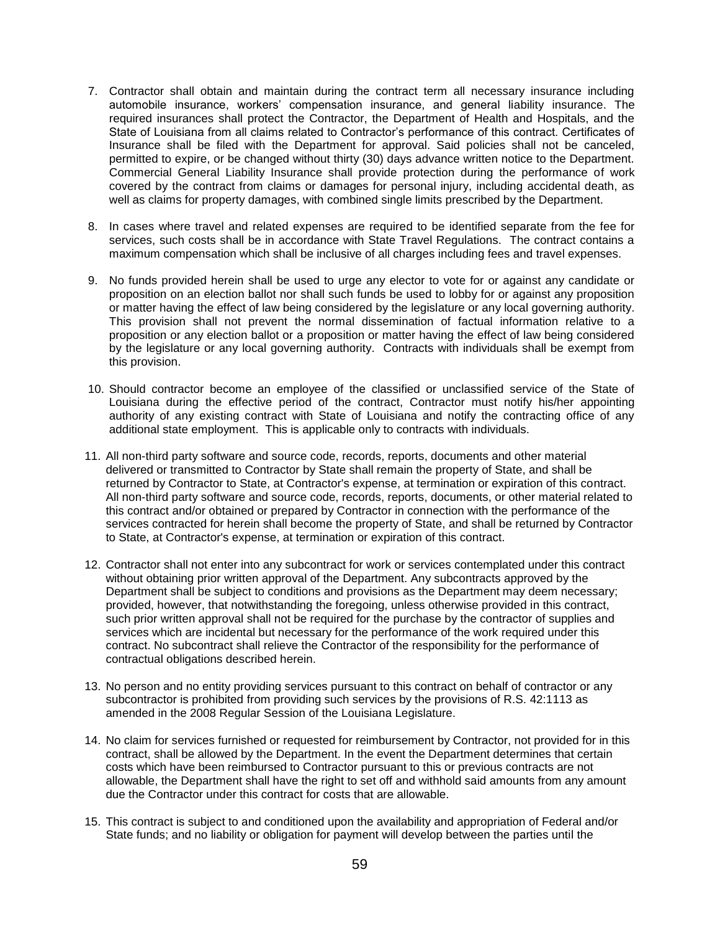- 7. Contractor shall obtain and maintain during the contract term all necessary insurance including automobile insurance, workers' compensation insurance, and general liability insurance. The required insurances shall protect the Contractor, the Department of Health and Hospitals, and the State of Louisiana from all claims related to Contractor's performance of this contract. Certificates of Insurance shall be filed with the Department for approval. Said policies shall not be canceled, permitted to expire, or be changed without thirty (30) days advance written notice to the Department. Commercial General Liability Insurance shall provide protection during the performance of work covered by the contract from claims or damages for personal injury, including accidental death, as well as claims for property damages, with combined single limits prescribed by the Department.
- 8. In cases where travel and related expenses are required to be identified separate from the fee for services, such costs shall be in accordance with State Travel Regulations. The contract contains a maximum compensation which shall be inclusive of all charges including fees and travel expenses.
- 9. No funds provided herein shall be used to urge any elector to vote for or against any candidate or proposition on an election ballot nor shall such funds be used to lobby for or against any proposition or matter having the effect of law being considered by the legislature or any local governing authority. This provision shall not prevent the normal dissemination of factual information relative to a proposition or any election ballot or a proposition or matter having the effect of law being considered by the legislature or any local governing authority. Contracts with individuals shall be exempt from this provision.
- 10. Should contractor become an employee of the classified or unclassified service of the State of Louisiana during the effective period of the contract, Contractor must notify his/her appointing authority of any existing contract with State of Louisiana and notify the contracting office of any additional state employment. This is applicable only to contracts with individuals.
- 11. All non-third party software and source code, records, reports, documents and other material delivered or transmitted to Contractor by State shall remain the property of State, and shall be returned by Contractor to State, at Contractor's expense, at termination or expiration of this contract. All non-third party software and source code, records, reports, documents, or other material related to this contract and/or obtained or prepared by Contractor in connection with the performance of the services contracted for herein shall become the property of State, and shall be returned by Contractor to State, at Contractor's expense, at termination or expiration of this contract.
- 12. Contractor shall not enter into any subcontract for work or services contemplated under this contract without obtaining prior written approval of the Department. Any subcontracts approved by the Department shall be subject to conditions and provisions as the Department may deem necessary; provided, however, that notwithstanding the foregoing, unless otherwise provided in this contract, such prior written approval shall not be required for the purchase by the contractor of supplies and services which are incidental but necessary for the performance of the work required under this contract. No subcontract shall relieve the Contractor of the responsibility for the performance of contractual obligations described herein.
- 13. No person and no entity providing services pursuant to this contract on behalf of contractor or any subcontractor is prohibited from providing such services by the provisions of R.S. 42:1113 as amended in the 2008 Regular Session of the Louisiana Legislature.
- 14. No claim for services furnished or requested for reimbursement by Contractor, not provided for in this contract, shall be allowed by the Department. In the event the Department determines that certain costs which have been reimbursed to Contractor pursuant to this or previous contracts are not allowable, the Department shall have the right to set off and withhold said amounts from any amount due the Contractor under this contract for costs that are allowable.
- 15. This contract is subject to and conditioned upon the availability and appropriation of Federal and/or State funds; and no liability or obligation for payment will develop between the parties until the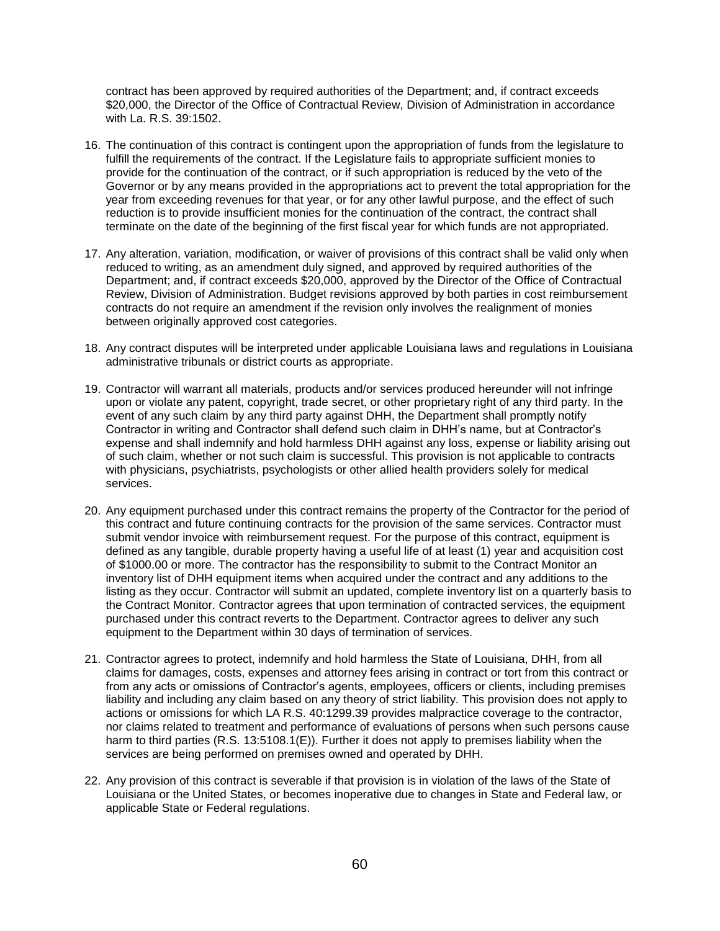contract has been approved by required authorities of the Department; and, if contract exceeds \$20,000, the Director of the Office of Contractual Review, Division of Administration in accordance with La. R.S. 39:1502.

- 16. The continuation of this contract is contingent upon the appropriation of funds from the legislature to fulfill the requirements of the contract. If the Legislature fails to appropriate sufficient monies to provide for the continuation of the contract, or if such appropriation is reduced by the veto of the Governor or by any means provided in the appropriations act to prevent the total appropriation for the year from exceeding revenues for that year, or for any other lawful purpose, and the effect of such reduction is to provide insufficient monies for the continuation of the contract, the contract shall terminate on the date of the beginning of the first fiscal year for which funds are not appropriated.
- 17. Any alteration, variation, modification, or waiver of provisions of this contract shall be valid only when reduced to writing, as an amendment duly signed, and approved by required authorities of the Department; and, if contract exceeds \$20,000, approved by the Director of the Office of Contractual Review, Division of Administration. Budget revisions approved by both parties in cost reimbursement contracts do not require an amendment if the revision only involves the realignment of monies between originally approved cost categories.
- 18. Any contract disputes will be interpreted under applicable Louisiana laws and regulations in Louisiana administrative tribunals or district courts as appropriate.
- 19. Contractor will warrant all materials, products and/or services produced hereunder will not infringe upon or violate any patent, copyright, trade secret, or other proprietary right of any third party. In the event of any such claim by any third party against DHH, the Department shall promptly notify Contractor in writing and Contractor shall defend such claim in DHH's name, but at Contractor's expense and shall indemnify and hold harmless DHH against any loss, expense or liability arising out of such claim, whether or not such claim is successful. This provision is not applicable to contracts with physicians, psychiatrists, psychologists or other allied health providers solely for medical services.
- 20. Any equipment purchased under this contract remains the property of the Contractor for the period of this contract and future continuing contracts for the provision of the same services. Contractor must submit vendor invoice with reimbursement request. For the purpose of this contract, equipment is defined as any tangible, durable property having a useful life of at least (1) year and acquisition cost of \$1000.00 or more. The contractor has the responsibility to submit to the Contract Monitor an inventory list of DHH equipment items when acquired under the contract and any additions to the listing as they occur. Contractor will submit an updated, complete inventory list on a quarterly basis to the Contract Monitor. Contractor agrees that upon termination of contracted services, the equipment purchased under this contract reverts to the Department. Contractor agrees to deliver any such equipment to the Department within 30 days of termination of services.
- 21. Contractor agrees to protect, indemnify and hold harmless the State of Louisiana, DHH, from all claims for damages, costs, expenses and attorney fees arising in contract or tort from this contract or from any acts or omissions of Contractor's agents, employees, officers or clients, including premises liability and including any claim based on any theory of strict liability. This provision does not apply to actions or omissions for which LA R.S. 40:1299.39 provides malpractice coverage to the contractor, nor claims related to treatment and performance of evaluations of persons when such persons cause harm to third parties (R.S. 13:5108.1(E)). Further it does not apply to premises liability when the services are being performed on premises owned and operated by DHH.
- 22. Any provision of this contract is severable if that provision is in violation of the laws of the State of Louisiana or the United States, or becomes inoperative due to changes in State and Federal law, or applicable State or Federal regulations.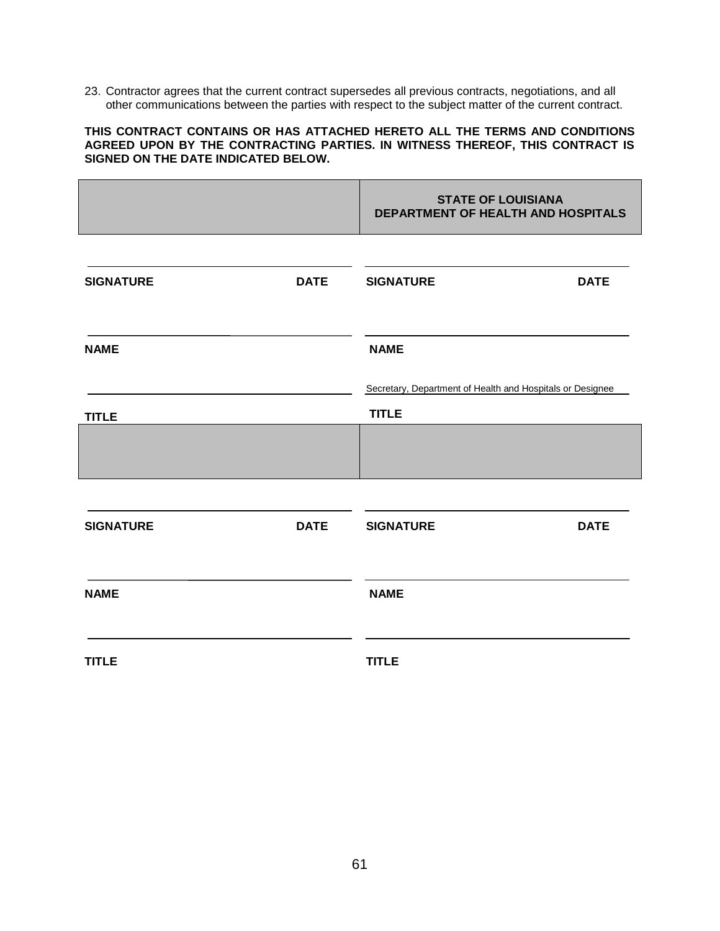23. Contractor agrees that the current contract supersedes all previous contracts, negotiations, and all other communications between the parties with respect to the subject matter of the current contract.

#### **THIS CONTRACT CONTAINS OR HAS ATTACHED HERETO ALL THE TERMS AND CONDITIONS AGREED UPON BY THE CONTRACTING PARTIES. IN WITNESS THEREOF, THIS CONTRACT IS SIGNED ON THE DATE INDICATED BELOW.**

|                  |             | <b>STATE OF LOUISIANA</b><br>DEPARTMENT OF HEALTH AND HOSPITALS           |             |
|------------------|-------------|---------------------------------------------------------------------------|-------------|
| <b>SIGNATURE</b> | <b>DATE</b> | <b>SIGNATURE</b>                                                          | <b>DATE</b> |
| <b>NAME</b>      |             | <b>NAME</b>                                                               |             |
| <b>TITLE</b>     |             | Secretary, Department of Health and Hospitals or Designee<br><b>TITLE</b> |             |
|                  |             |                                                                           |             |
| <b>SIGNATURE</b> | <b>DATE</b> | <b>SIGNATURE</b>                                                          | <b>DATE</b> |
| <b>NAME</b>      |             | <b>NAME</b>                                                               |             |
| <b>TITLE</b>     |             | <b>TITLE</b>                                                              |             |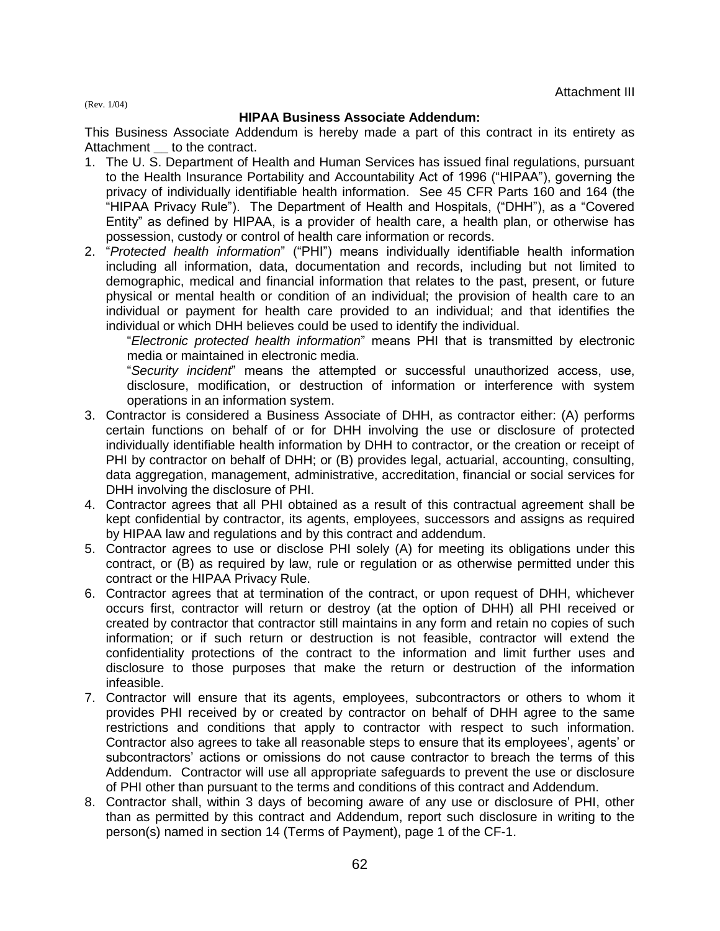(Rev. 1/04)

#### **HIPAA Business Associate Addendum:**

This Business Associate Addendum is hereby made a part of this contract in its entirety as Attachment **\_\_** to the contract.

- 1. The U. S. Department of Health and Human Services has issued final regulations, pursuant to the Health Insurance Portability and Accountability Act of 1996 ("HIPAA"), governing the privacy of individually identifiable health information. See 45 CFR Parts 160 and 164 (the "HIPAA Privacy Rule"). The Department of Health and Hospitals, ("DHH"), as a "Covered Entity" as defined by HIPAA, is a provider of health care, a health plan, or otherwise has possession, custody or control of health care information or records.
- 2. "*Protected health information*" ("PHI") means individually identifiable health information including all information, data, documentation and records, including but not limited to demographic, medical and financial information that relates to the past, present, or future physical or mental health or condition of an individual; the provision of health care to an individual or payment for health care provided to an individual; and that identifies the individual or which DHH believes could be used to identify the individual.

"*Electronic protected health information*" means PHI that is transmitted by electronic media or maintained in electronic media.

"*Security incident*" means the attempted or successful unauthorized access, use, disclosure, modification, or destruction of information or interference with system operations in an information system.

- 3. Contractor is considered a Business Associate of DHH, as contractor either: (A) performs certain functions on behalf of or for DHH involving the use or disclosure of protected individually identifiable health information by DHH to contractor, or the creation or receipt of PHI by contractor on behalf of DHH; or (B) provides legal, actuarial, accounting, consulting, data aggregation, management, administrative, accreditation, financial or social services for DHH involving the disclosure of PHI.
- 4. Contractor agrees that all PHI obtained as a result of this contractual agreement shall be kept confidential by contractor, its agents, employees, successors and assigns as required by HIPAA law and regulations and by this contract and addendum.
- 5. Contractor agrees to use or disclose PHI solely (A) for meeting its obligations under this contract, or (B) as required by law, rule or regulation or as otherwise permitted under this contract or the HIPAA Privacy Rule.
- 6. Contractor agrees that at termination of the contract, or upon request of DHH, whichever occurs first, contractor will return or destroy (at the option of DHH) all PHI received or created by contractor that contractor still maintains in any form and retain no copies of such information; or if such return or destruction is not feasible, contractor will extend the confidentiality protections of the contract to the information and limit further uses and disclosure to those purposes that make the return or destruction of the information infeasible.
- 7. Contractor will ensure that its agents, employees, subcontractors or others to whom it provides PHI received by or created by contractor on behalf of DHH agree to the same restrictions and conditions that apply to contractor with respect to such information. Contractor also agrees to take all reasonable steps to ensure that its employees', agents' or subcontractors' actions or omissions do not cause contractor to breach the terms of this Addendum. Contractor will use all appropriate safeguards to prevent the use or disclosure of PHI other than pursuant to the terms and conditions of this contract and Addendum.
- 8. Contractor shall, within 3 days of becoming aware of any use or disclosure of PHI, other than as permitted by this contract and Addendum, report such disclosure in writing to the person(s) named in section 14 (Terms of Payment), page 1 of the CF-1.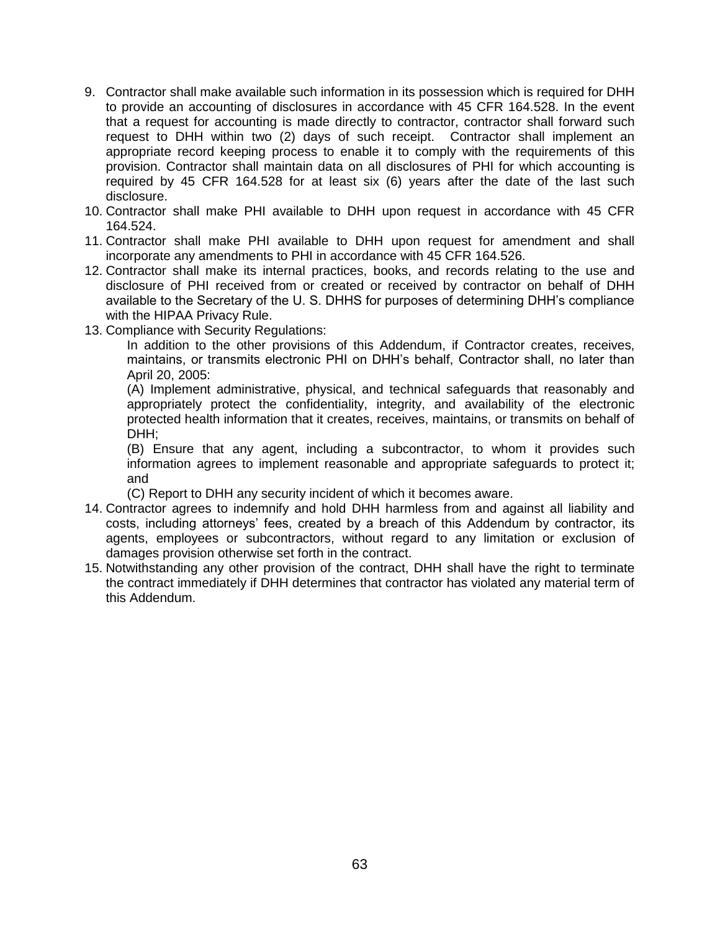- 9. Contractor shall make available such information in its possession which is required for DHH to provide an accounting of disclosures in accordance with 45 CFR 164.528. In the event that a request for accounting is made directly to contractor, contractor shall forward such request to DHH within two (2) days of such receipt. Contractor shall implement an appropriate record keeping process to enable it to comply with the requirements of this provision. Contractor shall maintain data on all disclosures of PHI for which accounting is required by 45 CFR 164.528 for at least six (6) years after the date of the last such disclosure.
- 10. Contractor shall make PHI available to DHH upon request in accordance with 45 CFR 164.524.
- 11. Contractor shall make PHI available to DHH upon request for amendment and shall incorporate any amendments to PHI in accordance with 45 CFR 164.526.
- 12. Contractor shall make its internal practices, books, and records relating to the use and disclosure of PHI received from or created or received by contractor on behalf of DHH available to the Secretary of the U. S. DHHS for purposes of determining DHH's compliance with the HIPAA Privacy Rule.
- 13. Compliance with Security Regulations:

In addition to the other provisions of this Addendum, if Contractor creates, receives, maintains, or transmits electronic PHI on DHH's behalf, Contractor shall, no later than April 20, 2005:

(A) Implement administrative, physical, and technical safeguards that reasonably and appropriately protect the confidentiality, integrity, and availability of the electronic protected health information that it creates, receives, maintains, or transmits on behalf of DHH;

(B) Ensure that any agent, including a subcontractor, to whom it provides such information agrees to implement reasonable and appropriate safeguards to protect it; and

(C) Report to DHH any security incident of which it becomes aware.

- 14. Contractor agrees to indemnify and hold DHH harmless from and against all liability and costs, including attorneys' fees, created by a breach of this Addendum by contractor, its agents, employees or subcontractors, without regard to any limitation or exclusion of damages provision otherwise set forth in the contract.
- 15. Notwithstanding any other provision of the contract, DHH shall have the right to terminate the contract immediately if DHH determines that contractor has violated any material term of this Addendum.